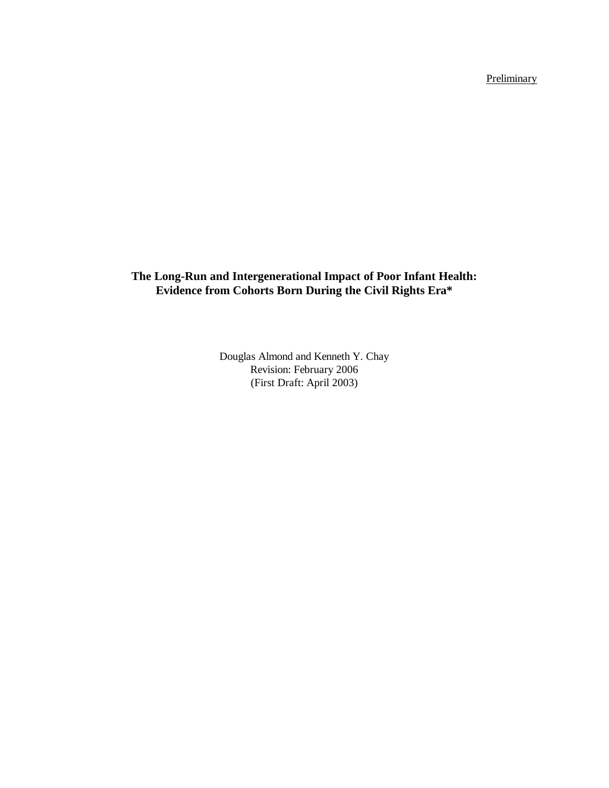**Preliminary** 

# **The Long-Run and Intergenerational Impact of Poor Infant Health: Evidence from Cohorts Born During the Civil Rights Era\***

Douglas Almond and Kenneth Y. Chay Revision: February 2006 (First Draft: April 2003)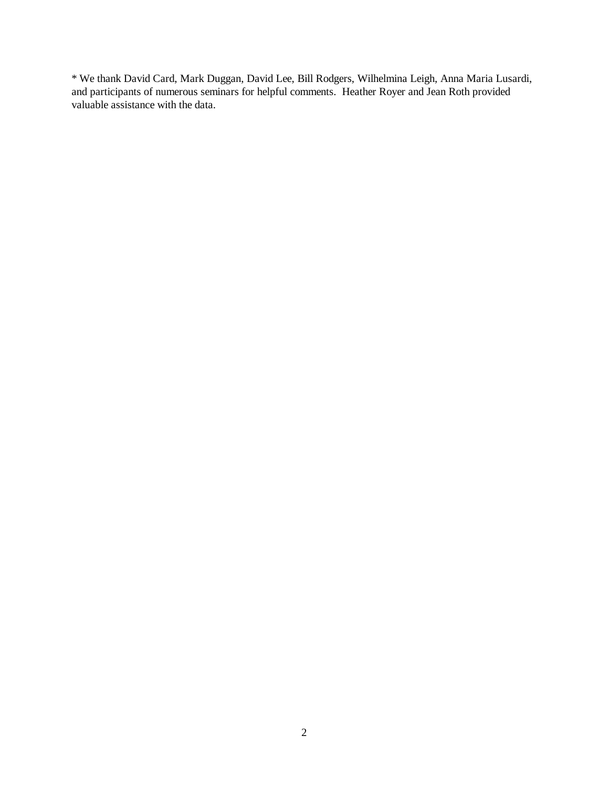\* We thank David Card, Mark Duggan, David Lee, Bill Rodgers, Wilhelmina Leigh, Anna Maria Lusardi, and participants of numerous seminars for helpful comments. Heather Royer and Jean Roth provided valuable assistance with the data.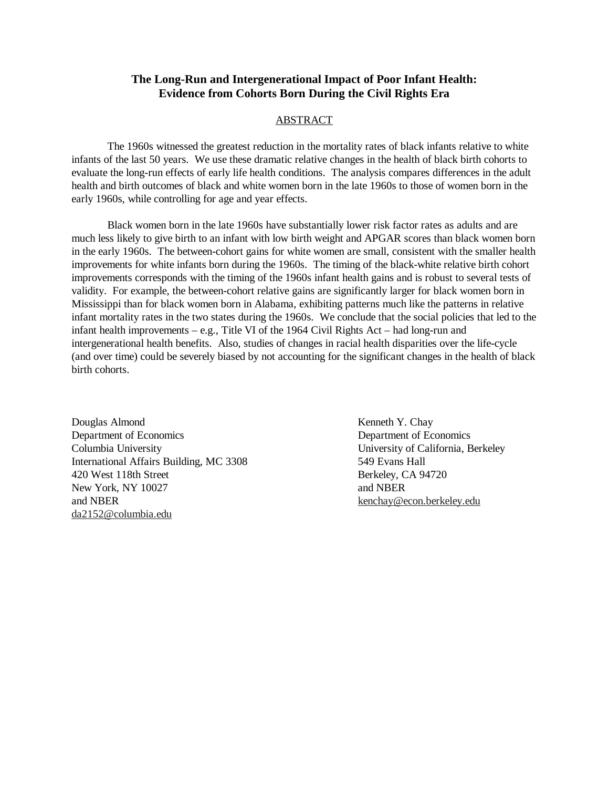# **The Long-Run and Intergenerational Impact of Poor Infant Health: Evidence from Cohorts Born During the Civil Rights Era**

## ABSTRACT

 The 1960s witnessed the greatest reduction in the mortality rates of black infants relative to white infants of the last 50 years. We use these dramatic relative changes in the health of black birth cohorts to evaluate the long-run effects of early life health conditions. The analysis compares differences in the adult health and birth outcomes of black and white women born in the late 1960s to those of women born in the early 1960s, while controlling for age and year effects.

 Black women born in the late 1960s have substantially lower risk factor rates as adults and are much less likely to give birth to an infant with low birth weight and APGAR scores than black women born in the early 1960s. The between-cohort gains for white women are small, consistent with the smaller health improvements for white infants born during the 1960s. The timing of the black-white relative birth cohort improvements corresponds with the timing of the 1960s infant health gains and is robust to several tests of validity. For example, the between-cohort relative gains are significantly larger for black women born in Mississippi than for black women born in Alabama, exhibiting patterns much like the patterns in relative infant mortality rates in the two states during the 1960s. We conclude that the social policies that led to the infant health improvements – e.g., Title VI of the 1964 Civil Rights Act – had long-run and intergenerational health benefits. Also, studies of changes in racial health disparities over the life-cycle (and over time) could be severely biased by not accounting for the significant changes in the health of black birth cohorts.

Douglas Almond Kenneth Y. Chay Department of Economics Department of Economics Columbia University University of California, Berkeley International Affairs Building, MC 3308 549 Evans Hall 420 West 118th Street Berkeley, CA 94720 New York, NY 10027 and NBER and NBER kenchay@econ.berkeley.edu da2152@columbia.edu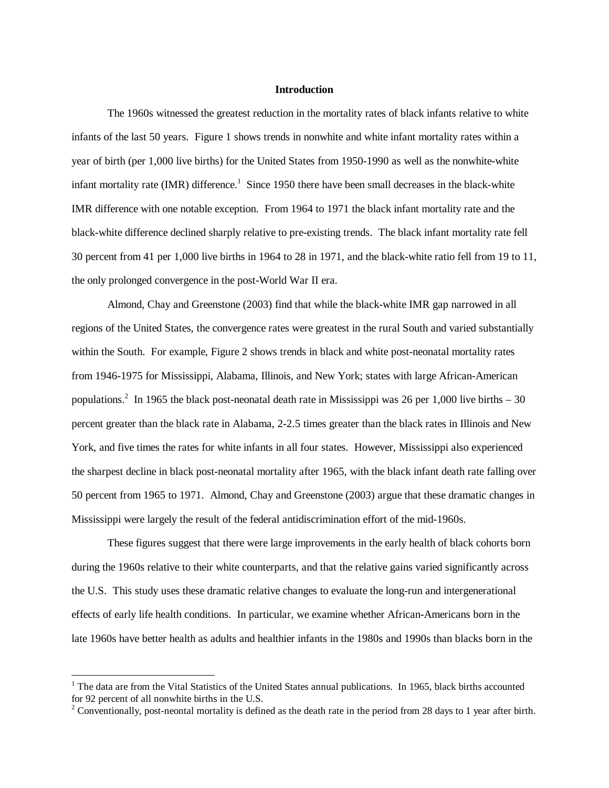## **Introduction**

 The 1960s witnessed the greatest reduction in the mortality rates of black infants relative to white infants of the last 50 years. Figure 1 shows trends in nonwhite and white infant mortality rates within a year of birth (per 1,000 live births) for the United States from 1950-1990 as well as the nonwhite-white infant mortality rate (IMR) difference.<sup>1</sup> Since 1950 there have been small decreases in the black-white IMR difference with one notable exception. From 1964 to 1971 the black infant mortality rate and the black-white difference declined sharply relative to pre-existing trends. The black infant mortality rate fell 30 percent from 41 per 1,000 live births in 1964 to 28 in 1971, and the black-white ratio fell from 19 to 11, the only prolonged convergence in the post-World War II era.

 Almond, Chay and Greenstone (2003) find that while the black-white IMR gap narrowed in all regions of the United States, the convergence rates were greatest in the rural South and varied substantially within the South. For example, Figure 2 shows trends in black and white post-neonatal mortality rates from 1946-1975 for Mississippi, Alabama, Illinois, and New York; states with large African-American populations.<sup>2</sup> In 1965 the black post-neonatal death rate in Mississippi was 26 per 1,000 live births  $-30$ percent greater than the black rate in Alabama, 2-2.5 times greater than the black rates in Illinois and New York, and five times the rates for white infants in all four states. However, Mississippi also experienced the sharpest decline in black post-neonatal mortality after 1965, with the black infant death rate falling over 50 percent from 1965 to 1971. Almond, Chay and Greenstone (2003) argue that these dramatic changes in Mississippi were largely the result of the federal antidiscrimination effort of the mid-1960s.

 These figures suggest that there were large improvements in the early health of black cohorts born during the 1960s relative to their white counterparts, and that the relative gains varied significantly across the U.S. This study uses these dramatic relative changes to evaluate the long-run and intergenerational effects of early life health conditions. In particular, we examine whether African-Americans born in the late 1960s have better health as adults and healthier infants in the 1980s and 1990s than blacks born in the

<u>.</u>

<sup>&</sup>lt;sup>1</sup> The data are from the Vital Statistics of the United States annual publications. In 1965, black births accounted for 92 percent of all nonwhite births in the U.S.

<sup>&</sup>lt;sup>2</sup> Conventionally, post-neontal mortality is defined as the death rate in the period from 28 days to 1 year after birth.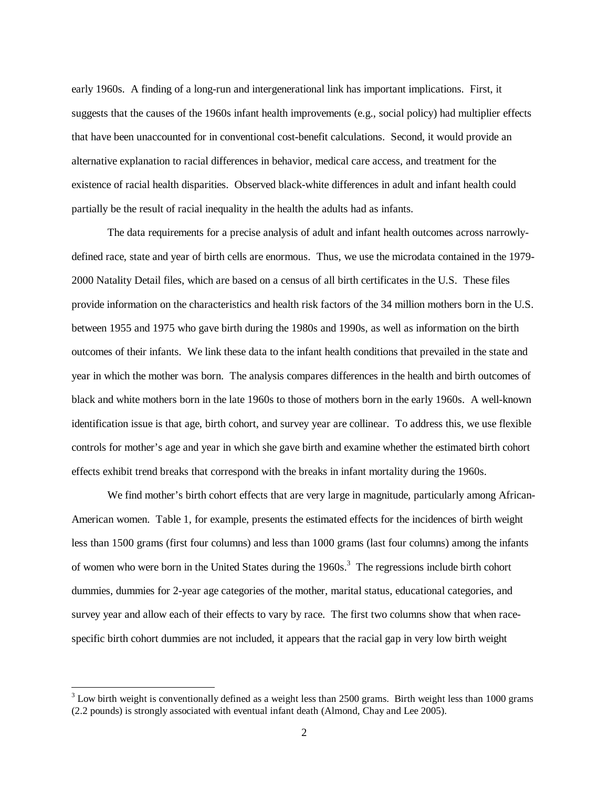early 1960s. A finding of a long-run and intergenerational link has important implications. First, it suggests that the causes of the 1960s infant health improvements (e.g., social policy) had multiplier effects that have been unaccounted for in conventional cost-benefit calculations. Second, it would provide an alternative explanation to racial differences in behavior, medical care access, and treatment for the existence of racial health disparities. Observed black-white differences in adult and infant health could partially be the result of racial inequality in the health the adults had as infants.

 The data requirements for a precise analysis of adult and infant health outcomes across narrowlydefined race, state and year of birth cells are enormous. Thus, we use the microdata contained in the 1979- 2000 Natality Detail files, which are based on a census of all birth certificates in the U.S. These files provide information on the characteristics and health risk factors of the 34 million mothers born in the U.S. between 1955 and 1975 who gave birth during the 1980s and 1990s, as well as information on the birth outcomes of their infants. We link these data to the infant health conditions that prevailed in the state and year in which the mother was born. The analysis compares differences in the health and birth outcomes of black and white mothers born in the late 1960s to those of mothers born in the early 1960s. A well-known identification issue is that age, birth cohort, and survey year are collinear. To address this, we use flexible controls for mother's age and year in which she gave birth and examine whether the estimated birth cohort effects exhibit trend breaks that correspond with the breaks in infant mortality during the 1960s.

We find mother's birth cohort effects that are very large in magnitude, particularly among African-American women. Table 1, for example, presents the estimated effects for the incidences of birth weight less than 1500 grams (first four columns) and less than 1000 grams (last four columns) among the infants of women who were born in the United States during the 1960s.<sup>3</sup> The regressions include birth cohort dummies, dummies for 2-year age categories of the mother, marital status, educational categories, and survey year and allow each of their effects to vary by race. The first two columns show that when racespecific birth cohort dummies are not included, it appears that the racial gap in very low birth weight

 $\overline{a}$ 

 $3$  Low birth weight is conventionally defined as a weight less than 2500 grams. Birth weight less than 1000 grams (2.2 pounds) is strongly associated with eventual infant death (Almond, Chay and Lee 2005).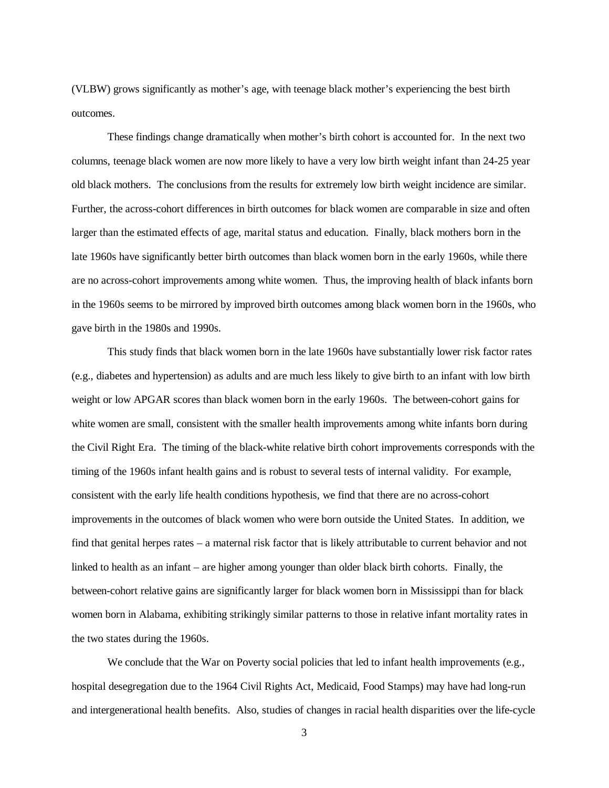(VLBW) grows significantly as mother's age, with teenage black mother's experiencing the best birth outcomes.

 These findings change dramatically when mother's birth cohort is accounted for. In the next two columns, teenage black women are now more likely to have a very low birth weight infant than 24-25 year old black mothers. The conclusions from the results for extremely low birth weight incidence are similar. Further, the across-cohort differences in birth outcomes for black women are comparable in size and often larger than the estimated effects of age, marital status and education. Finally, black mothers born in the late 1960s have significantly better birth outcomes than black women born in the early 1960s, while there are no across-cohort improvements among white women. Thus, the improving health of black infants born in the 1960s seems to be mirrored by improved birth outcomes among black women born in the 1960s, who gave birth in the 1980s and 1990s.

 This study finds that black women born in the late 1960s have substantially lower risk factor rates (e.g., diabetes and hypertension) as adults and are much less likely to give birth to an infant with low birth weight or low APGAR scores than black women born in the early 1960s. The between-cohort gains for white women are small, consistent with the smaller health improvements among white infants born during the Civil Right Era. The timing of the black-white relative birth cohort improvements corresponds with the timing of the 1960s infant health gains and is robust to several tests of internal validity. For example, consistent with the early life health conditions hypothesis, we find that there are no across-cohort improvements in the outcomes of black women who were born outside the United States. In addition, we find that genital herpes rates – a maternal risk factor that is likely attributable to current behavior and not linked to health as an infant – are higher among younger than older black birth cohorts. Finally, the between-cohort relative gains are significantly larger for black women born in Mississippi than for black women born in Alabama, exhibiting strikingly similar patterns to those in relative infant mortality rates in the two states during the 1960s.

We conclude that the War on Poverty social policies that led to infant health improvements (e.g., hospital desegregation due to the 1964 Civil Rights Act, Medicaid, Food Stamps) may have had long-run and intergenerational health benefits. Also, studies of changes in racial health disparities over the life-cycle

3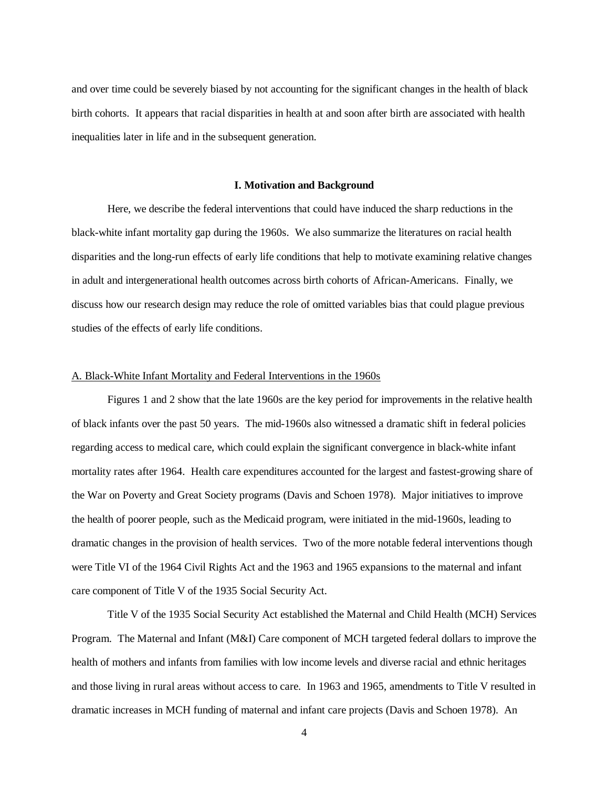and over time could be severely biased by not accounting for the significant changes in the health of black birth cohorts. It appears that racial disparities in health at and soon after birth are associated with health inequalities later in life and in the subsequent generation.

#### **I. Motivation and Background**

 Here, we describe the federal interventions that could have induced the sharp reductions in the black-white infant mortality gap during the 1960s. We also summarize the literatures on racial health disparities and the long-run effects of early life conditions that help to motivate examining relative changes in adult and intergenerational health outcomes across birth cohorts of African-Americans. Finally, we discuss how our research design may reduce the role of omitted variables bias that could plague previous studies of the effects of early life conditions.

#### A. Black-White Infant Mortality and Federal Interventions in the 1960s

 Figures 1 and 2 show that the late 1960s are the key period for improvements in the relative health of black infants over the past 50 years. The mid-1960s also witnessed a dramatic shift in federal policies regarding access to medical care, which could explain the significant convergence in black-white infant mortality rates after 1964. Health care expenditures accounted for the largest and fastest-growing share of the War on Poverty and Great Society programs (Davis and Schoen 1978). Major initiatives to improve the health of poorer people, such as the Medicaid program, were initiated in the mid-1960s, leading to dramatic changes in the provision of health services. Two of the more notable federal interventions though were Title VI of the 1964 Civil Rights Act and the 1963 and 1965 expansions to the maternal and infant care component of Title V of the 1935 Social Security Act.

 Title V of the 1935 Social Security Act established the Maternal and Child Health (MCH) Services Program. The Maternal and Infant (M&I) Care component of MCH targeted federal dollars to improve the health of mothers and infants from families with low income levels and diverse racial and ethnic heritages and those living in rural areas without access to care. In 1963 and 1965, amendments to Title V resulted in dramatic increases in MCH funding of maternal and infant care projects (Davis and Schoen 1978). An

4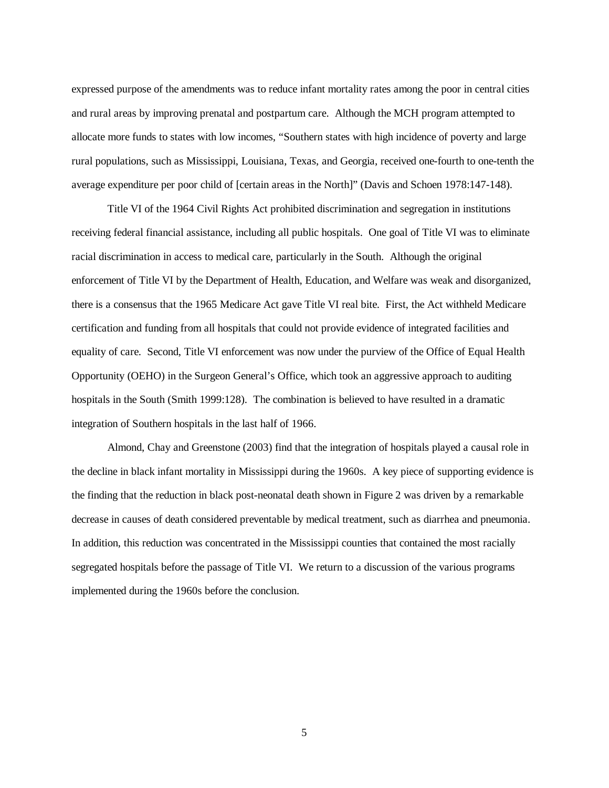expressed purpose of the amendments was to reduce infant mortality rates among the poor in central cities and rural areas by improving prenatal and postpartum care. Although the MCH program attempted to allocate more funds to states with low incomes, "Southern states with high incidence of poverty and large rural populations, such as Mississippi, Louisiana, Texas, and Georgia, received one-fourth to one-tenth the average expenditure per poor child of [certain areas in the North]" (Davis and Schoen 1978:147-148).

 Title VI of the 1964 Civil Rights Act prohibited discrimination and segregation in institutions receiving federal financial assistance, including all public hospitals. One goal of Title VI was to eliminate racial discrimination in access to medical care, particularly in the South. Although the original enforcement of Title VI by the Department of Health, Education, and Welfare was weak and disorganized, there is a consensus that the 1965 Medicare Act gave Title VI real bite. First, the Act withheld Medicare certification and funding from all hospitals that could not provide evidence of integrated facilities and equality of care. Second, Title VI enforcement was now under the purview of the Office of Equal Health Opportunity (OEHO) in the Surgeon General's Office, which took an aggressive approach to auditing hospitals in the South (Smith 1999:128). The combination is believed to have resulted in a dramatic integration of Southern hospitals in the last half of 1966.

 Almond, Chay and Greenstone (2003) find that the integration of hospitals played a causal role in the decline in black infant mortality in Mississippi during the 1960s. A key piece of supporting evidence is the finding that the reduction in black post-neonatal death shown in Figure 2 was driven by a remarkable decrease in causes of death considered preventable by medical treatment, such as diarrhea and pneumonia. In addition, this reduction was concentrated in the Mississippi counties that contained the most racially segregated hospitals before the passage of Title VI. We return to a discussion of the various programs implemented during the 1960s before the conclusion.

 $\overline{5}$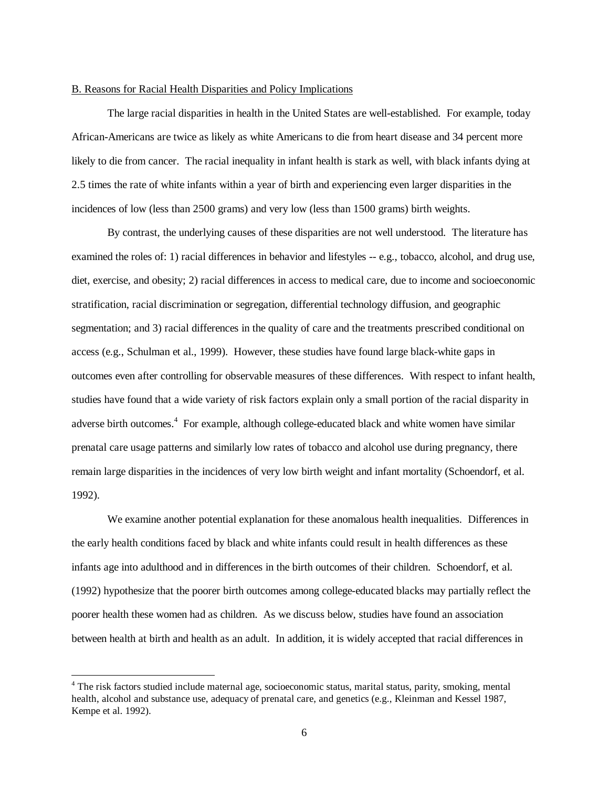#### B. Reasons for Racial Health Disparities and Policy Implications

 The large racial disparities in health in the United States are well-established. For example, today African-Americans are twice as likely as white Americans to die from heart disease and 34 percent more likely to die from cancer. The racial inequality in infant health is stark as well, with black infants dying at 2.5 times the rate of white infants within a year of birth and experiencing even larger disparities in the incidences of low (less than 2500 grams) and very low (less than 1500 grams) birth weights.

 By contrast, the underlying causes of these disparities are not well understood. The literature has examined the roles of: 1) racial differences in behavior and lifestyles -- e.g., tobacco, alcohol, and drug use, diet, exercise, and obesity; 2) racial differences in access to medical care, due to income and socioeconomic stratification, racial discrimination or segregation, differential technology diffusion, and geographic segmentation; and 3) racial differences in the quality of care and the treatments prescribed conditional on access (e.g., Schulman et al., 1999). However, these studies have found large black-white gaps in outcomes even after controlling for observable measures of these differences. With respect to infant health, studies have found that a wide variety of risk factors explain only a small portion of the racial disparity in adverse birth outcomes.<sup>4</sup> For example, although college-educated black and white women have similar prenatal care usage patterns and similarly low rates of tobacco and alcohol use during pregnancy, there remain large disparities in the incidences of very low birth weight and infant mortality (Schoendorf, et al. 1992).

 We examine another potential explanation for these anomalous health inequalities. Differences in the early health conditions faced by black and white infants could result in health differences as these infants age into adulthood and in differences in the birth outcomes of their children. Schoendorf, et al. (1992) hypothesize that the poorer birth outcomes among college-educated blacks may partially reflect the poorer health these women had as children. As we discuss below, studies have found an association between health at birth and health as an adult. In addition, it is widely accepted that racial differences in

<u>.</u>

<sup>&</sup>lt;sup>4</sup> The risk factors studied include maternal age, socioeconomic status, marital status, parity, smoking, mental health, alcohol and substance use, adequacy of prenatal care, and genetics (e.g., Kleinman and Kessel 1987, Kempe et al. 1992).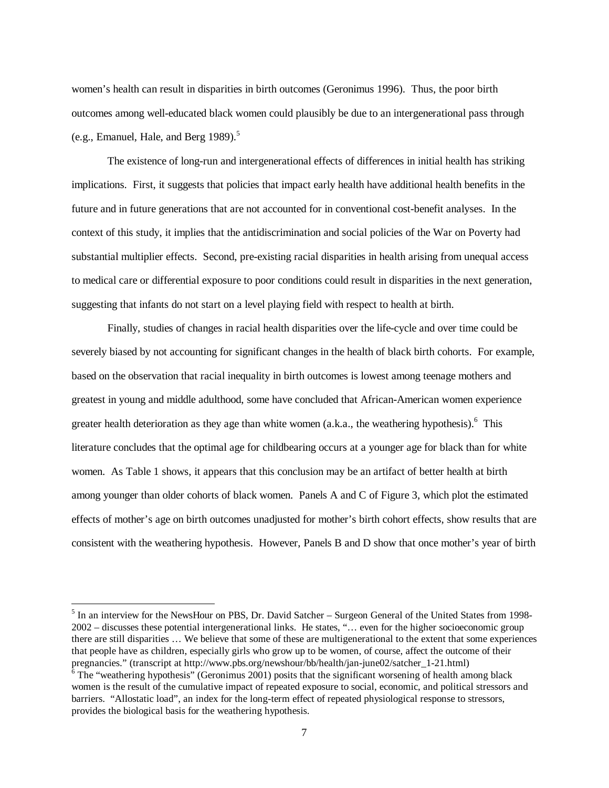women's health can result in disparities in birth outcomes (Geronimus 1996). Thus, the poor birth outcomes among well-educated black women could plausibly be due to an intergenerational pass through (e.g., Emanuel, Hale, and Berg 1989). $<sup>5</sup>$ </sup>

 The existence of long-run and intergenerational effects of differences in initial health has striking implications. First, it suggests that policies that impact early health have additional health benefits in the future and in future generations that are not accounted for in conventional cost-benefit analyses. In the context of this study, it implies that the antidiscrimination and social policies of the War on Poverty had substantial multiplier effects. Second, pre-existing racial disparities in health arising from unequal access to medical care or differential exposure to poor conditions could result in disparities in the next generation, suggesting that infants do not start on a level playing field with respect to health at birth.

 Finally, studies of changes in racial health disparities over the life-cycle and over time could be severely biased by not accounting for significant changes in the health of black birth cohorts. For example, based on the observation that racial inequality in birth outcomes is lowest among teenage mothers and greatest in young and middle adulthood, some have concluded that African-American women experience greater health deterioration as they age than white women  $(a.k.a., the$  weathering hypothesis).<sup>6</sup> This literature concludes that the optimal age for childbearing occurs at a younger age for black than for white women. As Table 1 shows, it appears that this conclusion may be an artifact of better health at birth among younger than older cohorts of black women. Panels A and C of Figure 3, which plot the estimated effects of mother's age on birth outcomes unadjusted for mother's birth cohort effects, show results that are consistent with the weathering hypothesis. However, Panels B and D show that once mother's year of birth

<u>.</u>

<sup>&</sup>lt;sup>5</sup> In an interview for the NewsHour on PBS, Dr. David Satcher – Surgeon General of the United States from 1998-2002 – discusses these potential intergenerational links. He states, "… even for the higher socioeconomic group there are still disparities … We believe that some of these are multigenerational to the extent that some experiences that people have as children, especially girls who grow up to be women, of course, affect the outcome of their pregnancies." (transcript at http://www.pbs.org/newshour/bb/health/jan-june02/satcher\_1-21.html) 6

 $6$  The "weathering hypothesis" (Geronimus 2001) posits that the significant worsening of health among black women is the result of the cumulative impact of repeated exposure to social, economic, and political stressors and barriers. "Allostatic load", an index for the long-term effect of repeated physiological response to stressors, provides the biological basis for the weathering hypothesis.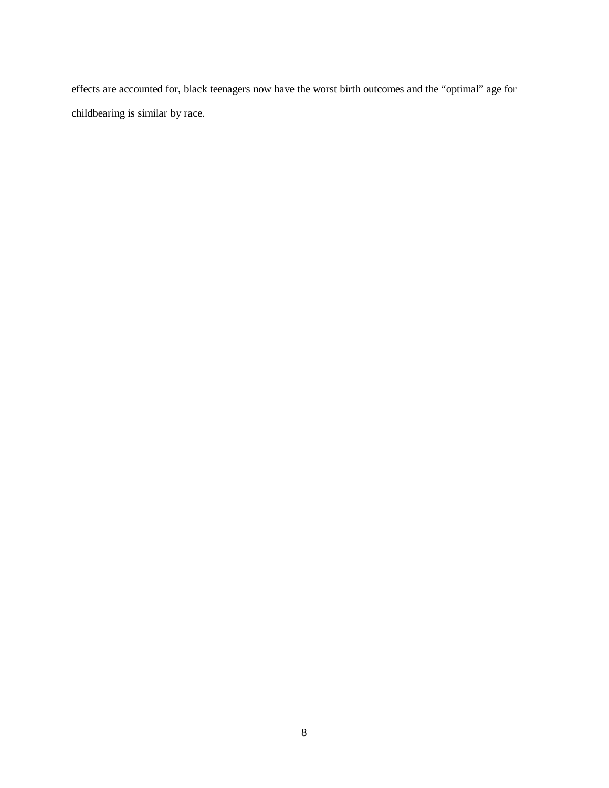effects are accounted for, black teenagers now have the worst birth outcomes and the "optimal" age for childbearing is similar by race.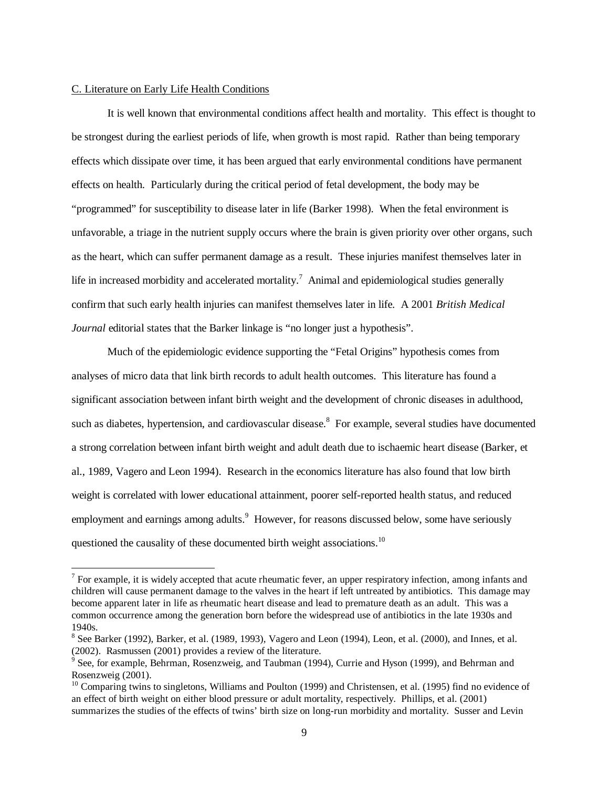#### C. Literature on Early Life Health Conditions

<u>.</u>

It is well known that environmental conditions affect health and mortality. This effect is thought to be strongest during the earliest periods of life, when growth is most rapid. Rather than being temporary effects which dissipate over time, it has been argued that early environmental conditions have permanent effects on health. Particularly during the critical period of fetal development, the body may be "programmed" for susceptibility to disease later in life (Barker 1998). When the fetal environment is unfavorable, a triage in the nutrient supply occurs where the brain is given priority over other organs, such as the heart, which can suffer permanent damage as a result. These injuries manifest themselves later in life in increased morbidity and accelerated mortality.<sup>7</sup> Animal and epidemiological studies generally confirm that such early health injuries can manifest themselves later in life. A 2001 *British Medical Journal* editorial states that the Barker linkage is "no longer just a hypothesis".

 Much of the epidemiologic evidence supporting the "Fetal Origins" hypothesis comes from analyses of micro data that link birth records to adult health outcomes. This literature has found a significant association between infant birth weight and the development of chronic diseases in adulthood, such as diabetes, hypertension, and cardiovascular disease.<sup>8</sup> For example, several studies have documented a strong correlation between infant birth weight and adult death due to ischaemic heart disease (Barker, et al., 1989, Vagero and Leon 1994). Research in the economics literature has also found that low birth weight is correlated with lower educational attainment, poorer self-reported health status, and reduced employment and earnings among adults.<sup>9</sup> However, for reasons discussed below, some have seriously questioned the causality of these documented birth weight associations.<sup>10</sup>

 $<sup>7</sup>$  For example, it is widely accepted that acute rheumatic fever, an upper respiratory infection, among infants and</sup> children will cause permanent damage to the valves in the heart if left untreated by antibiotics. This damage may become apparent later in life as rheumatic heart disease and lead to premature death as an adult. This was a common occurrence among the generation born before the widespread use of antibiotics in the late 1930s and 1940s.

 $8$  See Barker (1992), Barker, et al. (1989, 1993), Vagero and Leon (1994), Leon, et al. (2000), and Innes, et al. (2002). Rasmussen (2001) provides a review of the literature.

<sup>&</sup>lt;sup>9</sup> See, for example, Behrman, Rosenzweig, and Taubman (1994), Currie and Hyson (1999), and Behrman and Rosenzweig (2001).

 $10$  Comparing twins to singletons, Williams and Poulton (1999) and Christensen, et al. (1995) find no evidence of an effect of birth weight on either blood pressure or adult mortality, respectively. Phillips, et al. (2001) summarizes the studies of the effects of twins' birth size on long-run morbidity and mortality. Susser and Levin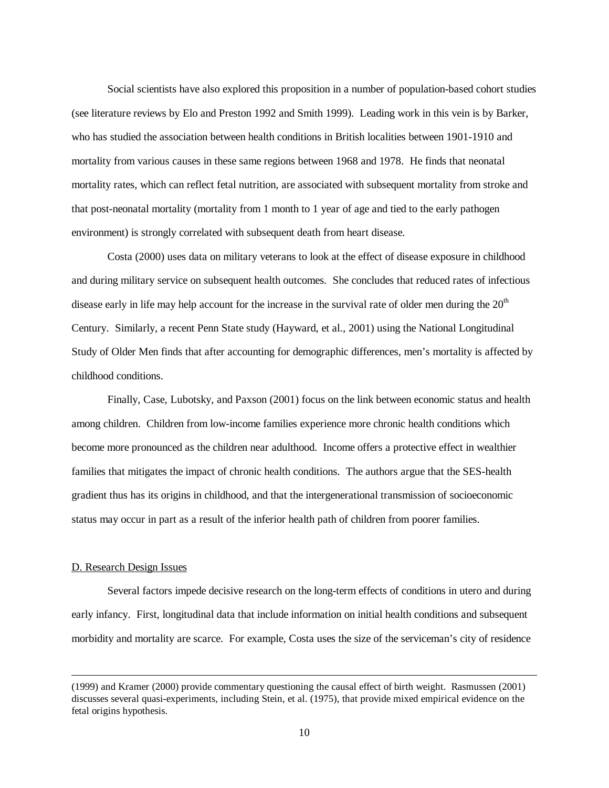Social scientists have also explored this proposition in a number of population-based cohort studies (see literature reviews by Elo and Preston 1992 and Smith 1999). Leading work in this vein is by Barker, who has studied the association between health conditions in British localities between 1901-1910 and mortality from various causes in these same regions between 1968 and 1978. He finds that neonatal mortality rates, which can reflect fetal nutrition, are associated with subsequent mortality from stroke and that post-neonatal mortality (mortality from 1 month to 1 year of age and tied to the early pathogen environment) is strongly correlated with subsequent death from heart disease.

Costa (2000) uses data on military veterans to look at the effect of disease exposure in childhood and during military service on subsequent health outcomes. She concludes that reduced rates of infectious disease early in life may help account for the increase in the survival rate of older men during the  $20<sup>th</sup>$ Century. Similarly, a recent Penn State study (Hayward, et al., 2001) using the National Longitudinal Study of Older Men finds that after accounting for demographic differences, men's mortality is affected by childhood conditions.

Finally, Case, Lubotsky, and Paxson (2001) focus on the link between economic status and health among children. Children from low-income families experience more chronic health conditions which become more pronounced as the children near adulthood. Income offers a protective effect in wealthier families that mitigates the impact of chronic health conditions. The authors argue that the SES-health gradient thus has its origins in childhood, and that the intergenerational transmission of socioeconomic status may occur in part as a result of the inferior health path of children from poorer families.

#### D. Research Design Issues

 $\overline{a}$ 

 Several factors impede decisive research on the long-term effects of conditions in utero and during early infancy. First, longitudinal data that include information on initial health conditions and subsequent morbidity and mortality are scarce. For example, Costa uses the size of the serviceman's city of residence

<sup>(1999)</sup> and Kramer (2000) provide commentary questioning the causal effect of birth weight. Rasmussen (2001) discusses several quasi-experiments, including Stein, et al. (1975), that provide mixed empirical evidence on the fetal origins hypothesis.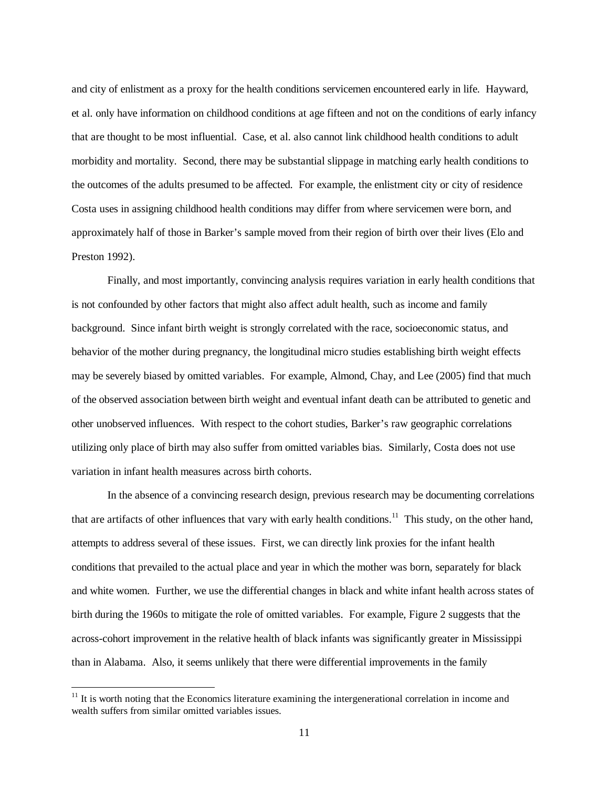and city of enlistment as a proxy for the health conditions servicemen encountered early in life. Hayward, et al. only have information on childhood conditions at age fifteen and not on the conditions of early infancy that are thought to be most influential. Case, et al. also cannot link childhood health conditions to adult morbidity and mortality. Second, there may be substantial slippage in matching early health conditions to the outcomes of the adults presumed to be affected. For example, the enlistment city or city of residence Costa uses in assigning childhood health conditions may differ from where servicemen were born, and approximately half of those in Barker's sample moved from their region of birth over their lives (Elo and Preston 1992).

 Finally, and most importantly, convincing analysis requires variation in early health conditions that is not confounded by other factors that might also affect adult health, such as income and family background. Since infant birth weight is strongly correlated with the race, socioeconomic status, and behavior of the mother during pregnancy, the longitudinal micro studies establishing birth weight effects may be severely biased by omitted variables. For example, Almond, Chay, and Lee (2005) find that much of the observed association between birth weight and eventual infant death can be attributed to genetic and other unobserved influences. With respect to the cohort studies, Barker's raw geographic correlations utilizing only place of birth may also suffer from omitted variables bias. Similarly, Costa does not use variation in infant health measures across birth cohorts.

 In the absence of a convincing research design, previous research may be documenting correlations that are artifacts of other influences that vary with early health conditions.<sup>11</sup> This study, on the other hand, attempts to address several of these issues. First, we can directly link proxies for the infant health conditions that prevailed to the actual place and year in which the mother was born, separately for black and white women. Further, we use the differential changes in black and white infant health across states of birth during the 1960s to mitigate the role of omitted variables. For example, Figure 2 suggests that the across-cohort improvement in the relative health of black infants was significantly greater in Mississippi than in Alabama. Also, it seems unlikely that there were differential improvements in the family

 $\overline{a}$ 

 $11$  It is worth noting that the Economics literature examining the intergenerational correlation in income and wealth suffers from similar omitted variables issues.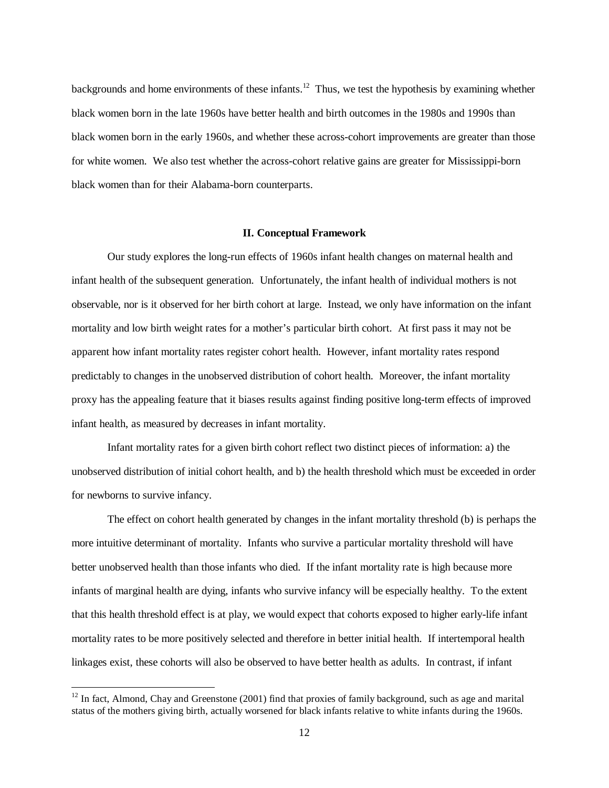backgrounds and home environments of these infants.<sup>12</sup> Thus, we test the hypothesis by examining whether black women born in the late 1960s have better health and birth outcomes in the 1980s and 1990s than black women born in the early 1960s, and whether these across-cohort improvements are greater than those for white women. We also test whether the across-cohort relative gains are greater for Mississippi-born black women than for their Alabama-born counterparts.

#### **II. Conceptual Framework**

Our study explores the long-run effects of 1960s infant health changes on maternal health and infant health of the subsequent generation. Unfortunately, the infant health of individual mothers is not observable, nor is it observed for her birth cohort at large. Instead, we only have information on the infant mortality and low birth weight rates for a mother's particular birth cohort. At first pass it may not be apparent how infant mortality rates register cohort health. However, infant mortality rates respond predictably to changes in the unobserved distribution of cohort health. Moreover, the infant mortality proxy has the appealing feature that it biases results against finding positive long-term effects of improved infant health, as measured by decreases in infant mortality.

Infant mortality rates for a given birth cohort reflect two distinct pieces of information: a) the unobserved distribution of initial cohort health, and b) the health threshold which must be exceeded in order for newborns to survive infancy.

The effect on cohort health generated by changes in the infant mortality threshold (b) is perhaps the more intuitive determinant of mortality. Infants who survive a particular mortality threshold will have better unobserved health than those infants who died. If the infant mortality rate is high because more infants of marginal health are dying, infants who survive infancy will be especially healthy. To the extent that this health threshold effect is at play, we would expect that cohorts exposed to higher early-life infant mortality rates to be more positively selected and therefore in better initial health. If intertemporal health linkages exist, these cohorts will also be observed to have better health as adults. In contrast, if infant

 $\overline{a}$ 

 $12$  In fact, Almond, Chay and Greenstone (2001) find that proxies of family background, such as age and marital status of the mothers giving birth, actually worsened for black infants relative to white infants during the 1960s.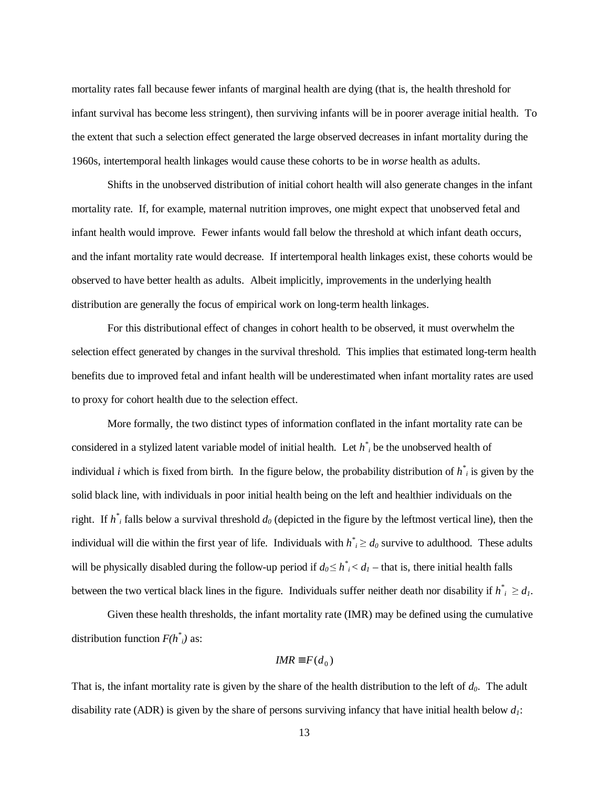mortality rates fall because fewer infants of marginal health are dying (that is, the health threshold for infant survival has become less stringent), then surviving infants will be in poorer average initial health. To the extent that such a selection effect generated the large observed decreases in infant mortality during the 1960s, intertemporal health linkages would cause these cohorts to be in *worse* health as adults.

Shifts in the unobserved distribution of initial cohort health will also generate changes in the infant mortality rate. If, for example, maternal nutrition improves, one might expect that unobserved fetal and infant health would improve. Fewer infants would fall below the threshold at which infant death occurs, and the infant mortality rate would decrease. If intertemporal health linkages exist, these cohorts would be observed to have better health as adults. Albeit implicitly, improvements in the underlying health distribution are generally the focus of empirical work on long-term health linkages.

For this distributional effect of changes in cohort health to be observed, it must overwhelm the selection effect generated by changes in the survival threshold. This implies that estimated long-term health benefits due to improved fetal and infant health will be underestimated when infant mortality rates are used to proxy for cohort health due to the selection effect.

More formally, the two distinct types of information conflated in the infant mortality rate can be considered in a stylized latent variable model of initial health. Let *h\* <sup>i</sup>* be the unobserved health of individual *i* which is fixed from birth. In the figure below, the probability distribution of  $h^*$  is given by the solid black line, with individuals in poor initial health being on the left and healthier individuals on the right. If  $h^*$  falls below a survival threshold  $d_0$  (depicted in the figure by the leftmost vertical line), then the individual will die within the first year of life. Individuals with  $h^*$   $\geq d_0$  survive to adulthood. These adults will be physically disabled during the follow-up period if  $d_0 \leq h^*_{i} < d_1$  – that is, there initial health falls between the two vertical black lines in the figure. Individuals suffer neither death nor disability if  $h^*_{i} \geq d_l$ .

Given these health thresholds, the infant mortality rate (IMR) may be defined using the cumulative distribution function  $F(h^*_{i})$  as:

$$
IMR \equiv F(d_0)
$$

That is, the infant mortality rate is given by the share of the health distribution to the left of  $d_0$ . The adult disability rate (ADR) is given by the share of persons surviving infancy that have initial health below  $d_1$ :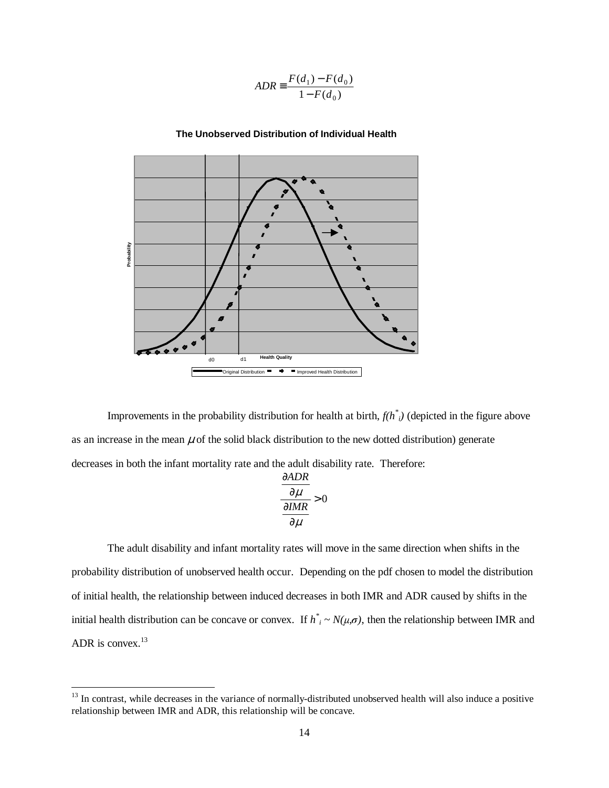$$
ADR \equiv \frac{F(d_1) - F(d_0)}{1 - F(d_0)}
$$



#### **The Unobserved Distribution of Individual Health**

Improvements in the probability distribution for health at birth, *f(h\* i)* (depicted in the figure above as an increase in the mean  $\mu$  of the solid black distribution to the new dotted distribution) generate decreases in both the infant mortality rate and the adult disability rate. Therefore:

$$
\frac{\frac{\partial ADR}{\partial \mu}}{\frac{\partial IMR}{\partial \mu}} > 0
$$

The adult disability and infant mortality rates will move in the same direction when shifts in the probability distribution of unobserved health occur. Depending on the pdf chosen to model the distribution of initial health, the relationship between induced decreases in both IMR and ADR caused by shifts in the initial health distribution can be concave or convex. If  $h^*_{i} \sim N(\mu, \sigma)$ , then the relationship between IMR and ADR is convex.<sup>13</sup>

 $\overline{a}$ 

<sup>&</sup>lt;sup>13</sup> In contrast, while decreases in the variance of normally-distributed unobserved health will also induce a positive relationship between IMR and ADR, this relationship will be concave.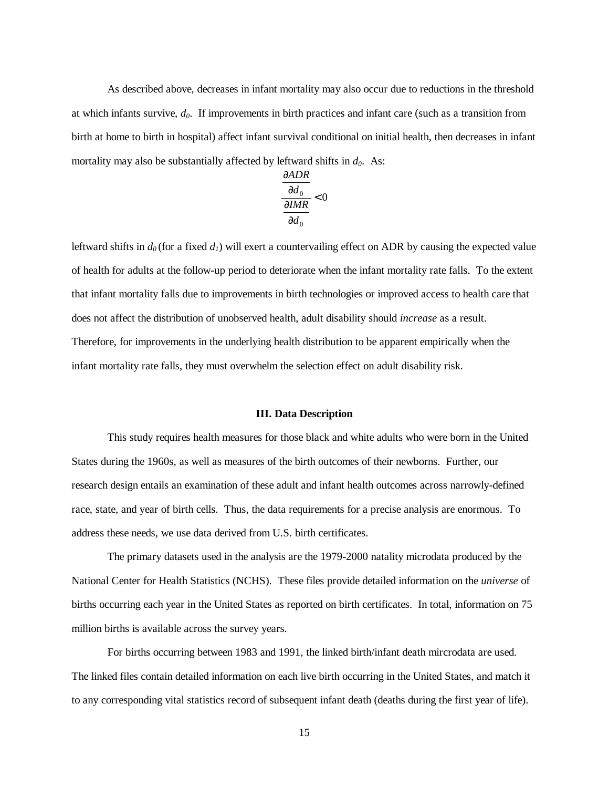As described above, decreases in infant mortality may also occur due to reductions in the threshold at which infants survive, *d0*. If improvements in birth practices and infant care (such as a transition from birth at home to birth in hospital) affect infant survival conditional on initial health, then decreases in infant mortality may also be substantially affected by leftward shifts in  $d_0$ . As:

$$
\frac{\frac{\partial ADR}{\partial d_0}}{\frac{\partial IMR}{\partial d_0}} < 0
$$

leftward shifts in  $d_0$  (for a fixed  $d_1$ ) will exert a countervailing effect on ADR by causing the expected value of health for adults at the follow-up period to deteriorate when the infant mortality rate falls. To the extent that infant mortality falls due to improvements in birth technologies or improved access to health care that does not affect the distribution of unobserved health, adult disability should *increase* as a result. Therefore, for improvements in the underlying health distribution to be apparent empirically when the infant mortality rate falls, they must overwhelm the selection effect on adult disability risk.

#### **III. Data Description**

 This study requires health measures for those black and white adults who were born in the United States during the 1960s, as well as measures of the birth outcomes of their newborns. Further, our research design entails an examination of these adult and infant health outcomes across narrowly-defined race, state, and year of birth cells. Thus, the data requirements for a precise analysis are enormous. To address these needs, we use data derived from U.S. birth certificates.

The primary datasets used in the analysis are the 1979-2000 natality microdata produced by the National Center for Health Statistics (NCHS). These files provide detailed information on the *universe* of births occurring each year in the United States as reported on birth certificates. In total, information on 75 million births is available across the survey years.

For births occurring between 1983 and 1991, the linked birth/infant death mircrodata are used. The linked files contain detailed information on each live birth occurring in the United States, and match it to any corresponding vital statistics record of subsequent infant death (deaths during the first year of life).

15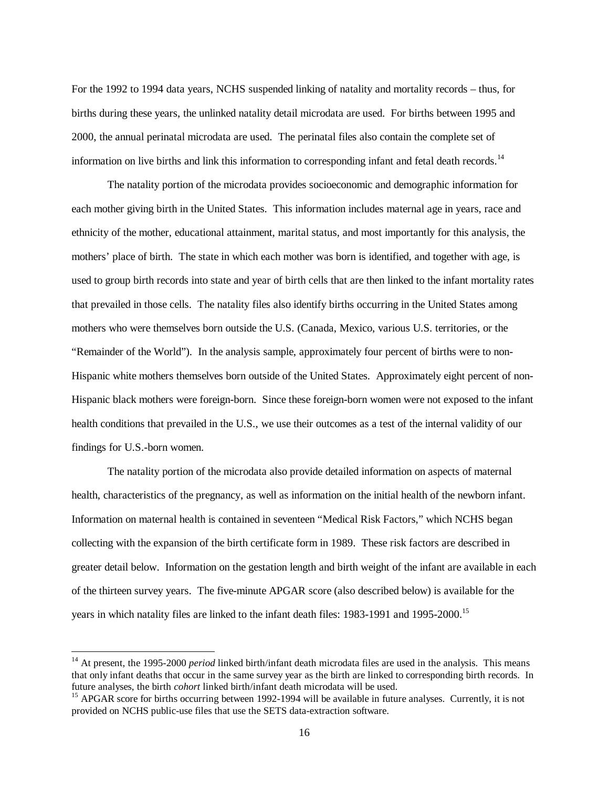For the 1992 to 1994 data years, NCHS suspended linking of natality and mortality records – thus, for births during these years, the unlinked natality detail microdata are used. For births between 1995 and 2000, the annual perinatal microdata are used. The perinatal files also contain the complete set of information on live births and link this information to corresponding infant and fetal death records.<sup>14</sup>

The natality portion of the microdata provides socioeconomic and demographic information for each mother giving birth in the United States. This information includes maternal age in years, race and ethnicity of the mother, educational attainment, marital status, and most importantly for this analysis, the mothers' place of birth. The state in which each mother was born is identified, and together with age, is used to group birth records into state and year of birth cells that are then linked to the infant mortality rates that prevailed in those cells. The natality files also identify births occurring in the United States among mothers who were themselves born outside the U.S. (Canada, Mexico, various U.S. territories, or the "Remainder of the World"). In the analysis sample, approximately four percent of births were to non-Hispanic white mothers themselves born outside of the United States. Approximately eight percent of non-Hispanic black mothers were foreign-born. Since these foreign-born women were not exposed to the infant health conditions that prevailed in the U.S., we use their outcomes as a test of the internal validity of our findings for U.S.-born women.

The natality portion of the microdata also provide detailed information on aspects of maternal health, characteristics of the pregnancy, as well as information on the initial health of the newborn infant. Information on maternal health is contained in seventeen "Medical Risk Factors," which NCHS began collecting with the expansion of the birth certificate form in 1989. These risk factors are described in greater detail below. Information on the gestation length and birth weight of the infant are available in each of the thirteen survey years. The five-minute APGAR score (also described below) is available for the years in which natality files are linked to the infant death files: 1983-1991 and 1995-2000.<sup>15</sup>

 $\overline{a}$ 

<sup>&</sup>lt;sup>14</sup> At present, the 1995-2000 *period* linked birth/infant death microdata files are used in the analysis. This means that only infant deaths that occur in the same survey year as the birth are linked to corresponding birth records. In future analyses, the birth *cohort* linked birth/infant death microdata will be used.<br><sup>15</sup> APGAR score for births occurring between 1992-1994 will be available in future analyses. Currently, it is not

provided on NCHS public-use files that use the SETS data-extraction software.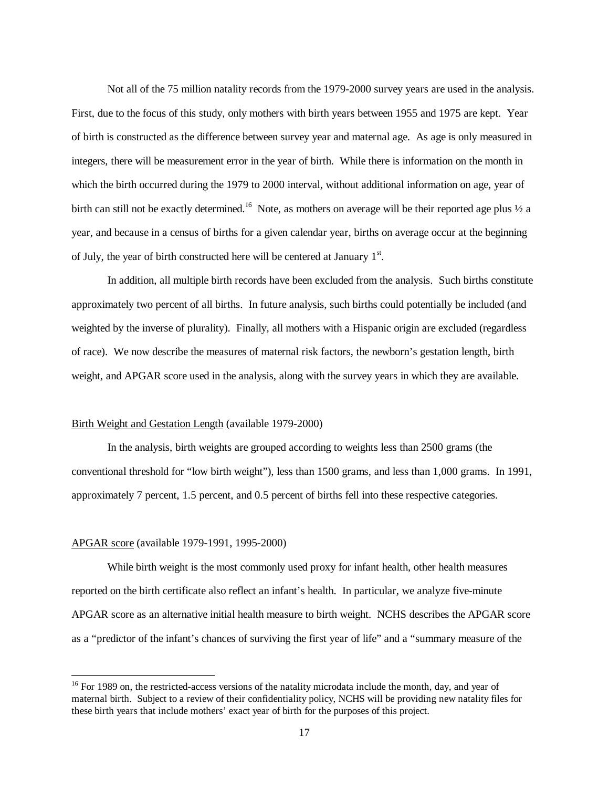Not all of the 75 million natality records from the 1979-2000 survey years are used in the analysis. First, due to the focus of this study, only mothers with birth years between 1955 and 1975 are kept. Year of birth is constructed as the difference between survey year and maternal age. As age is only measured in integers, there will be measurement error in the year of birth. While there is information on the month in which the birth occurred during the 1979 to 2000 interval, without additional information on age, year of birth can still not be exactly determined.<sup>16</sup> Note, as mothers on average will be their reported age plus  $\frac{1}{2}$  a year, and because in a census of births for a given calendar year, births on average occur at the beginning of July, the year of birth constructed here will be centered at January  $1<sup>st</sup>$ .

In addition, all multiple birth records have been excluded from the analysis. Such births constitute approximately two percent of all births. In future analysis, such births could potentially be included (and weighted by the inverse of plurality). Finally, all mothers with a Hispanic origin are excluded (regardless of race). We now describe the measures of maternal risk factors, the newborn's gestation length, birth weight, and APGAR score used in the analysis, along with the survey years in which they are available.

## Birth Weight and Gestation Length (available 1979-2000)

In the analysis, birth weights are grouped according to weights less than 2500 grams (the conventional threshold for "low birth weight"), less than 1500 grams, and less than 1,000 grams. In 1991, approximately 7 percent, 1.5 percent, and 0.5 percent of births fell into these respective categories.

#### APGAR score (available 1979-1991, 1995-2000)

 $\overline{a}$ 

While birth weight is the most commonly used proxy for infant health, other health measures reported on the birth certificate also reflect an infant's health. In particular, we analyze five-minute APGAR score as an alternative initial health measure to birth weight. NCHS describes the APGAR score as a "predictor of the infant's chances of surviving the first year of life" and a "summary measure of the

<sup>&</sup>lt;sup>16</sup> For 1989 on, the restricted-access versions of the natality microdata include the month, day, and year of maternal birth. Subject to a review of their confidentiality policy, NCHS will be providing new natality files for these birth years that include mothers' exact year of birth for the purposes of this project.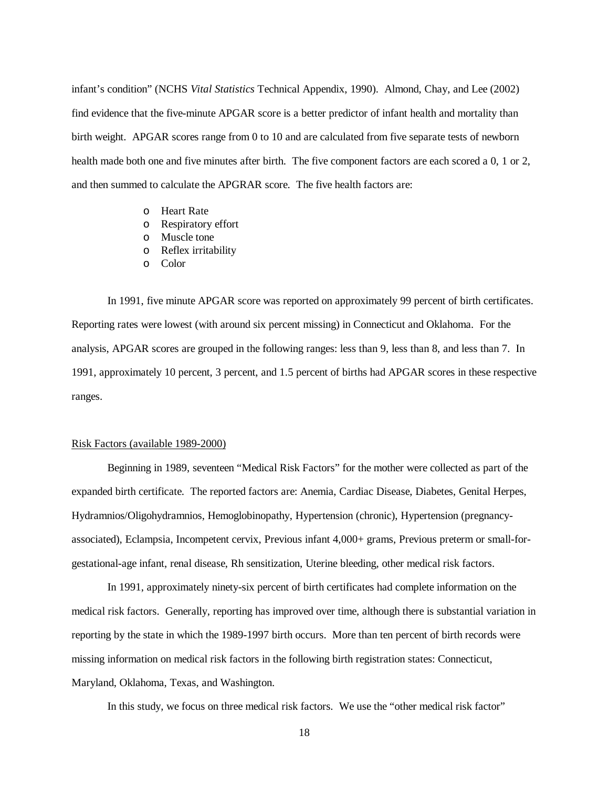infant's condition" (NCHS *Vital Statistics* Technical Appendix, 1990). Almond, Chay, and Lee (2002) find evidence that the five-minute APGAR score is a better predictor of infant health and mortality than birth weight. APGAR scores range from 0 to 10 and are calculated from five separate tests of newborn health made both one and five minutes after birth. The five component factors are each scored a 0, 1 or 2, and then summed to calculate the APGRAR score. The five health factors are:

- o Heart Rate
- o Respiratory effort
- o Muscle tone
- o Reflex irritability
- o Color

 In 1991, five minute APGAR score was reported on approximately 99 percent of birth certificates. Reporting rates were lowest (with around six percent missing) in Connecticut and Oklahoma. For the analysis, APGAR scores are grouped in the following ranges: less than 9, less than 8, and less than 7. In 1991, approximately 10 percent, 3 percent, and 1.5 percent of births had APGAR scores in these respective ranges.

#### Risk Factors (available 1989-2000)

Beginning in 1989, seventeen "Medical Risk Factors" for the mother were collected as part of the expanded birth certificate. The reported factors are: Anemia, Cardiac Disease, Diabetes, Genital Herpes, Hydramnios/Oligohydramnios, Hemoglobinopathy, Hypertension (chronic), Hypertension (pregnancyassociated), Eclampsia, Incompetent cervix, Previous infant 4,000+ grams, Previous preterm or small-forgestational-age infant, renal disease, Rh sensitization, Uterine bleeding, other medical risk factors.

In 1991, approximately ninety-six percent of birth certificates had complete information on the medical risk factors. Generally, reporting has improved over time, although there is substantial variation in reporting by the state in which the 1989-1997 birth occurs. More than ten percent of birth records were missing information on medical risk factors in the following birth registration states: Connecticut, Maryland, Oklahoma, Texas, and Washington.

In this study, we focus on three medical risk factors. We use the "other medical risk factor"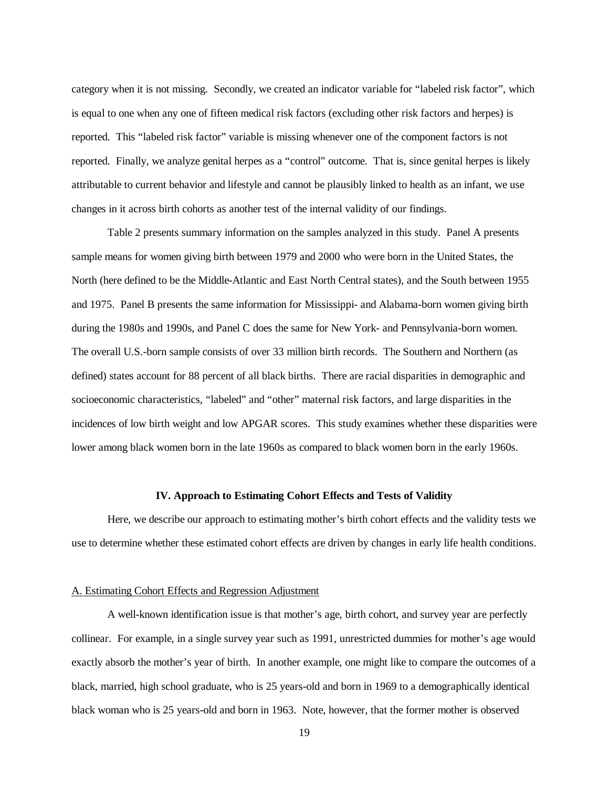category when it is not missing. Secondly, we created an indicator variable for "labeled risk factor", which is equal to one when any one of fifteen medical risk factors (excluding other risk factors and herpes) is reported. This "labeled risk factor" variable is missing whenever one of the component factors is not reported. Finally, we analyze genital herpes as a "control" outcome. That is, since genital herpes is likely attributable to current behavior and lifestyle and cannot be plausibly linked to health as an infant, we use changes in it across birth cohorts as another test of the internal validity of our findings.

 Table 2 presents summary information on the samples analyzed in this study. Panel A presents sample means for women giving birth between 1979 and 2000 who were born in the United States, the North (here defined to be the Middle-Atlantic and East North Central states), and the South between 1955 and 1975. Panel B presents the same information for Mississippi- and Alabama-born women giving birth during the 1980s and 1990s, and Panel C does the same for New York- and Pennsylvania-born women. The overall U.S.-born sample consists of over 33 million birth records. The Southern and Northern (as defined) states account for 88 percent of all black births. There are racial disparities in demographic and socioeconomic characteristics, "labeled" and "other" maternal risk factors, and large disparities in the incidences of low birth weight and low APGAR scores. This study examines whether these disparities were lower among black women born in the late 1960s as compared to black women born in the early 1960s.

#### **IV. Approach to Estimating Cohort Effects and Tests of Validity**

 Here, we describe our approach to estimating mother's birth cohort effects and the validity tests we use to determine whether these estimated cohort effects are driven by changes in early life health conditions.

#### A. Estimating Cohort Effects and Regression Adjustment

 A well-known identification issue is that mother's age, birth cohort, and survey year are perfectly collinear. For example, in a single survey year such as 1991, unrestricted dummies for mother's age would exactly absorb the mother's year of birth. In another example, one might like to compare the outcomes of a black, married, high school graduate, who is 25 years-old and born in 1969 to a demographically identical black woman who is 25 years-old and born in 1963. Note, however, that the former mother is observed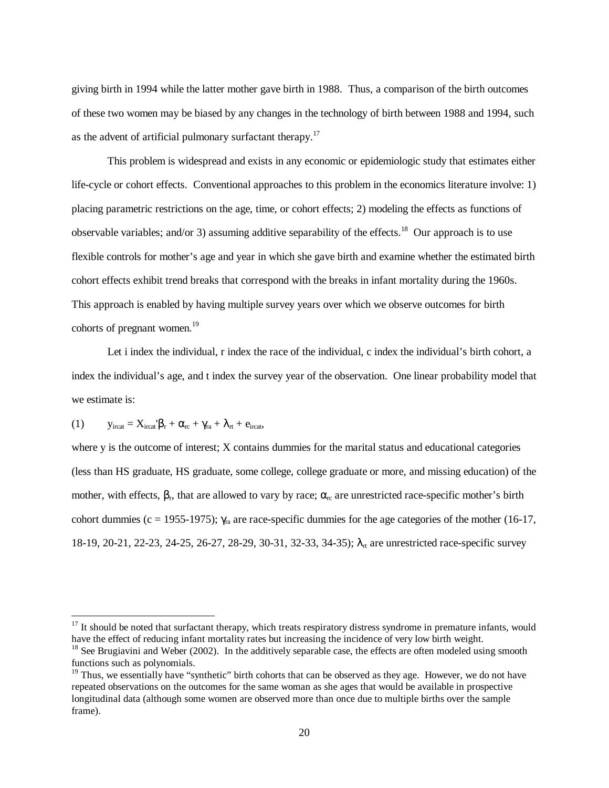giving birth in 1994 while the latter mother gave birth in 1988. Thus, a comparison of the birth outcomes of these two women may be biased by any changes in the technology of birth between 1988 and 1994, such as the advent of artificial pulmonary surfactant therapy.<sup>17</sup>

 This problem is widespread and exists in any economic or epidemiologic study that estimates either life-cycle or cohort effects. Conventional approaches to this problem in the economics literature involve: 1) placing parametric restrictions on the age, time, or cohort effects; 2) modeling the effects as functions of observable variables; and/or 3) assuming additive separability of the effects.<sup>18</sup> Our approach is to use flexible controls for mother's age and year in which she gave birth and examine whether the estimated birth cohort effects exhibit trend breaks that correspond with the breaks in infant mortality during the 1960s. This approach is enabled by having multiple survey years over which we observe outcomes for birth cohorts of pregnant women.<sup>19</sup>

 Let i index the individual, r index the race of the individual, c index the individual's birth cohort, a index the individual's age, and t index the survey year of the observation. One linear probability model that we estimate is:

(1)  $y_{\text{ircat}} = X_{\text{ircat}}' \beta_r + \alpha_{\text{rc}} + \gamma_{\text{ra}} + \lambda_{\text{rt}} + e_{\text{ircat}},$ 

 $\overline{a}$ 

where y is the outcome of interest; X contains dummies for the marital status and educational categories (less than HS graduate, HS graduate, some college, college graduate or more, and missing education) of the mother, with effects,  $\beta_r$ , that are allowed to vary by race;  $\alpha_{rc}$  are unrestricted race-specific mother's birth cohort dummies (c = 1955-1975);  $\gamma_{\text{ra}}$  are race-specific dummies for the age categories of the mother (16-17, 18-19, 20-21, 22-23, 24-25, 26-27, 28-29, 30-31, 32-33, 34-35); λ<sub>π</sub> are unrestricted race-specific survey

 $17$  It should be noted that surfactant therapy, which treats respiratory distress syndrome in premature infants, would have the effect of reducing infant mortality rates but increasing the incidence of very low birth weight.

 $18$  See Brugiavini and Weber (2002). In the additively separable case, the effects are often modeled using smooth functions such as polynomials.

 $19$  Thus, we essentially have "synthetic" birth cohorts that can be observed as they age. However, we do not have repeated observations on the outcomes for the same woman as she ages that would be available in prospective longitudinal data (although some women are observed more than once due to multiple births over the sample frame).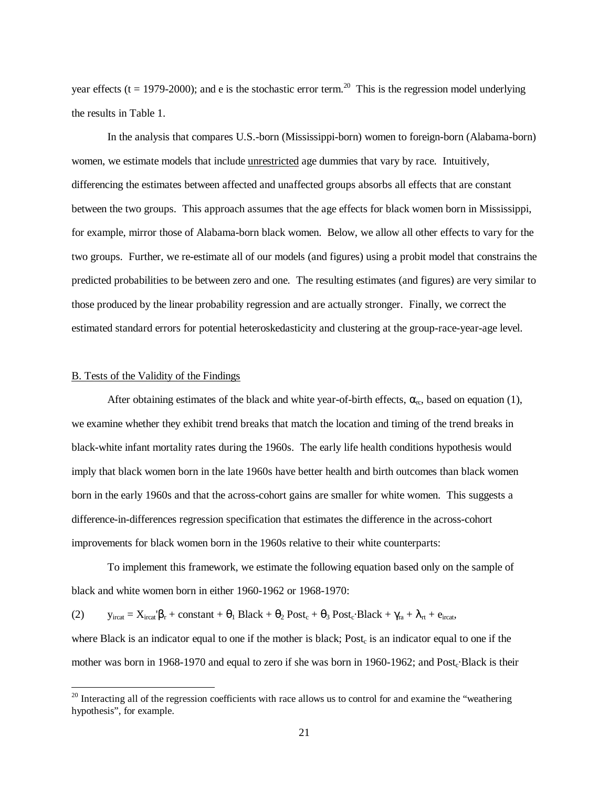year effects ( $t = 1979-2000$ ); and e is the stochastic error term.<sup>20</sup> This is the regression model underlying the results in Table 1.

 In the analysis that compares U.S.-born (Mississippi-born) women to foreign-born (Alabama-born) women, we estimate models that include <u>unrestricted</u> age dummies that vary by race. Intuitively, differencing the estimates between affected and unaffected groups absorbs all effects that are constant between the two groups. This approach assumes that the age effects for black women born in Mississippi, for example, mirror those of Alabama-born black women. Below, we allow all other effects to vary for the two groups. Further, we re-estimate all of our models (and figures) using a probit model that constrains the predicted probabilities to be between zero and one. The resulting estimates (and figures) are very similar to those produced by the linear probability regression and are actually stronger. Finally, we correct the estimated standard errors for potential heteroskedasticity and clustering at the group-race-year-age level.

#### B. Tests of the Validity of the Findings

 $\overline{a}$ 

After obtaining estimates of the black and white year-of-birth effects,  $\alpha_{rc}$ , based on equation (1), we examine whether they exhibit trend breaks that match the location and timing of the trend breaks in black-white infant mortality rates during the 1960s. The early life health conditions hypothesis would imply that black women born in the late 1960s have better health and birth outcomes than black women born in the early 1960s and that the across-cohort gains are smaller for white women. This suggests a difference-in-differences regression specification that estimates the difference in the across-cohort improvements for black women born in the 1960s relative to their white counterparts:

 To implement this framework, we estimate the following equation based only on the sample of black and white women born in either 1960-1962 or 1968-1970:

(2)  $y_{\text{ircat}} = X_{\text{ircat}}\beta_r + \text{constant} + \theta_1 \text{ Black} + \theta_2 \text{Post}_c + \theta_3 \text{Post}_c \cdot \text{Black} + \gamma_{ra} + \lambda_{rt} + e_{\text{ircat}}$ 

where Black is an indicator equal to one if the mother is black;  $Post<sub>c</sub>$  is an indicator equal to one if the mother was born in 1968-1970 and equal to zero if she was born in 1960-1962; and Post<sub>c</sub>·Black is their

 $^{20}$  Interacting all of the regression coefficients with race allows us to control for and examine the "weathering" hypothesis", for example.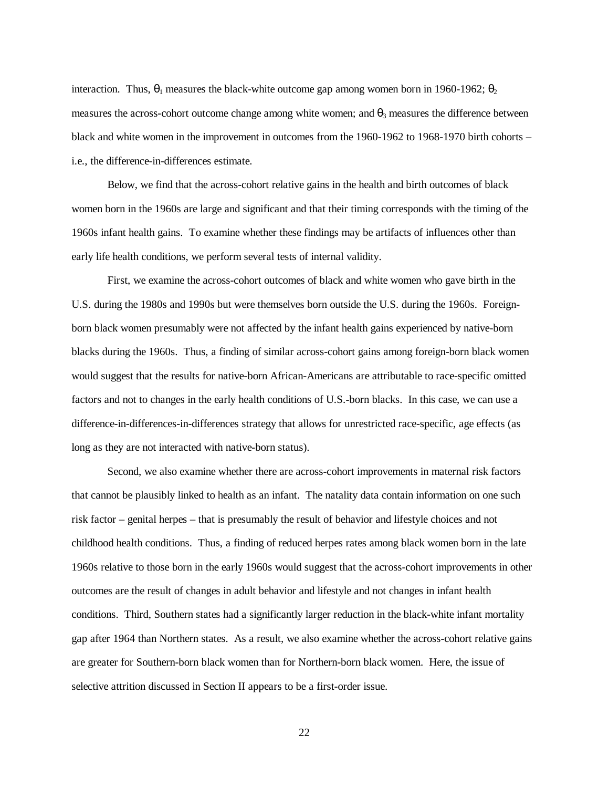interaction. Thus,  $\theta_1$  measures the black-white outcome gap among women born in 1960-1962;  $\theta_2$ measures the across-cohort outcome change among white women; and  $\theta_3$  measures the difference between black and white women in the improvement in outcomes from the 1960-1962 to 1968-1970 birth cohorts – i.e., the difference-in-differences estimate.

 Below, we find that the across-cohort relative gains in the health and birth outcomes of black women born in the 1960s are large and significant and that their timing corresponds with the timing of the 1960s infant health gains. To examine whether these findings may be artifacts of influences other than early life health conditions, we perform several tests of internal validity.

First, we examine the across-cohort outcomes of black and white women who gave birth in the U.S. during the 1980s and 1990s but were themselves born outside the U.S. during the 1960s. Foreignborn black women presumably were not affected by the infant health gains experienced by native-born blacks during the 1960s. Thus, a finding of similar across-cohort gains among foreign-born black women would suggest that the results for native-born African-Americans are attributable to race-specific omitted factors and not to changes in the early health conditions of U.S.-born blacks. In this case, we can use a difference-in-differences-in-differences strategy that allows for unrestricted race-specific, age effects (as long as they are not interacted with native-born status).

 Second, we also examine whether there are across-cohort improvements in maternal risk factors that cannot be plausibly linked to health as an infant. The natality data contain information on one such risk factor – genital herpes – that is presumably the result of behavior and lifestyle choices and not childhood health conditions. Thus, a finding of reduced herpes rates among black women born in the late 1960s relative to those born in the early 1960s would suggest that the across-cohort improvements in other outcomes are the result of changes in adult behavior and lifestyle and not changes in infant health conditions. Third, Southern states had a significantly larger reduction in the black-white infant mortality gap after 1964 than Northern states. As a result, we also examine whether the across-cohort relative gains are greater for Southern-born black women than for Northern-born black women. Here, the issue of selective attrition discussed in Section II appears to be a first-order issue.

22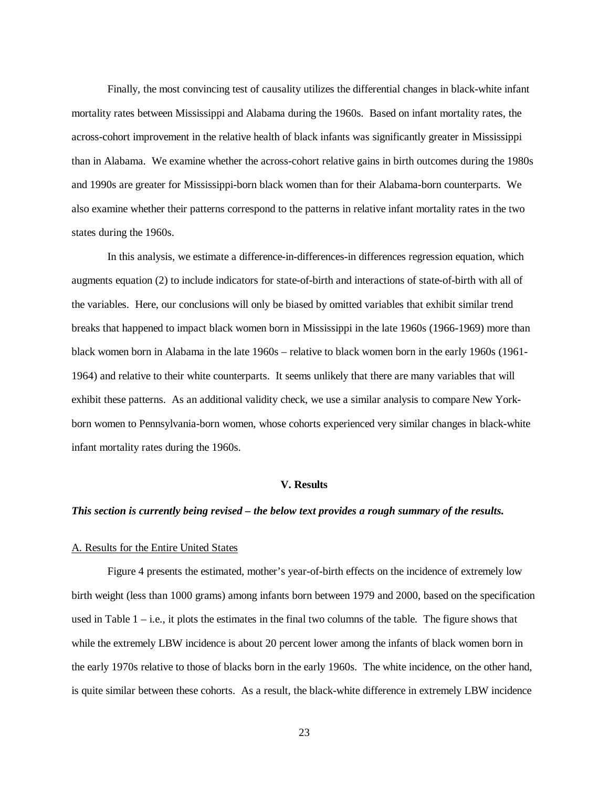Finally, the most convincing test of causality utilizes the differential changes in black-white infant mortality rates between Mississippi and Alabama during the 1960s. Based on infant mortality rates, the across-cohort improvement in the relative health of black infants was significantly greater in Mississippi than in Alabama. We examine whether the across-cohort relative gains in birth outcomes during the 1980s and 1990s are greater for Mississippi-born black women than for their Alabama-born counterparts. We also examine whether their patterns correspond to the patterns in relative infant mortality rates in the two states during the 1960s.

In this analysis, we estimate a difference-in-differences-in differences regression equation, which augments equation (2) to include indicators for state-of-birth and interactions of state-of-birth with all of the variables. Here, our conclusions will only be biased by omitted variables that exhibit similar trend breaks that happened to impact black women born in Mississippi in the late 1960s (1966-1969) more than black women born in Alabama in the late 1960s – relative to black women born in the early 1960s (1961- 1964) and relative to their white counterparts. It seems unlikely that there are many variables that will exhibit these patterns. As an additional validity check, we use a similar analysis to compare New Yorkborn women to Pennsylvania-born women, whose cohorts experienced very similar changes in black-white infant mortality rates during the 1960s.

#### **V. Results**

#### *This section is currently being revised – the below text provides a rough summary of the results.*

#### A. Results for the Entire United States

 Figure 4 presents the estimated, mother's year-of-birth effects on the incidence of extremely low birth weight (less than 1000 grams) among infants born between 1979 and 2000, based on the specification used in Table  $1 - i.e.,$  it plots the estimates in the final two columns of the table. The figure shows that while the extremely LBW incidence is about 20 percent lower among the infants of black women born in the early 1970s relative to those of blacks born in the early 1960s. The white incidence, on the other hand, is quite similar between these cohorts. As a result, the black-white difference in extremely LBW incidence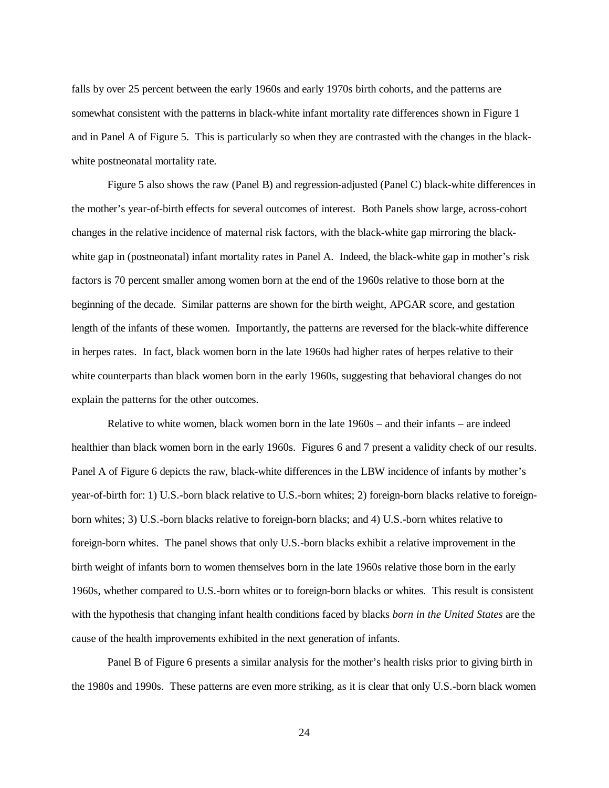falls by over 25 percent between the early 1960s and early 1970s birth cohorts, and the patterns are somewhat consistent with the patterns in black-white infant mortality rate differences shown in Figure 1 and in Panel A of Figure 5. This is particularly so when they are contrasted with the changes in the blackwhite postneonatal mortality rate.

 Figure 5 also shows the raw (Panel B) and regression-adjusted (Panel C) black-white differences in the mother's year-of-birth effects for several outcomes of interest. Both Panels show large, across-cohort changes in the relative incidence of maternal risk factors, with the black-white gap mirroring the blackwhite gap in (postneonatal) infant mortality rates in Panel A. Indeed, the black-white gap in mother's risk factors is 70 percent smaller among women born at the end of the 1960s relative to those born at the beginning of the decade. Similar patterns are shown for the birth weight, APGAR score, and gestation length of the infants of these women. Importantly, the patterns are reversed for the black-white difference in herpes rates. In fact, black women born in the late 1960s had higher rates of herpes relative to their white counterparts than black women born in the early 1960s, suggesting that behavioral changes do not explain the patterns for the other outcomes.

Relative to white women, black women born in the late 1960s – and their infants – are indeed healthier than black women born in the early 1960s. Figures 6 and 7 present a validity check of our results. Panel A of Figure 6 depicts the raw, black-white differences in the LBW incidence of infants by mother's year-of-birth for: 1) U.S.-born black relative to U.S.-born whites; 2) foreign-born blacks relative to foreignborn whites; 3) U.S.-born blacks relative to foreign-born blacks; and 4) U.S.-born whites relative to foreign-born whites. The panel shows that only U.S.-born blacks exhibit a relative improvement in the birth weight of infants born to women themselves born in the late 1960s relative those born in the early 1960s, whether compared to U.S.-born whites or to foreign-born blacks or whites. This result is consistent with the hypothesis that changing infant health conditions faced by blacks *born in the United States* are the cause of the health improvements exhibited in the next generation of infants.

Panel B of Figure 6 presents a similar analysis for the mother's health risks prior to giving birth in the 1980s and 1990s. These patterns are even more striking, as it is clear that only U.S.-born black women

24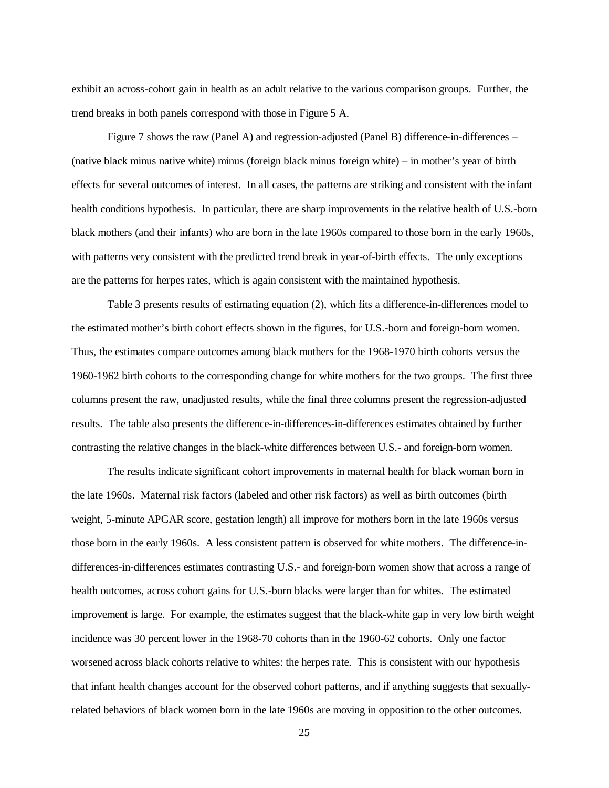exhibit an across-cohort gain in health as an adult relative to the various comparison groups. Further, the trend breaks in both panels correspond with those in Figure 5 A.

Figure 7 shows the raw (Panel A) and regression-adjusted (Panel B) difference-in-differences – (native black minus native white) minus (foreign black minus foreign white) – in mother's year of birth effects for several outcomes of interest. In all cases, the patterns are striking and consistent with the infant health conditions hypothesis. In particular, there are sharp improvements in the relative health of U.S.-born black mothers (and their infants) who are born in the late 1960s compared to those born in the early 1960s, with patterns very consistent with the predicted trend break in year-of-birth effects. The only exceptions are the patterns for herpes rates, which is again consistent with the maintained hypothesis.

Table 3 presents results of estimating equation (2), which fits a difference-in-differences model to the estimated mother's birth cohort effects shown in the figures, for U.S.-born and foreign-born women. Thus, the estimates compare outcomes among black mothers for the 1968-1970 birth cohorts versus the 1960-1962 birth cohorts to the corresponding change for white mothers for the two groups. The first three columns present the raw, unadjusted results, while the final three columns present the regression-adjusted results. The table also presents the difference-in-differences-in-differences estimates obtained by further contrasting the relative changes in the black-white differences between U.S.- and foreign-born women.

The results indicate significant cohort improvements in maternal health for black woman born in the late 1960s. Maternal risk factors (labeled and other risk factors) as well as birth outcomes (birth weight, 5-minute APGAR score, gestation length) all improve for mothers born in the late 1960s versus those born in the early 1960s. A less consistent pattern is observed for white mothers. The difference-indifferences-in-differences estimates contrasting U.S.- and foreign-born women show that across a range of health outcomes, across cohort gains for U.S.-born blacks were larger than for whites. The estimated improvement is large. For example, the estimates suggest that the black-white gap in very low birth weight incidence was 30 percent lower in the 1968-70 cohorts than in the 1960-62 cohorts. Only one factor worsened across black cohorts relative to whites: the herpes rate. This is consistent with our hypothesis that infant health changes account for the observed cohort patterns, and if anything suggests that sexuallyrelated behaviors of black women born in the late 1960s are moving in opposition to the other outcomes.

25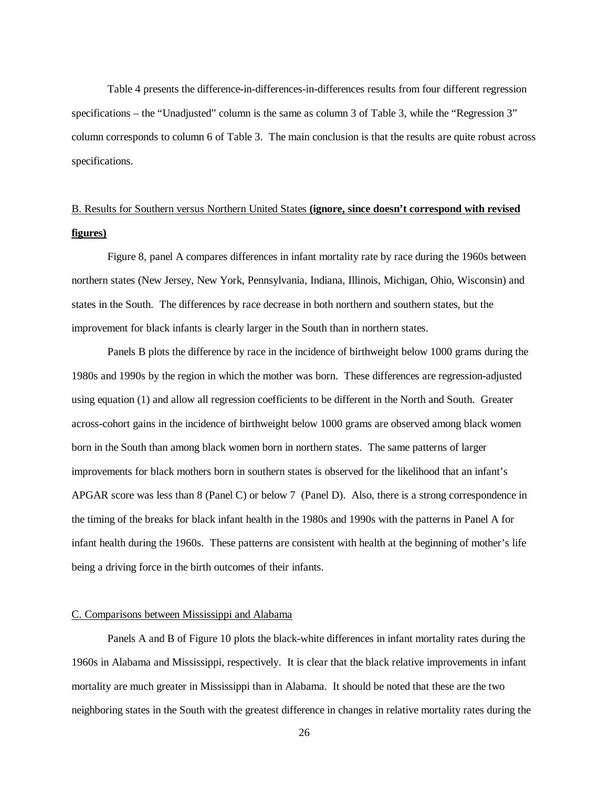Table 4 presents the difference-in-differences-in-differences results from four different regression specifications – the "Unadjusted" column is the same as column 3 of Table 3, while the "Regression 3" column corresponds to column 6 of Table 3. The main conclusion is that the results are quite robust across specifications.

# B. Results for Southern versus Northern United States **(ignore, since doesn't correspond with revised figures)**

Figure 8, panel A compares differences in infant mortality rate by race during the 1960s between northern states (New Jersey, New York, Pennsylvania, Indiana, Illinois, Michigan, Ohio, Wisconsin) and states in the South. The differences by race decrease in both northern and southern states, but the improvement for black infants is clearly larger in the South than in northern states.

Panels B plots the difference by race in the incidence of birthweight below 1000 grams during the 1980s and 1990s by the region in which the mother was born. These differences are regression-adjusted using equation (1) and allow all regression coefficients to be different in the North and South. Greater across-cohort gains in the incidence of birthweight below 1000 grams are observed among black women born in the South than among black women born in northern states. The same patterns of larger improvements for black mothers born in southern states is observed for the likelihood that an infant's APGAR score was less than 8 (Panel C) or below 7 (Panel D). Also, there is a strong correspondence in the timing of the breaks for black infant health in the 1980s and 1990s with the patterns in Panel A for infant health during the 1960s. These patterns are consistent with health at the beginning of mother's life being a driving force in the birth outcomes of their infants.

#### C. Comparisons between Mississippi and Alabama

Panels A and B of Figure 10 plots the black-white differences in infant mortality rates during the 1960s in Alabama and Mississippi, respectively. It is clear that the black relative improvements in infant mortality are much greater in Mississippi than in Alabama. It should be noted that these are the two neighboring states in the South with the greatest difference in changes in relative mortality rates during the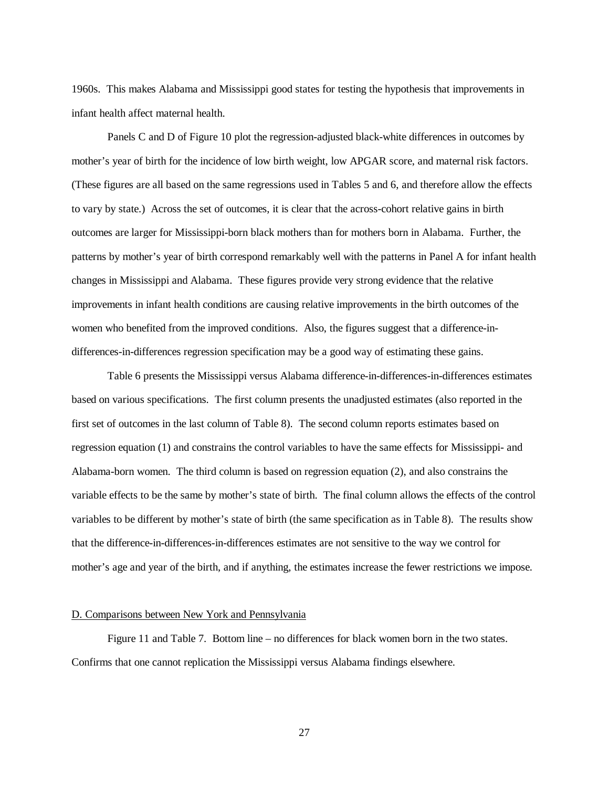1960s. This makes Alabama and Mississippi good states for testing the hypothesis that improvements in infant health affect maternal health.

Panels C and D of Figure 10 plot the regression-adjusted black-white differences in outcomes by mother's year of birth for the incidence of low birth weight, low APGAR score, and maternal risk factors. (These figures are all based on the same regressions used in Tables 5 and 6, and therefore allow the effects to vary by state.) Across the set of outcomes, it is clear that the across-cohort relative gains in birth outcomes are larger for Mississippi-born black mothers than for mothers born in Alabama. Further, the patterns by mother's year of birth correspond remarkably well with the patterns in Panel A for infant health changes in Mississippi and Alabama. These figures provide very strong evidence that the relative improvements in infant health conditions are causing relative improvements in the birth outcomes of the women who benefited from the improved conditions. Also, the figures suggest that a difference-indifferences-in-differences regression specification may be a good way of estimating these gains.

Table 6 presents the Mississippi versus Alabama difference-in-differences-in-differences estimates based on various specifications. The first column presents the unadjusted estimates (also reported in the first set of outcomes in the last column of Table 8). The second column reports estimates based on regression equation (1) and constrains the control variables to have the same effects for Mississippi- and Alabama-born women. The third column is based on regression equation (2), and also constrains the variable effects to be the same by mother's state of birth. The final column allows the effects of the control variables to be different by mother's state of birth (the same specification as in Table 8). The results show that the difference-in-differences-in-differences estimates are not sensitive to the way we control for mother's age and year of the birth, and if anything, the estimates increase the fewer restrictions we impose.

#### D. Comparisons between New York and Pennsylvania

 Figure 11 and Table 7. Bottom line – no differences for black women born in the two states. Confirms that one cannot replication the Mississippi versus Alabama findings elsewhere.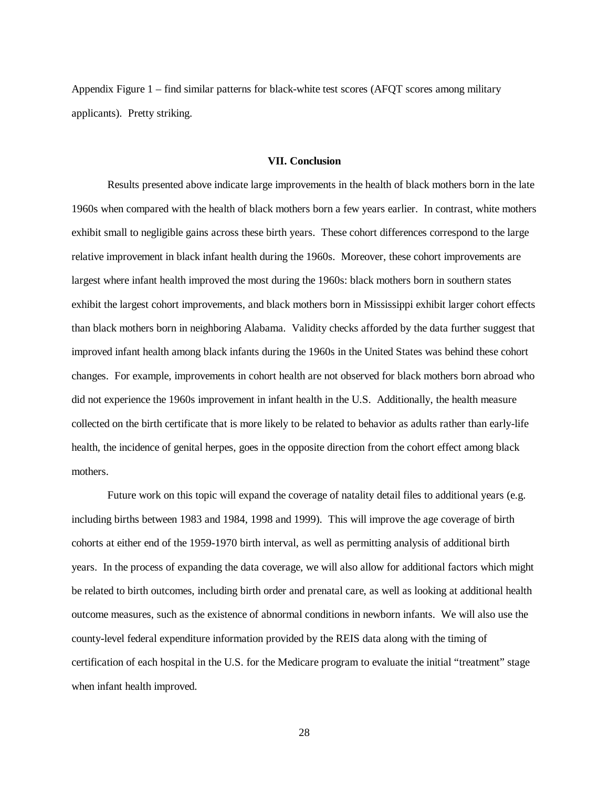Appendix Figure 1 – find similar patterns for black-white test scores (AFQT scores among military applicants). Pretty striking.

#### **VII. Conclusion**

 Results presented above indicate large improvements in the health of black mothers born in the late 1960s when compared with the health of black mothers born a few years earlier. In contrast, white mothers exhibit small to negligible gains across these birth years. These cohort differences correspond to the large relative improvement in black infant health during the 1960s. Moreover, these cohort improvements are largest where infant health improved the most during the 1960s: black mothers born in southern states exhibit the largest cohort improvements, and black mothers born in Mississippi exhibit larger cohort effects than black mothers born in neighboring Alabama. Validity checks afforded by the data further suggest that improved infant health among black infants during the 1960s in the United States was behind these cohort changes. For example, improvements in cohort health are not observed for black mothers born abroad who did not experience the 1960s improvement in infant health in the U.S. Additionally, the health measure collected on the birth certificate that is more likely to be related to behavior as adults rather than early-life health, the incidence of genital herpes, goes in the opposite direction from the cohort effect among black mothers.

Future work on this topic will expand the coverage of natality detail files to additional years (e.g. including births between 1983 and 1984, 1998 and 1999). This will improve the age coverage of birth cohorts at either end of the 1959-1970 birth interval, as well as permitting analysis of additional birth years. In the process of expanding the data coverage, we will also allow for additional factors which might be related to birth outcomes, including birth order and prenatal care, as well as looking at additional health outcome measures, such as the existence of abnormal conditions in newborn infants. We will also use the county-level federal expenditure information provided by the REIS data along with the timing of certification of each hospital in the U.S. for the Medicare program to evaluate the initial "treatment" stage when infant health improved.

28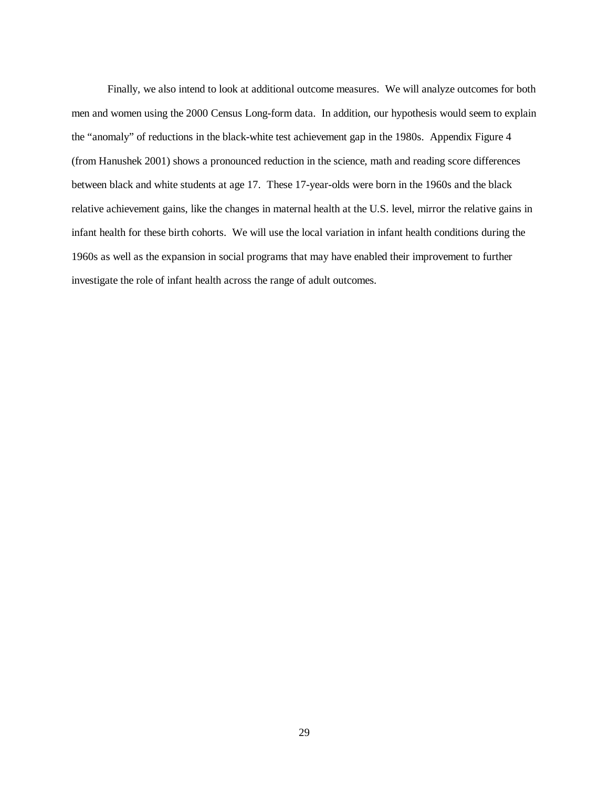Finally, we also intend to look at additional outcome measures. We will analyze outcomes for both men and women using the 2000 Census Long-form data. In addition, our hypothesis would seem to explain the "anomaly" of reductions in the black-white test achievement gap in the 1980s. Appendix Figure 4 (from Hanushek 2001) shows a pronounced reduction in the science, math and reading score differences between black and white students at age 17. These 17-year-olds were born in the 1960s and the black relative achievement gains, like the changes in maternal health at the U.S. level, mirror the relative gains in infant health for these birth cohorts. We will use the local variation in infant health conditions during the 1960s as well as the expansion in social programs that may have enabled their improvement to further investigate the role of infant health across the range of adult outcomes.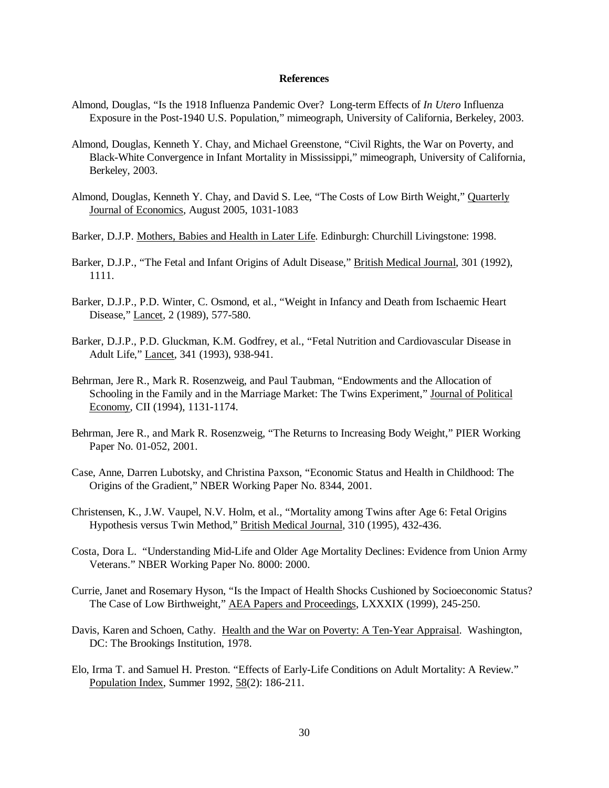#### **References**

- Almond, Douglas, "Is the 1918 Influenza Pandemic Over? Long-term Effects of *In Utero* Influenza Exposure in the Post-1940 U.S. Population," mimeograph, University of California, Berkeley, 2003.
- Almond, Douglas, Kenneth Y. Chay, and Michael Greenstone, "Civil Rights, the War on Poverty, and Black-White Convergence in Infant Mortality in Mississippi," mimeograph, University of California, Berkeley, 2003.
- Almond, Douglas, Kenneth Y. Chay, and David S. Lee, "The Costs of Low Birth Weight," Quarterly Journal of Economics, August 2005, 1031-1083
- Barker, D.J.P. Mothers, Babies and Health in Later Life. Edinburgh: Churchill Livingstone: 1998.
- Barker, D.J.P., "The Fetal and Infant Origins of Adult Disease," British Medical Journal, 301 (1992), 1111.
- Barker, D.J.P., P.D. Winter, C. Osmond, et al., "Weight in Infancy and Death from Ischaemic Heart Disease," Lancet, 2 (1989), 577-580.
- Barker, D.J.P., P.D. Gluckman, K.M. Godfrey, et al., "Fetal Nutrition and Cardiovascular Disease in Adult Life," Lancet, 341 (1993), 938-941.
- Behrman, Jere R., Mark R. Rosenzweig, and Paul Taubman, "Endowments and the Allocation of Schooling in the Family and in the Marriage Market: The Twins Experiment," Journal of Political Economy, CII (1994), 1131-1174.
- Behrman, Jere R., and Mark R. Rosenzweig, "The Returns to Increasing Body Weight," PIER Working Paper No. 01-052, 2001.
- Case, Anne, Darren Lubotsky, and Christina Paxson, "Economic Status and Health in Childhood: The Origins of the Gradient," NBER Working Paper No. 8344, 2001.
- Christensen, K., J.W. Vaupel, N.V. Holm, et al., "Mortality among Twins after Age 6: Fetal Origins Hypothesis versus Twin Method," British Medical Journal, 310 (1995), 432-436.
- Costa, Dora L. "Understanding Mid-Life and Older Age Mortality Declines: Evidence from Union Army Veterans." NBER Working Paper No. 8000: 2000.
- Currie, Janet and Rosemary Hyson, "Is the Impact of Health Shocks Cushioned by Socioeconomic Status? The Case of Low Birthweight," AEA Papers and Proceedings, LXXXIX (1999), 245-250.
- Davis, Karen and Schoen, Cathy. Health and the War on Poverty: A Ten-Year Appraisal. Washington, DC: The Brookings Institution, 1978.
- Elo, Irma T. and Samuel H. Preston. "Effects of Early-Life Conditions on Adult Mortality: A Review." Population Index, Summer 1992, 58(2): 186-211.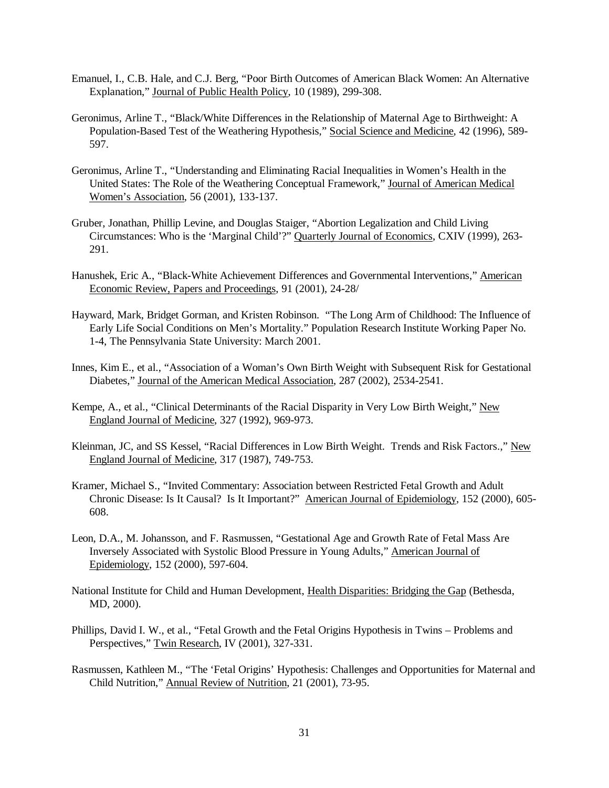- Emanuel, I., C.B. Hale, and C.J. Berg, "Poor Birth Outcomes of American Black Women: An Alternative Explanation," Journal of Public Health Policy, 10 (1989), 299-308.
- Geronimus, Arline T., "Black/White Differences in the Relationship of Maternal Age to Birthweight: A Population-Based Test of the Weathering Hypothesis," Social Science and Medicine, 42 (1996), 589- 597.
- Geronimus, Arline T., "Understanding and Eliminating Racial Inequalities in Women's Health in the United States: The Role of the Weathering Conceptual Framework," Journal of American Medical Women's Association, 56 (2001), 133-137.
- Gruber, Jonathan, Phillip Levine, and Douglas Staiger, "Abortion Legalization and Child Living Circumstances: Who is the 'Marginal Child'?" Quarterly Journal of Economics, CXIV (1999), 263- 291.
- Hanushek, Eric A., "Black-White Achievement Differences and Governmental Interventions," American Economic Review, Papers and Proceedings, 91 (2001), 24-28/
- Hayward, Mark, Bridget Gorman, and Kristen Robinson. "The Long Arm of Childhood: The Influence of Early Life Social Conditions on Men's Mortality." Population Research Institute Working Paper No. 1-4, The Pennsylvania State University: March 2001.
- Innes, Kim E., et al., "Association of a Woman's Own Birth Weight with Subsequent Risk for Gestational Diabetes," Journal of the American Medical Association, 287 (2002), 2534-2541.
- Kempe, A., et al., "Clinical Determinants of the Racial Disparity in Very Low Birth Weight," New England Journal of Medicine, 327 (1992), 969-973.
- Kleinman, JC, and SS Kessel, "Racial Differences in Low Birth Weight. Trends and Risk Factors.," New England Journal of Medicine, 317 (1987), 749-753.
- Kramer, Michael S., "Invited Commentary: Association between Restricted Fetal Growth and Adult Chronic Disease: Is It Causal? Is It Important?" American Journal of Epidemiology, 152 (2000), 605- 608.
- Leon, D.A., M. Johansson, and F. Rasmussen, "Gestational Age and Growth Rate of Fetal Mass Are Inversely Associated with Systolic Blood Pressure in Young Adults," American Journal of Epidemiology, 152 (2000), 597-604.
- National Institute for Child and Human Development, Health Disparities: Bridging the Gap (Bethesda, MD, 2000).
- Phillips, David I. W., et al., "Fetal Growth and the Fetal Origins Hypothesis in Twins Problems and Perspectives," Twin Research, IV (2001), 327-331.
- Rasmussen, Kathleen M., "The 'Fetal Origins' Hypothesis: Challenges and Opportunities for Maternal and Child Nutrition," Annual Review of Nutrition, 21 (2001), 73-95.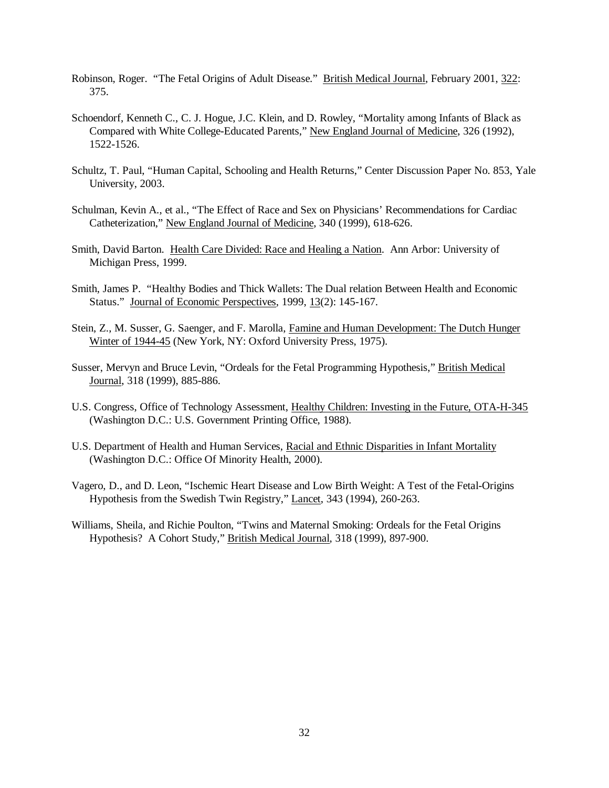- Robinson, Roger. "The Fetal Origins of Adult Disease." British Medical Journal, February 2001, 322: 375.
- Schoendorf, Kenneth C., C. J. Hogue, J.C. Klein, and D. Rowley, "Mortality among Infants of Black as Compared with White College-Educated Parents," New England Journal of Medicine, 326 (1992), 1522-1526.
- Schultz, T. Paul, "Human Capital, Schooling and Health Returns," Center Discussion Paper No. 853, Yale University, 2003.
- Schulman, Kevin A., et al., "The Effect of Race and Sex on Physicians' Recommendations for Cardiac Catheterization," New England Journal of Medicine, 340 (1999), 618-626.
- Smith, David Barton. Health Care Divided: Race and Healing a Nation. Ann Arbor: University of Michigan Press, 1999.
- Smith, James P. "Healthy Bodies and Thick Wallets: The Dual relation Between Health and Economic Status." Journal of Economic Perspectives, 1999, 13(2): 145-167.
- Stein, Z., M. Susser, G. Saenger, and F. Marolla, Famine and Human Development: The Dutch Hunger Winter of 1944-45 (New York, NY: Oxford University Press, 1975).
- Susser, Mervyn and Bruce Levin, "Ordeals for the Fetal Programming Hypothesis," British Medical Journal, 318 (1999), 885-886.
- U.S. Congress, Office of Technology Assessment, Healthy Children: Investing in the Future, OTA-H-345 (Washington D.C.: U.S. Government Printing Office, 1988).
- U.S. Department of Health and Human Services, Racial and Ethnic Disparities in Infant Mortality (Washington D.C.: Office Of Minority Health, 2000).
- Vagero, D., and D. Leon, "Ischemic Heart Disease and Low Birth Weight: A Test of the Fetal-Origins Hypothesis from the Swedish Twin Registry," Lancet, 343 (1994), 260-263.
- Williams, Sheila, and Richie Poulton, "Twins and Maternal Smoking: Ordeals for the Fetal Origins Hypothesis? A Cohort Study," British Medical Journal, 318 (1999), 897-900.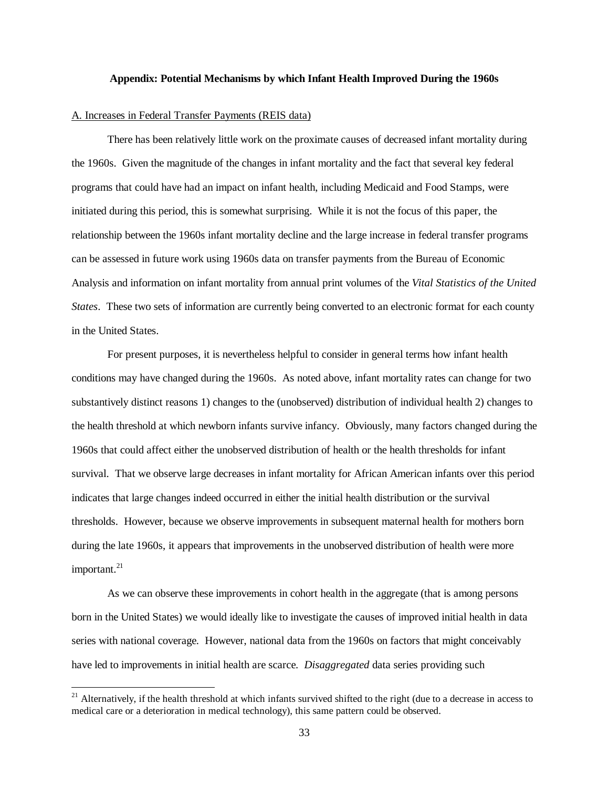#### **Appendix: Potential Mechanisms by which Infant Health Improved During the 1960s**

#### A. Increases in Federal Transfer Payments (REIS data)

 $\overline{a}$ 

There has been relatively little work on the proximate causes of decreased infant mortality during the 1960s. Given the magnitude of the changes in infant mortality and the fact that several key federal programs that could have had an impact on infant health, including Medicaid and Food Stamps, were initiated during this period, this is somewhat surprising. While it is not the focus of this paper, the relationship between the 1960s infant mortality decline and the large increase in federal transfer programs can be assessed in future work using 1960s data on transfer payments from the Bureau of Economic Analysis and information on infant mortality from annual print volumes of the *Vital Statistics of the United States*. These two sets of information are currently being converted to an electronic format for each county in the United States.

For present purposes, it is nevertheless helpful to consider in general terms how infant health conditions may have changed during the 1960s. As noted above, infant mortality rates can change for two substantively distinct reasons 1) changes to the (unobserved) distribution of individual health 2) changes to the health threshold at which newborn infants survive infancy. Obviously, many factors changed during the 1960s that could affect either the unobserved distribution of health or the health thresholds for infant survival. That we observe large decreases in infant mortality for African American infants over this period indicates that large changes indeed occurred in either the initial health distribution or the survival thresholds. However, because we observe improvements in subsequent maternal health for mothers born during the late 1960s, it appears that improvements in the unobserved distribution of health were more important.<sup>21</sup>

As we can observe these improvements in cohort health in the aggregate (that is among persons born in the United States) we would ideally like to investigate the causes of improved initial health in data series with national coverage. However, national data from the 1960s on factors that might conceivably have led to improvements in initial health are scarce. *Disaggregated* data series providing such

 $21$  Alternatively, if the health threshold at which infants survived shifted to the right (due to a decrease in access to medical care or a deterioration in medical technology), this same pattern could be observed.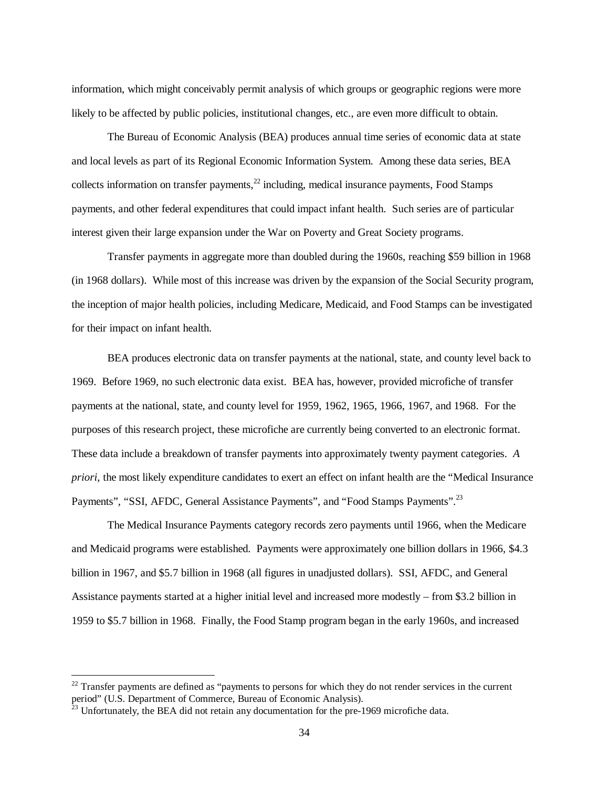information, which might conceivably permit analysis of which groups or geographic regions were more likely to be affected by public policies, institutional changes, etc., are even more difficult to obtain.

The Bureau of Economic Analysis (BEA) produces annual time series of economic data at state and local levels as part of its Regional Economic Information System. Among these data series, BEA collects information on transfer payments, $^{22}$  including, medical insurance payments, Food Stamps payments, and other federal expenditures that could impact infant health. Such series are of particular interest given their large expansion under the War on Poverty and Great Society programs.

Transfer payments in aggregate more than doubled during the 1960s, reaching \$59 billion in 1968 (in 1968 dollars). While most of this increase was driven by the expansion of the Social Security program, the inception of major health policies, including Medicare, Medicaid, and Food Stamps can be investigated for their impact on infant health.

BEA produces electronic data on transfer payments at the national, state, and county level back to 1969. Before 1969, no such electronic data exist. BEA has, however, provided microfiche of transfer payments at the national, state, and county level for 1959, 1962, 1965, 1966, 1967, and 1968. For the purposes of this research project, these microfiche are currently being converted to an electronic format. These data include a breakdown of transfer payments into approximately twenty payment categories. *A priori*, the most likely expenditure candidates to exert an effect on infant health are the "Medical Insurance Payments", "SSI, AFDC, General Assistance Payments", and "Food Stamps Payments".<sup>23</sup>

The Medical Insurance Payments category records zero payments until 1966, when the Medicare and Medicaid programs were established. Payments were approximately one billion dollars in 1966, \$4.3 billion in 1967, and \$5.7 billion in 1968 (all figures in unadjusted dollars). SSI, AFDC, and General Assistance payments started at a higher initial level and increased more modestly – from \$3.2 billion in 1959 to \$5.7 billion in 1968. Finally, the Food Stamp program began in the early 1960s, and increased

 $\overline{a}$ 

 $^{22}$  Transfer payments are defined as "payments to persons for which they do not render services in the current period" (U.S. Department of Commerce, Bureau of Economic Analysis).

 $23$  Unfortunately, the BEA did not retain any documentation for the pre-1969 microfiche data.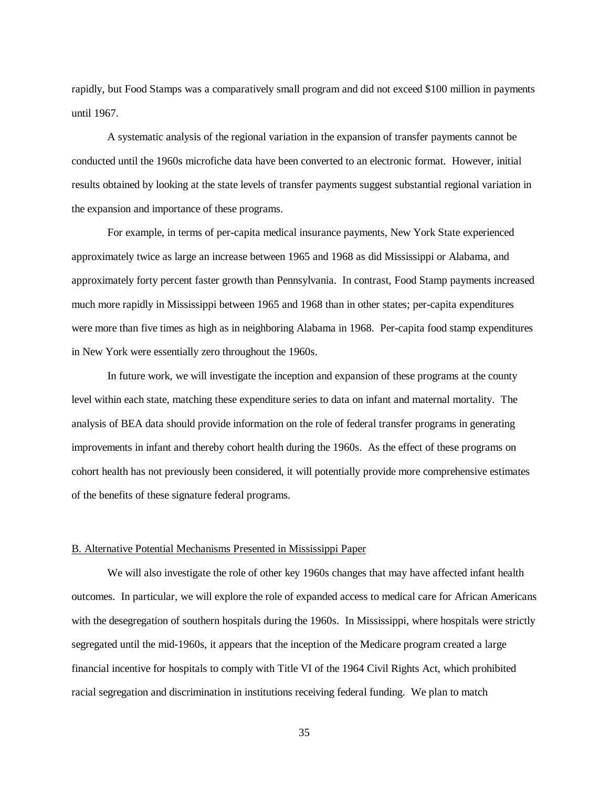rapidly, but Food Stamps was a comparatively small program and did not exceed \$100 million in payments until 1967.

A systematic analysis of the regional variation in the expansion of transfer payments cannot be conducted until the 1960s microfiche data have been converted to an electronic format. However, initial results obtained by looking at the state levels of transfer payments suggest substantial regional variation in the expansion and importance of these programs.

For example, in terms of per-capita medical insurance payments, New York State experienced approximately twice as large an increase between 1965 and 1968 as did Mississippi or Alabama, and approximately forty percent faster growth than Pennsylvania. In contrast, Food Stamp payments increased much more rapidly in Mississippi between 1965 and 1968 than in other states; per-capita expenditures were more than five times as high as in neighboring Alabama in 1968. Per-capita food stamp expenditures in New York were essentially zero throughout the 1960s.

In future work, we will investigate the inception and expansion of these programs at the county level within each state, matching these expenditure series to data on infant and maternal mortality. The analysis of BEA data should provide information on the role of federal transfer programs in generating improvements in infant and thereby cohort health during the 1960s. As the effect of these programs on cohort health has not previously been considered, it will potentially provide more comprehensive estimates of the benefits of these signature federal programs.

#### B. Alternative Potential Mechanisms Presented in Mississippi Paper

We will also investigate the role of other key 1960s changes that may have affected infant health outcomes. In particular, we will explore the role of expanded access to medical care for African Americans with the desegregation of southern hospitals during the 1960s. In Mississippi, where hospitals were strictly segregated until the mid-1960s, it appears that the inception of the Medicare program created a large financial incentive for hospitals to comply with Title VI of the 1964 Civil Rights Act, which prohibited racial segregation and discrimination in institutions receiving federal funding. We plan to match

35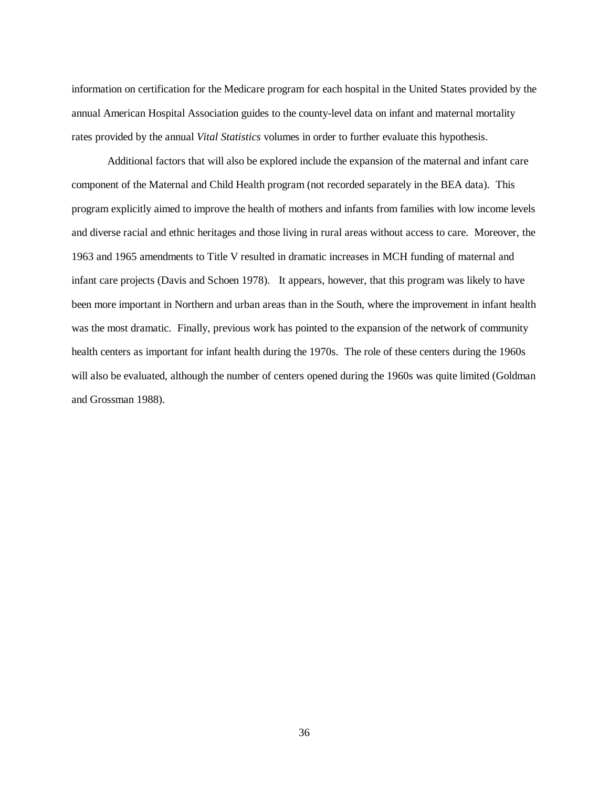information on certification for the Medicare program for each hospital in the United States provided by the annual American Hospital Association guides to the county-level data on infant and maternal mortality rates provided by the annual *Vital Statistics* volumes in order to further evaluate this hypothesis.

Additional factors that will also be explored include the expansion of the maternal and infant care component of the Maternal and Child Health program (not recorded separately in the BEA data). This program explicitly aimed to improve the health of mothers and infants from families with low income levels and diverse racial and ethnic heritages and those living in rural areas without access to care. Moreover, the 1963 and 1965 amendments to Title V resulted in dramatic increases in MCH funding of maternal and infant care projects (Davis and Schoen 1978). It appears, however, that this program was likely to have been more important in Northern and urban areas than in the South, where the improvement in infant health was the most dramatic. Finally, previous work has pointed to the expansion of the network of community health centers as important for infant health during the 1970s. The role of these centers during the 1960s will also be evaluated, although the number of centers opened during the 1960s was quite limited (Goldman and Grossman 1988).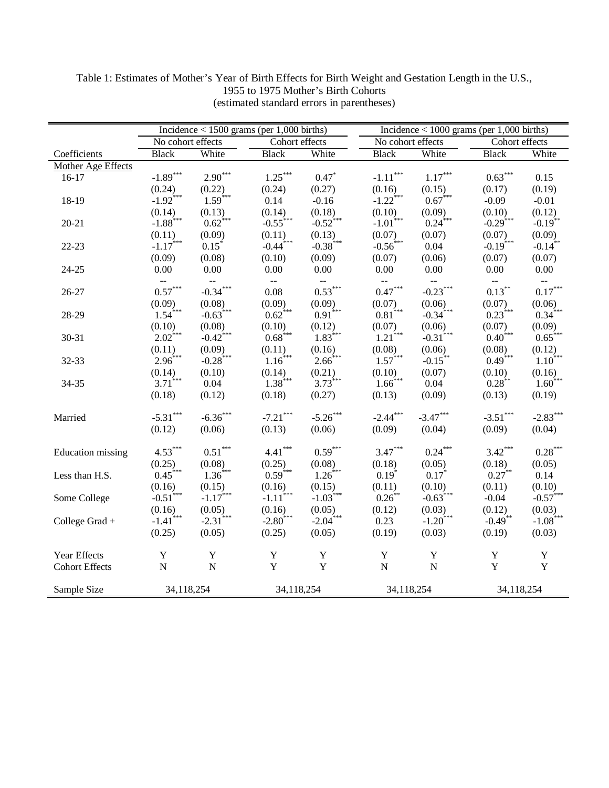|                       |                          |                        | Incidence $< 1500$ grams (per 1,000 births) |                                           |                           | Incidence $< 1000$ grams (per 1,000 births) |                           |                       |  |  |  |  |  |
|-----------------------|--------------------------|------------------------|---------------------------------------------|-------------------------------------------|---------------------------|---------------------------------------------|---------------------------|-----------------------|--|--|--|--|--|
|                       | No cohort effects        |                        | Cohort effects                              |                                           |                           | No cohort effects                           | Cohort effects            |                       |  |  |  |  |  |
| Coefficients          | <b>Black</b>             | White                  | <b>Black</b>                                | White                                     | <b>Black</b>              | White                                       | <b>Black</b>              | White                 |  |  |  |  |  |
| Mother Age Effects    |                          |                        |                                             |                                           |                           |                                             |                           |                       |  |  |  |  |  |
| $16-17$               | $-1.89***$               | $2.90***$              | $1.25***$                                   | $0.47*$                                   | $-1.11***$                | $1.17^{\ast\ast\ast}$                       | $0.63***$                 | 0.15                  |  |  |  |  |  |
|                       | (0.24)                   | (0.22)                 | (0.24)                                      | (0.27)                                    | (0.16)                    | (0.15)                                      | (0.17)                    | (0.19)                |  |  |  |  |  |
| 18-19                 | $-1.92$ <sup>***</sup>   | $1.59***$              | 0.14                                        | $-0.16$                                   | $-1.22$ ***               | $0.67***$                                   | $-0.09$                   | $-0.01$               |  |  |  |  |  |
|                       | (0.14)                   | (0.13)                 | (0.14)                                      | (0.18)                                    | (0.10)                    | (0.09)                                      | (0.10)                    | (0.12)                |  |  |  |  |  |
| $20 - 21$             | $-1.88$ <sup>***</sup>   | $0.62$ <sup>***</sup>  | $-0.55$ <sup>***</sup>                      | $-0.52$ <sup>***</sup>                    | $-1.01$ <sup>***</sup>    | $0.24$ ***                                  | $-0.29$ <sup>***</sup>    | $-0.19$ <sup>**</sup> |  |  |  |  |  |
|                       | (0.11)                   | (0.09)                 | (0.11)                                      | (0.13)                                    | (0.07)                    | (0.07)                                      | (0.07)                    | (0.09)                |  |  |  |  |  |
| $22 - 23$             | $-1.17$ <sup>***</sup>   | $0.15^*$               | $-0.44$ <sup>***</sup>                      | $-0.38$ ***                               | $-0.56$ <sup>***</sup>    | 0.04                                        | $-0.19$ <sup>***</sup>    | $-0.14$ <sup>**</sup> |  |  |  |  |  |
|                       | (0.09)                   | (0.08)                 | (0.10)                                      | (0.09)                                    | (0.07)                    | (0.06)                                      | (0.07)                    | (0.07)                |  |  |  |  |  |
| $24 - 25$             | $0.00\,$                 | $0.00\,$               | 0.00                                        | 0.00                                      | $0.00\,$                  | $0.00\,$                                    | $0.00\,$                  | 0.00                  |  |  |  |  |  |
|                       | $\overline{\phantom{a}}$ | $\mathbb{H}^{\perp}$   | $\mathbb{H}^{\mathbb{H}}$                   | $\rightarrow$                             | $\mathbb{H}^{\mathbb{Z}}$ | $\mathbb{H}^{\mathbb{Z}}$                   | $\mathbb{H}^{\mathbb{Z}}$ | $\mathbb{L}^2$        |  |  |  |  |  |
| 26-27                 | $0.57***$                | $-0.34***$             | 0.08                                        | $0.53***$                                 | $0.47^{\ast\ast\ast}$     | $-0.23***$                                  | $0.13***$                 | $0.17***$             |  |  |  |  |  |
|                       | (0.09)                   | (0.08)                 | (0.09)                                      | $\overset{(0.09)}{0.91}{}^{\ast\ast\ast}$ | (0.07)                    | (0.06)                                      | (0.07)                    | (0.06)                |  |  |  |  |  |
| 28-29                 | $1.54$ <sup>***</sup>    | $-0.63$ <sup>***</sup> | $0.62$ <sup>***</sup>                       |                                           | $0.81$ <sup>***</sup>     | $-0.34$ ***                                 | $0.23***$                 | $0.34$ ***            |  |  |  |  |  |
|                       | (0.10)                   | (0.08)                 | (0.10)                                      | (0.12)                                    | (0.07)                    | (0.06)                                      | (0.07)                    | (0.09)                |  |  |  |  |  |
| 30-31                 | $2.02$ <sup>***</sup>    | $-0.42$ <sup>***</sup> | $0.68$ ***                                  | $1.83***$                                 | $1.21$ <sup>***</sup>     | $-0.31$ <sup>***</sup>                      | $0.40^{***}$              | $0.65***$             |  |  |  |  |  |
|                       | (0.11)                   | (0.09)                 | (0.11)                                      | (0.16)                                    | (0.08)                    | (0.06)                                      | (0.08)                    | (0.12)                |  |  |  |  |  |
| 32-33                 | $2.96***$                | $-0.28$ ***            | $1.16$ ***                                  | $2.66***$                                 | $1.57***$                 | $-0.15$ **                                  | $0.49***$                 | $1.10^{***}$          |  |  |  |  |  |
|                       | (0.14)                   | (0.10)                 | (0.14)                                      | (0.21)                                    | (0.10)                    | (0.07)                                      | (0.10)                    | $(0.16)$<br>$1.60***$ |  |  |  |  |  |
| 34-35                 | $3.71$ <sup>***</sup>    | 0.04                   | $1.38***$                                   | $3.73***$                                 | $1.66$ <sup>***</sup>     | 0.04                                        | $0.28$ **                 |                       |  |  |  |  |  |
|                       | (0.18)                   | (0.12)                 | (0.18)                                      | (0.27)                                    | (0.13)                    | (0.09)                                      | (0.13)                    | (0.19)                |  |  |  |  |  |
|                       |                          |                        |                                             |                                           |                           |                                             |                           |                       |  |  |  |  |  |
| Married               | $-5.31***$               | $-6.36***$             | $-7.21***$                                  | $-5.26***$                                | $-2.44***$                | $-3.47***$                                  | $-3.51***$                | $-2.83***$            |  |  |  |  |  |
|                       | (0.12)                   | (0.06)                 | (0.13)                                      | (0.06)                                    | (0.09)                    | (0.04)                                      | (0.09)                    | (0.04)                |  |  |  |  |  |
|                       |                          |                        |                                             |                                           |                           |                                             |                           |                       |  |  |  |  |  |
| Education missing     | $4.53***$                | $0.51^{\ast\ast\ast}$  | $4.41***$                                   | $0.59***$                                 | $3.47***$                 | $0.24***$                                   | $3.42***$                 | $0.28***$             |  |  |  |  |  |
|                       | (0.25)                   | (0.08)                 | (0.25)                                      | (0.08)                                    | (0.18)                    | (0.05)                                      | (0.18)                    | (0.05)                |  |  |  |  |  |
| Less than H.S.        | $0.45***$                | $1.36***$              | $0.59***$                                   | $1.26$ ***                                | $0.19*$                   | $0.17*$                                     | $0.27***$                 | 0.14                  |  |  |  |  |  |
|                       | (0.16)                   | (0.15)                 | (0.16)                                      | (0.15)                                    | (0.11)                    | (0.10)                                      | (0.11)                    | (0.10)                |  |  |  |  |  |
| Some College          | $-0.51$ <sup>***</sup>   | $-1.17***$             | $-1.11$ <sup>***</sup>                      | $-1.03***$                                | $0.26***$                 | $-0.63***$                                  | $-0.04$                   | $-0.57***$            |  |  |  |  |  |
|                       | (0.16)                   | (0.05)                 | (0.16)                                      | (0.05)                                    | (0.12)                    | (0.03)                                      | (0.12)                    | $(0.03)$<br>-1.08***  |  |  |  |  |  |
| College Grad $+$      | $-1.41$ <sup>***</sup>   | $-2.31$ <sup>***</sup> | $-2.80$ <sup>***</sup>                      | $-2.04$ <sup>***</sup>                    | 0.23                      | $-1.20$ <sup>***</sup>                      | $-0.49$ **                |                       |  |  |  |  |  |
|                       | (0.25)                   | (0.05)                 | (0.25)                                      | (0.05)                                    | (0.19)                    | (0.03)                                      | (0.19)                    | (0.03)                |  |  |  |  |  |
| Year Effects          | Y                        | Y                      | Y                                           | $\mathbf Y$                               | Y                         | $\mathbf Y$                                 | Y                         | $\mathbf Y$           |  |  |  |  |  |
| <b>Cohort Effects</b> | ${\bf N}$                | $\mathbf N$            | $\mathbf Y$                                 | Y                                         | $\mathbf N$               | ${\bf N}$                                   | Y                         | Y                     |  |  |  |  |  |
|                       |                          |                        |                                             |                                           |                           |                                             |                           |                       |  |  |  |  |  |
| Sample Size           | 34,118,254               |                        | 34,118,254                                  |                                           |                           | 34,118,254                                  | 34,118,254                |                       |  |  |  |  |  |

Table 1: Estimates of Mother's Year of Birth Effects for Birth Weight and Gestation Length in the U.S., 1955 to 1975 Mother's Birth Cohorts (estimated standard errors in parentheses)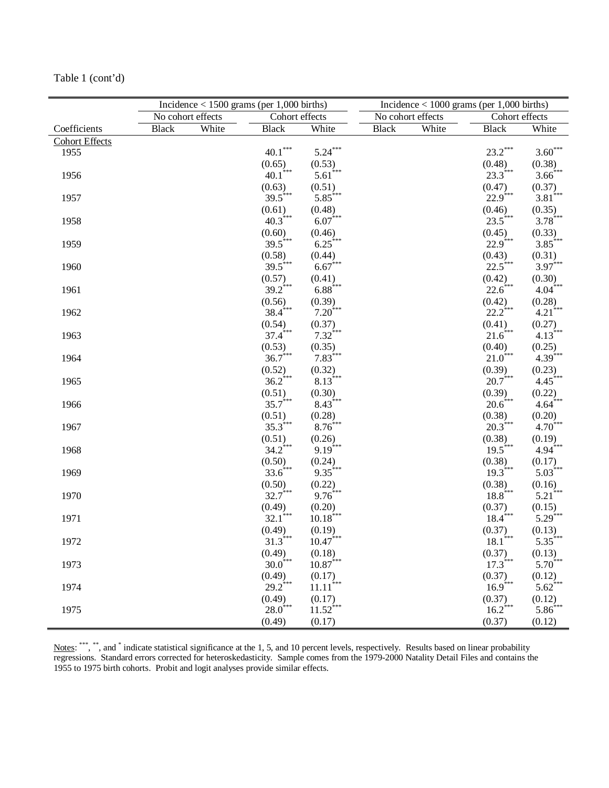|                       |                   |       | Incidence $<$ 1500 grams (per 1,000 births) |                                  | Incidence $< 1000$ grams (per 1,000 births) |                   |                                 |                                                            |  |  |  |
|-----------------------|-------------------|-------|---------------------------------------------|----------------------------------|---------------------------------------------|-------------------|---------------------------------|------------------------------------------------------------|--|--|--|
|                       | No cohort effects |       | Cohort effects                              |                                  |                                             | No cohort effects | Cohort effects                  |                                                            |  |  |  |
| Coefficients          | <b>Black</b>      | White | <b>Black</b>                                | White                            | <b>Black</b>                                | White             | <b>Black</b>                    | White                                                      |  |  |  |
| <b>Cohort Effects</b> |                   |       |                                             |                                  |                                             |                   |                                 |                                                            |  |  |  |
| 1955                  |                   |       | $\textbf{40.1}^{\ast\ast\ast}$              | $5.24***$                        |                                             |                   | $23.2***$                       | $3.60***$                                                  |  |  |  |
|                       |                   |       | (0.65)                                      | (0.53)                           |                                             |                   | (0.48)                          | (0.38)                                                     |  |  |  |
| 1956                  |                   |       | $40.1$ <sup>***</sup>                       | $5.61$ <sup>***</sup>            |                                             |                   | $23.3$ <sup>***</sup>           | $3.66$ <sup>***</sup>                                      |  |  |  |
|                       |                   |       | (0.63)                                      | (0.51)                           |                                             |                   | (0.47)                          | $\overset{(0.37)}{3.81}{}^{\ast\ast}$                      |  |  |  |
| 1957                  |                   |       | $39.5***$                                   | $5.85***$                        |                                             |                   | $22.9$ <sup>***</sup>           |                                                            |  |  |  |
|                       |                   |       | (0.61)                                      | (0.48)                           |                                             |                   | (0.46)                          | (0.35)                                                     |  |  |  |
| 1958                  |                   |       | $40.3$ ***                                  | $6.07***$                        |                                             |                   | $23.5***$                       | $3.78***$                                                  |  |  |  |
|                       |                   |       | (0.60)                                      | (0.46)                           |                                             |                   | $(0.45)$<br>22.9 <sup>***</sup> | (0.33)                                                     |  |  |  |
| 1959                  |                   |       | $39.5$ ***                                  | $6.25***$                        |                                             |                   |                                 | $3.85***$                                                  |  |  |  |
|                       |                   |       | (0.58)                                      | (0.44)                           |                                             |                   | (0.43)                          | (0.31)                                                     |  |  |  |
| 1960                  |                   |       | $39.5***$                                   | $6.67***$                        |                                             |                   | 22.5***                         | $3.97***$                                                  |  |  |  |
|                       |                   |       | (0.57)                                      | (0.41)                           |                                             |                   | (0.42)                          | (0.30)                                                     |  |  |  |
| 1961                  |                   |       | $39.2$ ***                                  | $6.88***$                        |                                             |                   | $22.6***$                       | $4.04$ <sup>***</sup>                                      |  |  |  |
|                       |                   |       | (0.56)                                      | $(0.39)$<br>7.20 <sup>***</sup>  |                                             |                   | (0.42)                          | $\stackrel{(0.28)}{4.21}{}^{\ast\ast\ast}$                 |  |  |  |
| 1962                  |                   |       | $38.4$ ***                                  |                                  |                                             |                   | $22.2$ <sup>***</sup>           |                                                            |  |  |  |
|                       |                   |       | (0.54)                                      | (0.37)                           |                                             |                   | (0.41)                          | $\stackrel{(0.27)}{4.13}{}^{\!\!\!}_{\!\!\!3\ast\ast\ast}$ |  |  |  |
| 1963                  |                   |       | $37.4$ <sup>***</sup>                       | $7.32$ ***                       |                                             |                   | $21.6$ ***                      |                                                            |  |  |  |
|                       |                   |       | (0.53)                                      | (0.35)                           |                                             |                   | (0.40)                          | (0.25)                                                     |  |  |  |
| 1964                  |                   |       | $36.7***$                                   | $7.83***$                        |                                             |                   | $21.0$ ***                      | $4.39***$                                                  |  |  |  |
|                       |                   |       | (0.52)                                      | (0.32)                           |                                             |                   | (0.39)                          | (0.23)                                                     |  |  |  |
| 1965                  |                   |       | $36.2$ <sup>***</sup>                       | $8.13***$                        |                                             |                   | $20.7$ ***                      | $4.45***$                                                  |  |  |  |
|                       |                   |       | (0.51)                                      | (0.30)                           |                                             |                   | (0.39)                          | (0.22)                                                     |  |  |  |
| 1966                  |                   |       | $35.7***$                                   | $8.43***$                        |                                             |                   | $20.6$ ***                      | $4.64$ ***                                                 |  |  |  |
|                       |                   |       | (0.51)                                      | (0.28)                           |                                             |                   | (0.38)                          | (0.20)                                                     |  |  |  |
| 1967                  |                   |       | $35.3***$                                   | $8.76***$                        |                                             |                   | $20.3***$                       | $4.70^{***}$                                               |  |  |  |
|                       |                   |       | (0.51)                                      | (0.26)                           |                                             |                   | (0.38)                          | (0.19)                                                     |  |  |  |
| 1968                  |                   |       | $34.2$ <sup>***</sup>                       | $9.19$ <sup>***</sup>            |                                             |                   | $19.5***$                       | $4.94$ <sup>***</sup>                                      |  |  |  |
|                       |                   |       | (0.50)                                      | (0.24)                           |                                             |                   | (0.38)                          | (0.17)                                                     |  |  |  |
| 1969                  |                   |       | $33.6$ ***                                  | $9.35***$                        |                                             |                   | $19.3$ ***                      | $5.03$ <sup>***</sup>                                      |  |  |  |
|                       |                   |       | (0.50)                                      | (0.22)                           |                                             |                   | (0.38)                          | (0.16)                                                     |  |  |  |
| 1970                  |                   |       | $32.7***$                                   | $9.76***$                        |                                             |                   | $18.8***$                       | $5.21$ <sup>***</sup>                                      |  |  |  |
|                       |                   |       | $(0.49)$<br>32.1***                         | (0.20)                           |                                             |                   | $(0.37)$<br>18.4***             | (0.15)                                                     |  |  |  |
| 1971                  |                   |       |                                             | $10.18***$                       |                                             |                   |                                 | $5.29$ <sup>***</sup>                                      |  |  |  |
|                       |                   |       | (0.49)                                      | (0.19)                           |                                             |                   | (0.37)                          | (0.13)                                                     |  |  |  |
| 1972                  |                   |       | $31.3***$                                   | $10.47***$                       |                                             |                   | $18.1$ <sup>***</sup>           | $5.35***$                                                  |  |  |  |
|                       |                   |       | (0.49)<br>$30.0^{***}$                      | (0.18)                           |                                             |                   | (0.37)<br>$17.3$ ***            | (0.13)<br>$5.70^{***}$                                     |  |  |  |
| 1973                  |                   |       |                                             | $10.87***$                       |                                             |                   |                                 |                                                            |  |  |  |
|                       |                   |       | (0.49)<br>$29.2$ ***                        | (0.17)                           |                                             |                   | (0.37)<br>$16.9$ ***            | (0.12)<br>$5.62$ <sup>***</sup>                            |  |  |  |
| 1974                  |                   |       |                                             | $11.11$ <sup>***</sup>           |                                             |                   |                                 |                                                            |  |  |  |
| 1975                  |                   |       | (0.49)<br>$28.0$ ***                        | (0.17)<br>$11.52$ <sup>***</sup> |                                             |                   | (0.37)<br>$16.2$ <sup>***</sup> | (0.12)<br>$5.86$ <sup>***</sup>                            |  |  |  |
|                       |                   |       |                                             |                                  |                                             |                   |                                 |                                                            |  |  |  |
|                       |                   |       | (0.49)                                      | (0.17)                           |                                             |                   | (0.37)                          | (0.12)                                                     |  |  |  |

Table 1 (cont'd)

Notes: \*\*\*, \*\*, and \* indicate statistical significance at the 1, 5, and 10 percent levels, respectively. Results based on linear probability regressions. Standard errors corrected for heteroskedasticity. Sample comes from the 1979-2000 Natality Detail Files and contains the 1955 to 1975 birth cohorts. Probit and logit analyses provide similar effects.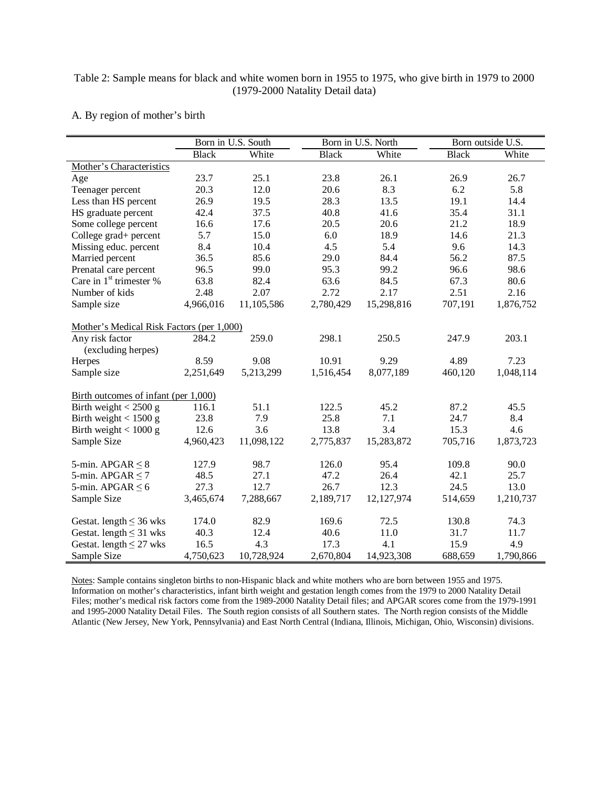## Table 2: Sample means for black and white women born in 1955 to 1975, who give birth in 1979 to 2000 (1979-2000 Natality Detail data)

### A. By region of mother's birth

|                                           |              | Born in U.S. South |              | Born in U.S. North | Born outside U.S. |           |  |  |
|-------------------------------------------|--------------|--------------------|--------------|--------------------|-------------------|-----------|--|--|
|                                           | <b>Black</b> | White              | <b>Black</b> | White              | <b>Black</b>      | White     |  |  |
| Mother's Characteristics                  |              |                    |              |                    |                   |           |  |  |
| Age                                       | 23.7         | 25.1               | 23.8         | 26.1               | 26.9              | 26.7      |  |  |
| Teenager percent                          | 20.3         | 12.0               | 20.6         | 8.3                | 6.2               | 5.8       |  |  |
| Less than HS percent                      | 26.9         | 19.5               | 28.3         | 13.5               | 19.1              | 14.4      |  |  |
| HS graduate percent                       | 42.4         | 37.5               | 40.8         | 41.6               | 35.4              | 31.1      |  |  |
| Some college percent                      | 16.6         | 17.6               | 20.5         | 20.6               | 21.2              | 18.9      |  |  |
| College grad+ percent                     | 5.7          | 15.0               | 6.0          | 18.9               | 14.6              | 21.3      |  |  |
| Missing educ. percent                     | 8.4          | 10.4               | 4.5          | 5.4                | 9.6               | 14.3      |  |  |
| Married percent                           | 36.5         | 85.6               | 29.0         | 84.4               | 56.2              | 87.5      |  |  |
| Prenatal care percent                     | 96.5         | 99.0               | 95.3         | 99.2               | 96.6              | 98.6      |  |  |
| Care in 1 <sup>st</sup> trimester %       | 63.8         | 82.4               | 63.6         | 84.5               | 67.3              | 80.6      |  |  |
| Number of kids                            | 2.48         | 2.07               | 2.72         | 2.17               | 2.51              | 2.16      |  |  |
| Sample size                               | 4,966,016    | 11,105,586         | 2,780,429    | 15,298,816         | 707,191           | 1,876,752 |  |  |
|                                           |              |                    |              |                    |                   |           |  |  |
| Mother's Medical Risk Factors (per 1,000) |              |                    |              |                    |                   |           |  |  |
| Any risk factor                           | 284.2        | 259.0              | 298.1        | 250.5              | 247.9             | 203.1     |  |  |
| (excluding herpes)                        |              |                    |              |                    |                   |           |  |  |
| Herpes                                    | 8.59         | 9.08               | 10.91        | 9.29               | 4.89              | 7.23      |  |  |
| Sample size                               | 2,251,649    | 5,213,299          | 1,516,454    | 8,077,189          | 460,120           | 1,048,114 |  |  |
| Birth outcomes of infant (per 1,000)      |              |                    |              |                    |                   |           |  |  |
| Birth weight $<$ 2500 g                   | 116.1        | 51.1               | 122.5        | 45.2               | 87.2              | 45.5      |  |  |
| Birth weight $< 1500$ g                   | 23.8         | 7.9                | 25.8         | 7.1                | 24.7              | 8.4       |  |  |
| Birth weight $<1000~\mathrm{g}$           | 12.6         | 3.6                | 13.8         | 3.4                | 15.3              | 4.6       |  |  |
| Sample Size                               | 4,960,423    | 11,098,122         | 2,775,837    | 15,283,872         | 705,716           | 1,873,723 |  |  |
|                                           |              |                    |              |                    |                   |           |  |  |
| 5-min. APGAR $\leq 8$                     | 127.9        | 98.7               | 126.0        | 95.4               | 109.8             | 90.0      |  |  |
| 5-min. APGAR $\leq$ 7                     | 48.5         | 27.1               | 47.2         | 26.4               | 42.1              | 25.7      |  |  |
| 5-min. APGAR $\leq 6$                     | 27.3         | 12.7               | 26.7         | 12.3               | 24.5              | 13.0      |  |  |
| Sample Size                               | 3,465,674    | 7,288,667          | 2,189,717    | 12,127,974         | 514,659           | 1,210,737 |  |  |
|                                           |              |                    |              |                    |                   |           |  |  |
| Gestat. length $\leq$ 36 wks              | 174.0        | 82.9               | 169.6        | 72.5               | 130.8             | 74.3      |  |  |
| Gestat. length $\leq$ 31 wks              | 40.3         | 12.4               | 40.6         | 11.0               | 31.7              | 11.7      |  |  |
| Gestat. length $\leq$ 27 wks              | 16.5         | 4.3                | 17.3         | 4.1                | 15.9              | 4.9       |  |  |
| Sample Size                               | 4,750,623    | 10,728,924         | 2,670,804    | 14,923,308         | 688,659           | 1,790,866 |  |  |

Notes: Sample contains singleton births to non-Hispanic black and white mothers who are born between 1955 and 1975. Information on mother's characteristics, infant birth weight and gestation length comes from the 1979 to 2000 Natality Detail Files; mother's medical risk factors come from the 1989-2000 Natality Detail files; and APGAR scores come from the 1979-1991 and 1995-2000 Natality Detail Files. The South region consists of all Southern states. The North region consists of the Middle Atlantic (New Jersey, New York, Pennsylvania) and East North Central (Indiana, Illinois, Michigan, Ohio, Wisconsin) divisions.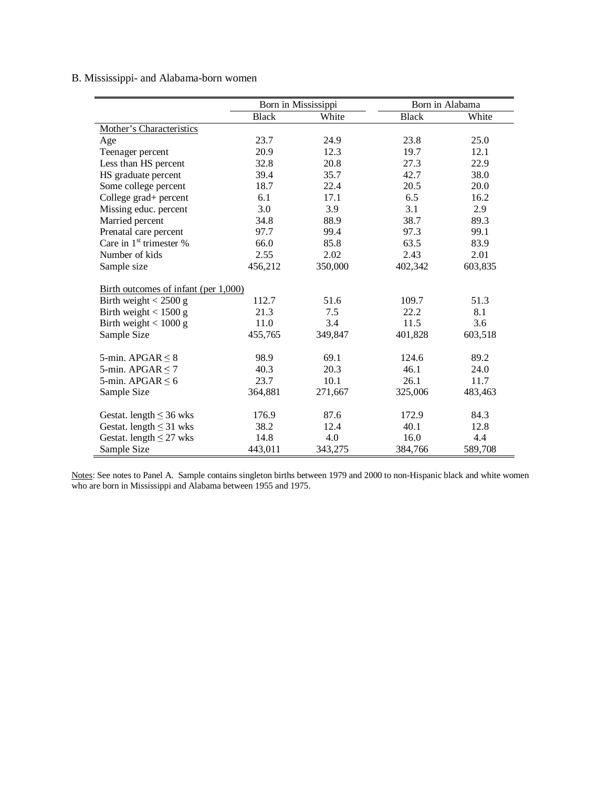# B. Mississippi- and Alabama-born women

|                                      |              | Born in Mississippi | Born in Alabama |         |
|--------------------------------------|--------------|---------------------|-----------------|---------|
|                                      | <b>Black</b> | White               | <b>Black</b>    | White   |
| Mother's Characteristics             |              |                     |                 |         |
| Age                                  | 23.7         | 24.9                | 23.8            | 25.0    |
| Teenager percent                     | 20.9         | 12.3                | 19.7            | 12.1    |
| Less than HS percent                 | 32.8         | 20.8                | 27.3            | 22.9    |
| HS graduate percent                  | 39.4         | 35.7                | 42.7            | 38.0    |
| Some college percent                 | 18.7         | 22.4                | 20.5            | 20.0    |
| College grad+ percent                | 6.1          | 17.1                | 6.5             | 16.2    |
| Missing educ. percent                | 3.0          | 3.9                 | 3.1             | 2.9     |
| Married percent                      | 34.8         | 88.9                | 38.7            | 89.3    |
| Prenatal care percent                | 97.7         | 99.4                | 97.3            | 99.1    |
| Care in 1 <sup>st</sup> trimester %  | 66.0         | 85.8                | 63.5            | 83.9    |
| Number of kids                       | 2.55         | 2.02                | 2.43            | 2.01    |
| Sample size                          | 456,212      | 350,000             | 402,342         | 603,835 |
|                                      |              |                     |                 |         |
| Birth outcomes of infant (per 1,000) |              |                     |                 |         |
| Birth weight $<$ 2500 g              | 112.7        | 51.6                | 109.7           | 51.3    |
| Birth weight $< 1500 g$              | 21.3         | 7.5                 | 22.2            | 8.1     |
| Birth weight $< 1000 g$              | 11.0         | 3.4                 | 11.5            | 3.6     |
| Sample Size                          | 455,765      | 349,847             | 401,828         | 603,518 |
|                                      |              |                     |                 |         |
| 5-min. APGAR $\leq$ 8                | 98.9         | 69.1                | 124.6           | 89.2    |
| 5-min. APGAR $\leq$ 7                | 40.3         | 20.3                | 46.1            | 24.0    |
| 5-min. APGAR $\leq 6$                | 23.7         | 10.1                | 26.1            | 11.7    |
| Sample Size                          | 364,881      | 271,667             | 325,006         | 483,463 |
|                                      |              |                     |                 |         |
| Gestat. length $\leq$ 36 wks         | 176.9        | 87.6                | 172.9           | 84.3    |
| Gestat. length $\leq$ 31 wks         | 38.2         | 12.4                | 40.1            | 12.8    |
| Gestat. length $\leq$ 27 wks         | 14.8         | 4.0                 | 16.0            | 4.4     |
| Sample Size                          | 443,011      | 343,275             | 384,766         | 589,708 |

Notes: See notes to Panel A. Sample contains singleton births between 1979 and 2000 to non-Hispanic black and white women who are born in Mississippi and Alabama between 1955 and 1975.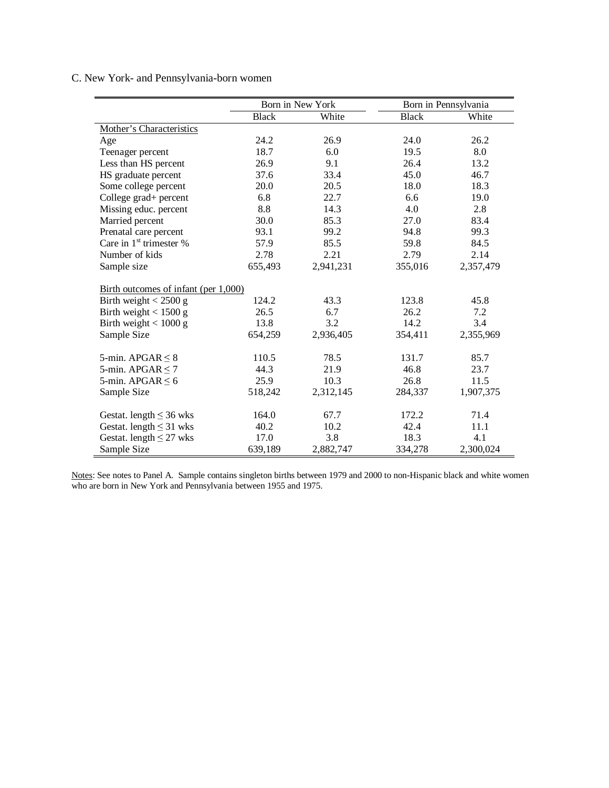# C. New York- and Pennsylvania-born women

|                                      |              | Born in New York |              | Born in Pennsylvania |
|--------------------------------------|--------------|------------------|--------------|----------------------|
|                                      | <b>Black</b> | White            | <b>Black</b> | White                |
| Mother's Characteristics             |              |                  |              |                      |
| Age                                  | 24.2         | 26.9             | 24.0         | 26.2                 |
| Teenager percent                     | 18.7         | 6.0              | 19.5         | 8.0                  |
| Less than HS percent                 | 26.9         | 9.1              | 26.4         | 13.2                 |
| HS graduate percent                  | 37.6         | 33.4             | 45.0         | 46.7                 |
| Some college percent                 | 20.0         | 20.5             | 18.0         | 18.3                 |
| College grad+ percent                | 6.8          | 22.7             | 6.6          | 19.0                 |
| Missing educ. percent                | 8.8          | 14.3             | 4.0          | 2.8                  |
| Married percent                      | 30.0         | 85.3             | 27.0         | 83.4                 |
| Prenatal care percent                | 93.1         | 99.2             | 94.8         | 99.3                 |
| Care in 1 <sup>st</sup> trimester %  | 57.9         | 85.5             | 59.8         | 84.5                 |
| Number of kids                       | 2.78         | 2.21             | 2.79         | 2.14                 |
| Sample size                          | 655,493      | 2,941,231        | 355,016      | 2,357,479            |
|                                      |              |                  |              |                      |
| Birth outcomes of infant (per 1,000) |              |                  |              |                      |
| Birth weight $<$ 2500 g              | 124.2        | 43.3             | 123.8        | 45.8                 |
| Birth weight $< 1500 g$              | 26.5         | 6.7              | 26.2         | 7.2                  |
| Birth weight $< 1000 g$              | 13.8         | 3.2              | 14.2         | 3.4                  |
| Sample Size                          | 654,259      | 2,936,405        | 354,411      | 2,355,969            |
|                                      |              |                  |              |                      |
| 5-min. APGAR $\leq 8$                | 110.5        | 78.5             | 131.7        | 85.7                 |
| 5-min. APGAR $\leq$ 7                | 44.3         | 21.9             | 46.8         | 23.7                 |
| 5-min. APGAR $\leq 6$                | 25.9         | 10.3             | 26.8         | 11.5                 |
| Sample Size                          | 518,242      | 2,312,145        | 284,337      | 1,907,375            |
|                                      |              |                  |              |                      |
| Gestat. length $\leq$ 36 wks         | 164.0        | 67.7             | 172.2        | 71.4                 |
| Gestat. length $\leq$ 31 wks         | 40.2         | 10.2             | 42.4         | 11.1                 |
| Gestat. length $\leq$ 27 wks         | 17.0         | 3.8              | 18.3         | 4.1                  |
| Sample Size                          | 639,189      | 2,882,747        | 334,278      | 2,300,024            |

Notes: See notes to Panel A. Sample contains singleton births between 1979 and 2000 to non-Hispanic black and white women who are born in New York and Pennsylvania between 1955 and 1975.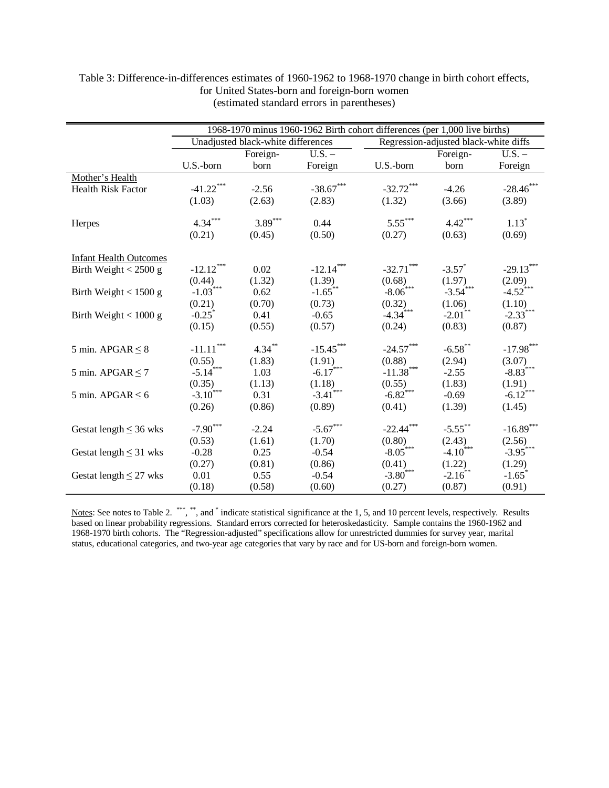|                               |                                                  |                                    |                        | 1968-1970 minus 1960-1962 Birth cohort differences (per 1,000 live births) |                                       |                         |
|-------------------------------|--------------------------------------------------|------------------------------------|------------------------|----------------------------------------------------------------------------|---------------------------------------|-------------------------|
|                               |                                                  | Unadjusted black-white differences |                        |                                                                            | Regression-adjusted black-white diffs |                         |
|                               |                                                  | Foreign-                           | $U.S. -$               |                                                                            | Foreign-                              | $U.S. -$                |
|                               | U.S.-born                                        | born                               | Foreign                | U.S.-born                                                                  | born                                  | Foreign                 |
| Mother's Health               |                                                  |                                    |                        |                                                                            |                                       |                         |
| <b>Health Risk Factor</b>     | $-41.22***$                                      | $-2.56$                            | $-38.67***$            | $-32.72***$                                                                | $-4.26$                               | $-28.46***$             |
|                               | (1.03)                                           | (2.63)                             | (2.83)                 | (1.32)                                                                     | (3.66)                                | (3.89)                  |
| Herpes                        | $4.34***$                                        | $3.89***$                          | 0.44                   | $5.55***$                                                                  | $4.42***$                             | $1.13*$                 |
|                               | (0.21)                                           | (0.45)                             | (0.50)                 | (0.27)                                                                     | (0.63)                                | (0.69)                  |
|                               |                                                  |                                    |                        |                                                                            |                                       |                         |
| <b>Infant Health Outcomes</b> |                                                  |                                    |                        |                                                                            |                                       |                         |
| Birth Weight $< 2500 g$       | $-12.12***$                                      | 0.02                               | $-12.14***$            | $-32.71***$                                                                | $-3.57$ *                             | $-29.13***$             |
|                               | (0.44)                                           | (1.32)                             | (1.39)                 | (0.68)                                                                     | (1.97)                                | (2.09)                  |
| Birth Weight $<$ 1500 g       | $-1.03***$                                       | 0.62                               | $-1.65***$             | $-8.06***$                                                                 | $-3.54***$                            | $-4.52***$              |
|                               | (0.21)                                           | (0.70)                             | (0.73)                 | (0.32)                                                                     | (1.06)                                | (1.10)                  |
| Birth Weight $< 1000 g$       | $-0.25$ *                                        | 0.41                               | $-0.65$                | $-4.34$ <sup>***</sup>                                                     | $-2.01$ <sup>**</sup>                 | $-2.33***$              |
|                               | (0.15)                                           | (0.55)                             | (0.57)                 | (0.24)                                                                     | (0.83)                                | (0.87)                  |
|                               |                                                  | $4.34***$                          | $-15.45***$            | $-24.57***$                                                                | $-6.58$ **                            | $\textbf{-17.98}^{***}$ |
| 5 min. APGAR $\leq$ 8         | $\text{-}11.11$ $\hspace{-1.5mm}^{\ast\ast\ast}$ |                                    |                        |                                                                            |                                       |                         |
|                               | (0.55)<br>$-5.14***$                             | (1.83)<br>1.03                     | (1.91)<br>$-6.17***$   | (0.88)<br>$-11.38***$                                                      | (2.94)<br>$-2.55$                     | (3.07)<br>$-8.83***$    |
| 5 min. APGAR $\leq$ 7         | (0.35)                                           |                                    | (1.18)                 | (0.55)                                                                     | (1.83)                                | (1.91)                  |
| 5 min. APGAR $\leq$ 6         | $-3.10^{***}$                                    | (1.13)<br>0.31                     | $-3.41$ <sup>***</sup> | $-6.82$ <sup>***</sup>                                                     | $-0.69$                               | $-6.12$ ***             |
|                               | (0.26)                                           | (0.86)                             | (0.89)                 | (0.41)                                                                     | (1.39)                                | (1.45)                  |
|                               |                                                  |                                    |                        |                                                                            |                                       |                         |
| Gestat length $\leq$ 36 wks   | $-7.90***$                                       | $-2.24$                            | $-5.67***$             | $-22.44***$                                                                | $-5.55$ **                            | $-16.89***$             |
|                               | (0.53)                                           | (1.61)                             | (1.70)                 | (0.80)                                                                     | (2.43)                                | (2.56)                  |
| Gestat length $\leq$ 31 wks   | $-0.28$                                          | 0.25                               | $-0.54$                | $-8.05***$                                                                 | $-4.10^{4***}$                        | $-3.95***$              |
|                               | (0.27)                                           | (0.81)                             | (0.86)                 | (0.41)                                                                     | (1.22)                                | (1.29)                  |
| Gestat length $\leq$ 27 wks   | 0.01                                             | 0.55                               | $-0.54$                | $-3.80***$                                                                 | $-2.16$ **                            | $-1.65$ <sup>*</sup>    |
|                               | (0.18)                                           | (0.58)                             | (0.60)                 | (0.27)                                                                     | (0.87)                                | (0.91)                  |

## Table 3: Difference-in-differences estimates of 1960-1962 to 1968-1970 change in birth cohort effects, for United States-born and foreign-born women (estimated standard errors in parentheses)

Notes: See notes to Table 2. \*\*\*, \*\*, and \* indicate statistical significance at the 1, 5, and 10 percent levels, respectively. Results based on linear probability regressions. Standard errors corrected for heteroskedasticity. Sample contains the 1960-1962 and 1968-1970 birth cohorts. The "Regression-adjusted" specifications allow for unrestricted dummies for survey year, marital status, educational categories, and two-year age categories that vary by race and for US-born and foreign-born women.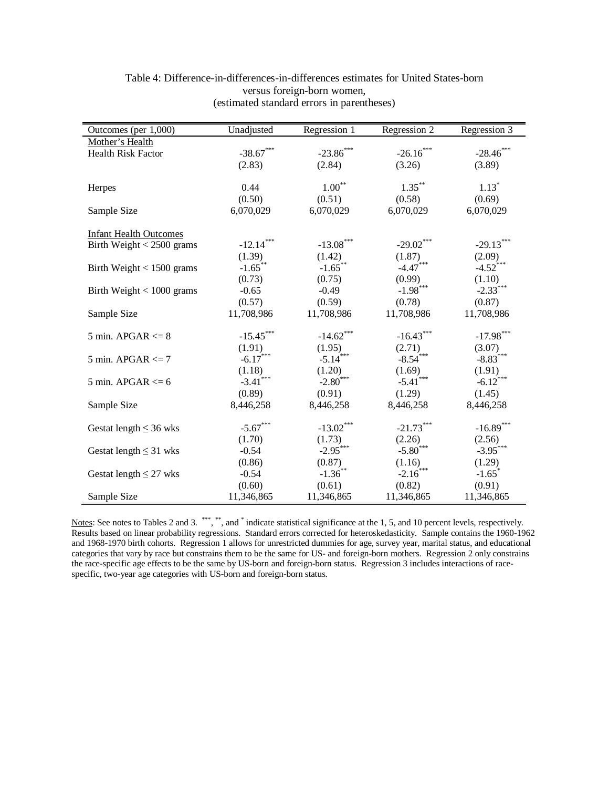| Outcomes (per 1,000)          | Unadjusted                       | Regression 1           | Regression 2                     | Regression 3                     |
|-------------------------------|----------------------------------|------------------------|----------------------------------|----------------------------------|
| Mother's Health               |                                  |                        |                                  |                                  |
| Health Risk Factor            | $-38.67***$                      | $-23.86$ ***           | $-26.16***$                      | $-28.46***$                      |
|                               | (2.83)                           | (2.84)                 | (3.26)                           | (3.89)                           |
|                               |                                  |                        |                                  |                                  |
| Herpes                        | 0.44                             | $1.00^{\ast\ast}$      | $1.35***$                        | $1.13*$                          |
|                               | (0.50)                           | (0.51)                 | (0.58)                           | (0.69)                           |
| Sample Size                   | 6,070,029                        | 6,070,029              | 6,070,029                        | 6,070,029                        |
|                               |                                  |                        |                                  |                                  |
| <b>Infant Health Outcomes</b> |                                  |                        |                                  |                                  |
| Birth Weight $<$ 2500 grams   | $-12.14***$                      | $-13.08***$            | $-29.02***$                      | $-29.13***$                      |
|                               | (1.39)                           | (1.42)                 | (1.87)                           |                                  |
| Birth Weight $< 1500$ grams   | $-1.65$ <sup>**</sup>            | $-1.65$ **             | $-4.47$ <sup>***</sup>           | $(2.09)$<br>-4.52 <sup>***</sup> |
|                               | (0.73)                           | (0.75)                 | (0.99)                           | (1.10)                           |
| Birth Weight $< 1000$ grams   | $-0.65$                          | $-0.49$                | $-1.98***$                       | $-2.33***$                       |
|                               | (0.57)                           | (0.59)                 | (0.78)                           | (0.87)                           |
| Sample Size                   | 11,708,986                       | 11,708,986             | 11,708,986                       | 11,708,986                       |
|                               |                                  |                        |                                  |                                  |
| 5 min. APGAR $<= 8$           | $-15.45***$                      | $-14.62***$            | $-16.43***$                      | $-17.98***$                      |
|                               |                                  |                        |                                  | (3.07)                           |
| 5 min. APGAR $\leq$ 7         | $(1.91)$<br>-6.17 <sup>***</sup> | $(1.95)$<br>-5.14***   | $(2.71)$<br>-8.54***             | $-8.83***$                       |
|                               | (1.18)                           | (1.20)                 | (1.69)                           | (1.91)                           |
| 5 min. APGAR $<= 6$           | $-3.41$ <sup>***</sup>           | $-2.80$ <sup>***</sup> | $-5.41$ ***                      | $-6.12***$                       |
|                               | (0.89)                           | (0.91)                 | (1.29)                           | (1.45)                           |
| Sample Size                   | 8,446,258                        | 8,446,258              | 8,446,258                        | 8,446,258                        |
|                               |                                  |                        |                                  |                                  |
| Gestat length $\leq$ 36 wks   | $-5.67***$                       | $-13.02***$            | $-21.73***$                      | $-16.89***$                      |
|                               | (1.70)                           |                        |                                  | (2.56)                           |
| Gestat length $\leq$ 31 wks   | $-0.54$                          | $(1.73)$<br>-2.95***   | $(2.26)$<br>-5.80 <sup>***</sup> | $-3.95***$                       |
|                               | (0.86)                           | (0.87)                 | (1.16)                           | (1.29)                           |
| Gestat length $\leq$ 27 wks   | $-0.54$                          | $-1.36$ **             | $-2.16$ ***                      | $-1.65$ <sup>*</sup>             |
|                               | (0.60)                           | (0.61)                 | (0.82)                           | (0.91)                           |
| Sample Size                   | 11,346,865                       | 11,346,865             | 11,346,865                       | 11,346,865                       |

# Table 4: Difference-in-differences-in-differences estimates for United States-born versus foreign-born women, (estimated standard errors in parentheses)

Notes: See notes to Tables 2 and 3. \*\*\*, \*\*, and \* indicate statistical significance at the 1, 5, and 10 percent levels, respectively. Results based on linear probability regressions. Standard errors corrected for heteroskedasticity. Sample contains the 1960-1962 and 1968-1970 birth cohorts. Regression 1 allows for unrestricted dummies for age, survey year, marital status, and educational categories that vary by race but constrains them to be the same for US- and foreign-born mothers. Regression 2 only constrains the race-specific age effects to be the same by US-born and foreign-born status. Regression 3 includes interactions of racespecific, two-year age categories with US-born and foreign-born status.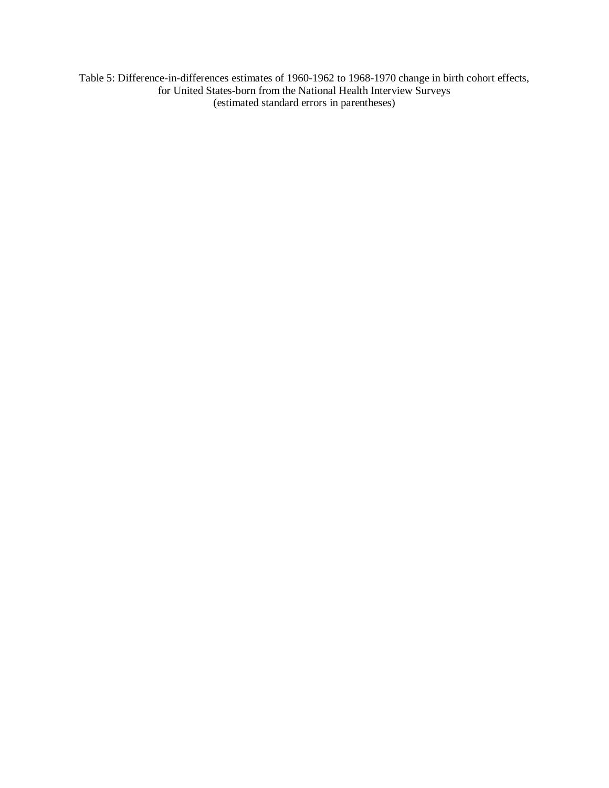Table 5: Difference-in-differences estimates of 1960-1962 to 1968-1970 change in birth cohort effects, for United States-born from the National Health Interview Surveys (estimated standard errors in parentheses)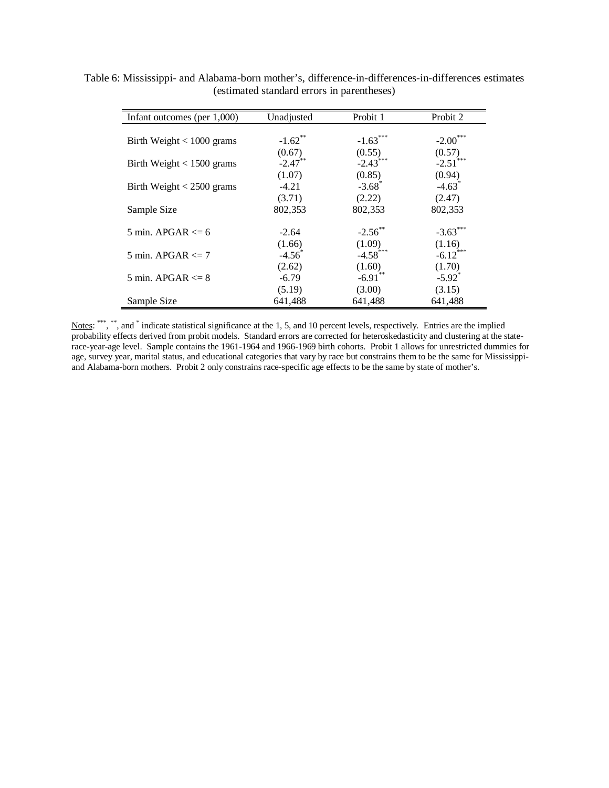| Infant outcomes (per $1,000$ ) | Unadjusted      | Probit 1               | Probit 2             |
|--------------------------------|-----------------|------------------------|----------------------|
|                                |                 |                        |                      |
| Birth Weight $< 1000$ grams    | $-1.62$ **      | $-1.63***$             | $-2.00***$           |
|                                | (0.67)          | (0.55)                 | (0.57)               |
| Birth Weight $< 1500$ grams    | $-2.47$ **      | $-2.43$ <sup>***</sup> | $-2.51$ ***          |
|                                | (1.07)          | (0.85)                 | (0.94)               |
| Birth Weight $<$ 2500 grams    | $-4.21$         | $-3.68$ <sup>*</sup>   | $-4.63$ <sup>*</sup> |
|                                | (3.71)          | (2.22)                 | (2.47)               |
| Sample Size                    | 802,353         | 802,353                | 802,353              |
|                                |                 |                        |                      |
| 5 min. APGAR $\leq$ 6          | $-2.64$         | $-2.56$ **             | $-3.63***$           |
|                                | (1.66)          | (1.09)                 | (1.16)               |
| 5 min. APGAR $\leq$ 7          | $-4.56^{\circ}$ | $-4.58$ ***            | $-6.12$ ***          |
|                                | (2.62)          | (1.60)                 | (1.70)               |
| 5 min. APGAR $\leq$ 8          | $-6.79$         | $-6.91$ **             | $-5.92$ <sup>*</sup> |
|                                | (5.19)          | (3.00)                 | (3.15)               |
| Sample Size                    | 641,488         | 641,488                | 641,488              |

Table 6: Mississippi- and Alabama-born mother's, difference-in-differences-in-differences estimates (estimated standard errors in parentheses)

Notes: \*\*\*, \*\*, and \* indicate statistical significance at the 1, 5, and 10 percent levels, respectively. Entries are the implied probability effects derived from probit models. Standard errors are corrected for heteroskedasticity and clustering at the staterace-year-age level. Sample contains the 1961-1964 and 1966-1969 birth cohorts. Probit 1 allows for unrestricted dummies for age, survey year, marital status, and educational categories that vary by race but constrains them to be the same for Mississippiand Alabama-born mothers. Probit 2 only constrains race-specific age effects to be the same by state of mother's.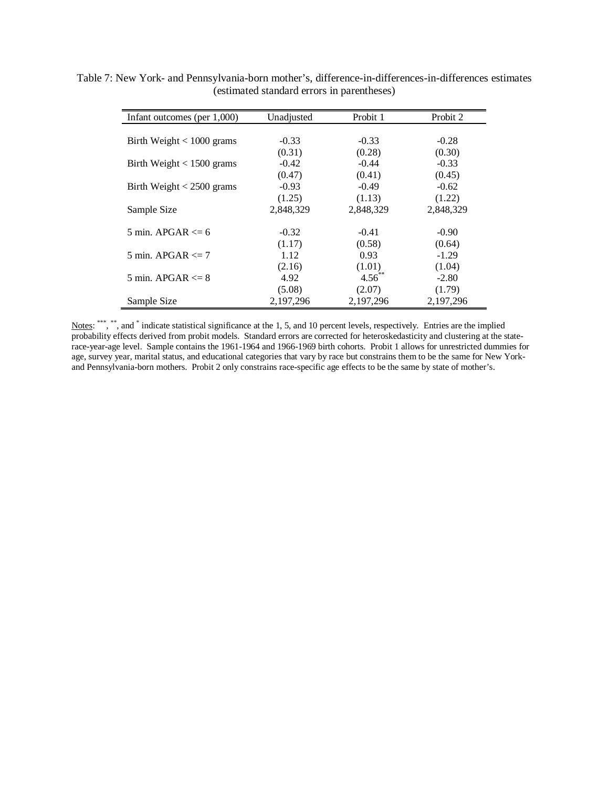| Infant outcomes (per $1,000$ ) | Unadjusted | Probit 1  | Probit 2  |
|--------------------------------|------------|-----------|-----------|
|                                |            |           |           |
| Birth Weight $< 1000$ grams    | $-0.33$    | $-0.33$   | $-0.28$   |
|                                | (0.31)     | (0.28)    | (0.30)    |
| Birth Weight $< 1500$ grams    | $-0.42$    | $-0.44$   | $-0.33$   |
|                                | (0.47)     | (0.41)    | (0.45)    |
| Birth Weight $<$ 2500 grams    | $-0.93$    | $-0.49$   | $-0.62$   |
|                                | (1.25)     | (1.13)    | (1.22)    |
| Sample Size                    | 2,848,329  | 2,848,329 | 2,848,329 |
|                                |            |           |           |
| 5 min. APGAR $\leq 6$          | $-0.32$    | $-0.41$   | $-0.90$   |
|                                | (1.17)     | (0.58)    | (0.64)    |
| 5 min. APGAR $\leq$ 7          | 1.12       | 0.93      | $-1.29$   |
|                                | (2.16)     | (1.01)    | (1.04)    |
| 5 min. APGAR $\leq$ 8          | 4.92       | $4.56$ ** | $-2.80$   |
|                                | (5.08)     | (2.07)    | (1.79)    |
| Sample Size                    | 2,197,296  | 2,197,296 | 2,197,296 |

Table 7: New York- and Pennsylvania-born mother's, difference-in-differences-in-differences estimates (estimated standard errors in parentheses)

Notes: \*\*\*, \*\*, and \* indicate statistical significance at the 1, 5, and 10 percent levels, respectively. Entries are the implied probability effects derived from probit models. Standard errors are corrected for heteroskedasticity and clustering at the staterace-year-age level. Sample contains the 1961-1964 and 1966-1969 birth cohorts. Probit 1 allows for unrestricted dummies for age, survey year, marital status, and educational categories that vary by race but constrains them to be the same for New Yorkand Pennsylvania-born mothers. Probit 2 only constrains race-specific age effects to be the same by state of mother's.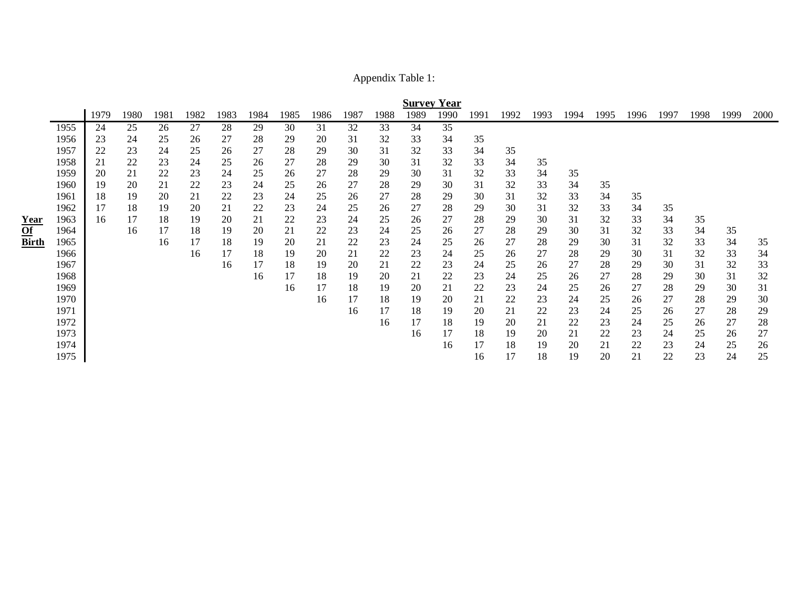Appendix Table 1:

|              |              |          |          |          |          |          |          |          |          |          |          | <b>Survey Year</b> |          |          |          |          |          |          |          |          |          |          |          |
|--------------|--------------|----------|----------|----------|----------|----------|----------|----------|----------|----------|----------|--------------------|----------|----------|----------|----------|----------|----------|----------|----------|----------|----------|----------|
|              |              | 1979     | 1980     | 1981     | 1982     | 1983     | 1984     | 1985     | 1986     | 1987     | 1988     | 1989               | 1990     | 1991     | 1992     | 1993     | 1994     | 1995     | 1996     | 1997     | 1998     | 1999     | 2000     |
|              | 1955         | 24       | 25       | 26       | 27       | 28       | 29       | 30       | 31       | 32       | 33       | 34                 | 35       |          |          |          |          |          |          |          |          |          |          |
|              | 1956         | 23       | 24       | 25       | 26       | 27       | 28       | 29       | 20       | 31       | 32       | 33                 | 34       | 35       |          |          |          |          |          |          |          |          |          |
|              | 1957         | 22       | 23       | 24       | 25       | 26       | 27       | 28       | 29       | 30       | 31       | 32                 | 33       | 34       | 35       |          |          |          |          |          |          |          |          |
|              | 1958<br>1959 | 21<br>20 | 22<br>21 | 23<br>22 | 24<br>23 | 25<br>24 | 26<br>25 | 27<br>26 | 28<br>27 | 29<br>28 | 30<br>29 | 31<br>30           | 32<br>31 | 33<br>32 | 34<br>33 | 35<br>34 | 35       |          |          |          |          |          |          |
|              | 1960         | 19       | 20       | 21       | 22       | 23       | 24       | 25       | 26       | 27       | 28       | 29                 | 30       | 31       | 32       | 33       | 34       | 35       |          |          |          |          |          |
|              | 1961         | 18       | 19       | 20       | 21       | 22       | 23       | 24       | 25       | 26       | 27       | 28                 | 29       | 30       | 31       | 32       | 33       | 34       | 35       |          |          |          |          |
|              | 1962         | 17       | 18       | 19       | 20       | 21       | 22       | 23       | 24       | 25       | 26       | 27                 | 28       | 29       | 30       | 31       | 32       | 33       | 34       | 35       |          |          |          |
| Year         | 1963         | 16       | 17       | 18       | 19       | 20       | 21       | 22       | 23       | 24       | 25       | 26                 | 27       | 28       | 29       | 30       | 31       | 32       | 33       | 34       | 35       |          |          |
| Of           | 1964         |          | 16       | 17       | 18       | 19       | 20       | 21       | 22       | 23       | 24       | 25                 | 26       | 27       | 28       | 29       | 30       | 31       | 32       | 33       | 34       | 35       |          |
| <b>Birth</b> | 1965         |          |          | 16       | 17       | 18       | 19       | 20       | 21       | 22       | 23       | 24                 | 25       | 26       | 27       | 28       | 29       | 30       | 31       | 32       | 33       | 34       | 35       |
|              | 1966<br>1967 |          |          |          | 16       | 17<br>16 | 18<br>17 | 19<br>18 | 20<br>19 | 21<br>20 | 22<br>21 | 23<br>22           | 24<br>23 | 25<br>24 | 26<br>25 | 27<br>26 | 28<br>27 | 29<br>28 | 30<br>29 | 31<br>30 | 32<br>31 | 33<br>32 | 34<br>33 |
|              | 1968         |          |          |          |          |          | 16       | 17       | 18       | 19       | 20       | 21                 | 22       | 23       | 24       | 25       | 26       | 27       | 28       | 29       | 30       | 31       | 32       |
|              | 1969         |          |          |          |          |          |          | 16       | 17       | 18       | 19       | 20                 | 21       | 22       | 23       | 24       | 25       | 26       | 27       | 28       | 29       | 30       | 31       |
|              | 1970         |          |          |          |          |          |          |          | 16       | 17       | 18       | 19                 | 20       | 21       | 22       | 23       | 24       | 25       | 26       | 27       | 28       | 29       | 30       |
|              | 1971         |          |          |          |          |          |          |          |          | 16       | 17       | 18                 | 19       | 20       | 21       | 22       | 23       | 24       | 25       | 26       | 27       | 28       | 29       |
|              | 1972         |          |          |          |          |          |          |          |          |          | 16       | 17                 | 18       | 19       | 20       | 21       | 22       | 23       | 24       | 25       | 26       | 27       | 28       |
|              | 1973         |          |          |          |          |          |          |          |          |          |          | 16                 | 17       | 18       | 19       | 20       | 21       | 22       | 23       | 24       | 25       | 26       | 27       |
|              | 1974         |          |          |          |          |          |          |          |          |          |          |                    | 16       | 17       | 18       | 19       | 20       | 21       | 22       | 23       | 24       | 25       | 26       |
|              | 1975         |          |          |          |          |          |          |          |          |          |          |                    |          | 16       | 17       | 18       | 19       | 20       | 21       | 22       | 23       | 24       | 25       |

**YearOf**

**Birth**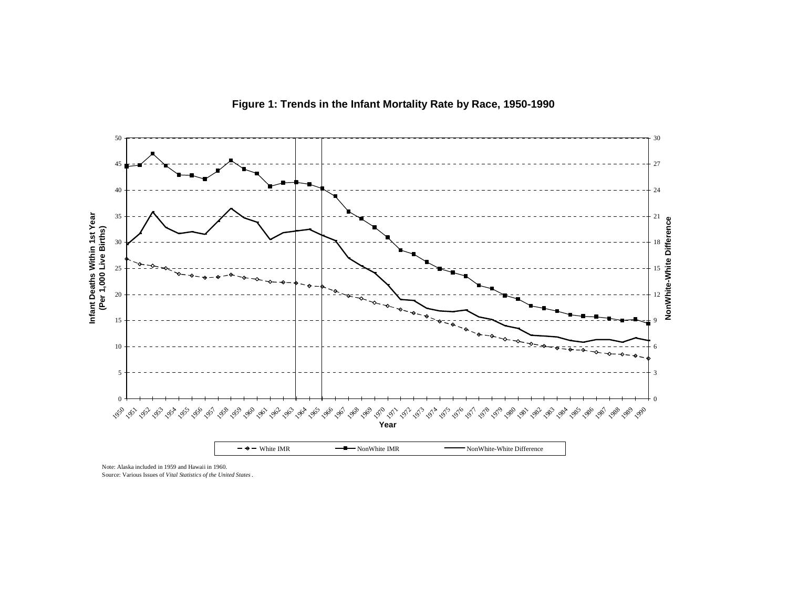

Note: Alaska included in 1959 and Hawaii in 1960.

Source: Various Issues of *Vital Statistics of the United States* .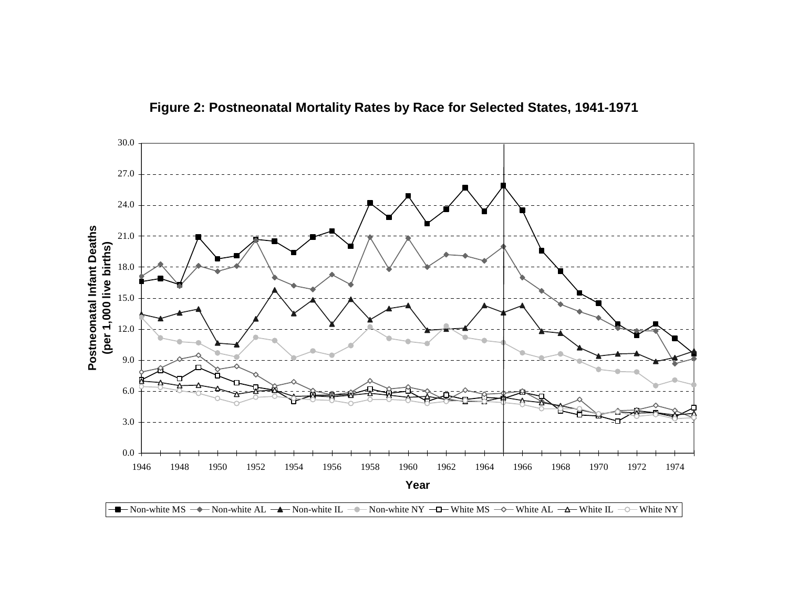

**Figure 2: Postneonatal Mortality Rates by Race for Selected States, 1941-1971**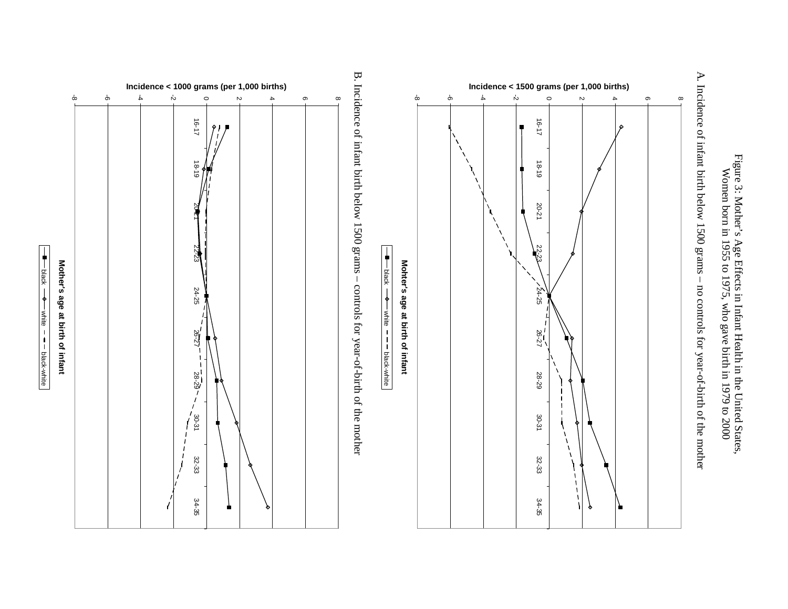



A. Incidence of infant birth below 1500 grams - no controls for year-of-birth of the mother A. Incidence of infant birth below 1500 grams – no controls for year-of-birth of the mother

B. Incidence of infant birth below 1500 grams – controls for year-of-birth of the mother B. Incidence of infant birth below 1500 grams – controls for year-of-birth of the mother

 $\frac{1}{\sqrt{1}}$ 

white

black-white



black

white

black-white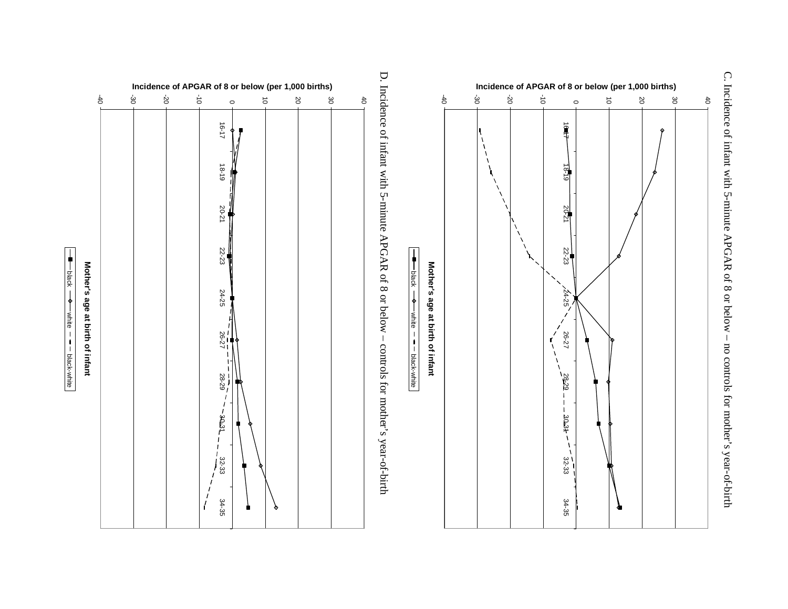







Mother's age at birth of infant

C. Incidence of infant with 5-minute APGAR of 8 or below - no controls for mother's year-of-birth C. Incidence of infant with 5-minute APGAR of 8 or below – no controls for mother's year-of-birth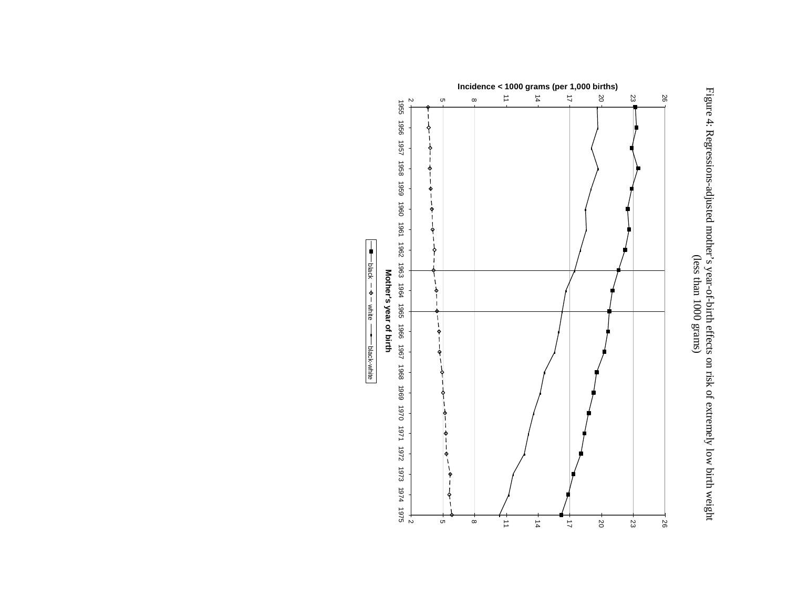

Figure 4: Regressions-adjusted mother's year-of-birth effects on risk of extremely low birth weight  $\frac{1}{2}$ Figure 4: Regressions-adjusted mother's year-of-birth effects on risk of extremely low birth weight (less than 1000 grams)

1956 1957 1958 1959 1960 1961 1962 1961 1961 1965 963 1964 1965 1966 1967<br>**Mother's year of birth Mother's year of birth**

black white black-white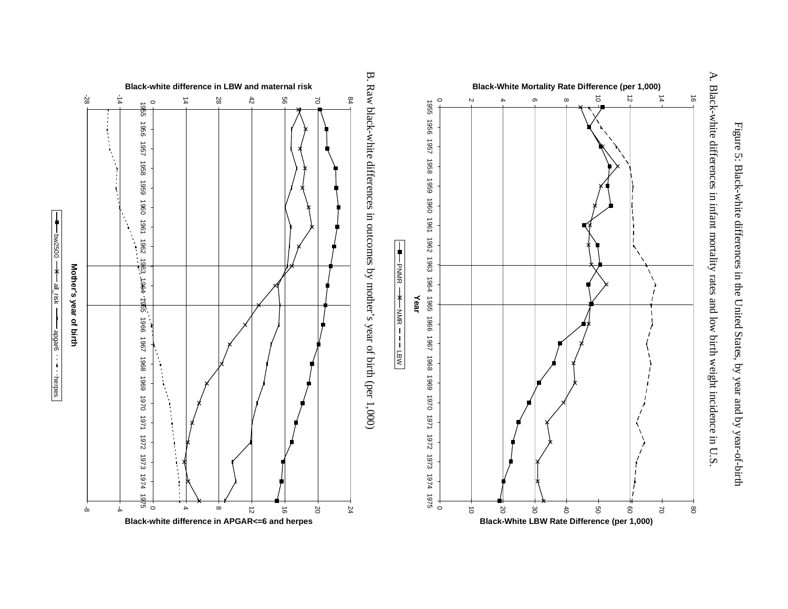



A. Black-white differences in infant mortality rates and low birth weight incidence in U.S. A. Black-white differences in infant mortality rates and low birth weight incidence in U.S.





bw2500

 $\ast$ 

all\_risk —

apgar6

herpes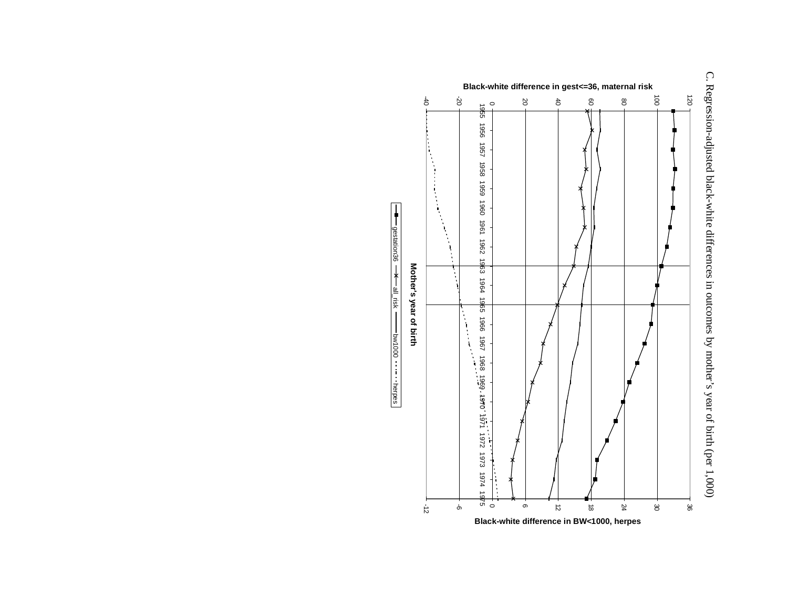

gestation36

all\_risk

bw1000

herpes

C. Regression-adjusted black-white differences in outcomes by mother's year of birth (per 1,000) C. Regression-adjusted black-white differences in outcomes by mother's year of birth (per 1,000)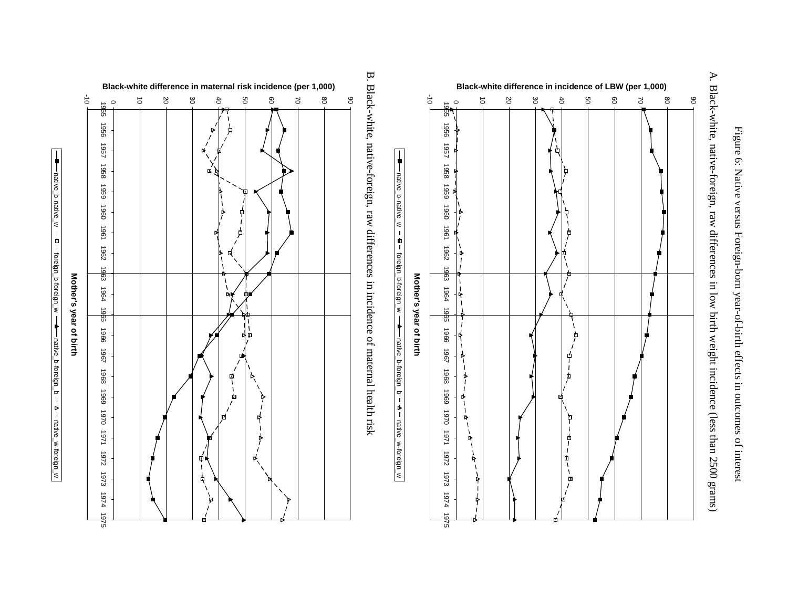

A. Black-white, native-foreign, raw differences in low birth weight incidence (less than 2500 grams) A. Black-white, native-foreign, raw differences in low birth weight incidence (less than 2500 grams)



native\_b-native\_w

b-native

'<

 $\mathbf{r}$ 

foreign

native.

foreign\_b-foreign\_w

b-foreign

່∛

native\_b-foreign\_b

b-foreigr

 $\sigma$ 

 $\triangleright$ 

native

native.

native\_w-foreign\_w

w-foreign.

∣'≼



native\_b-native\_w

foreign\_b-foreign\_w

native\_b-foreign\_b

native\_w-foreign\_w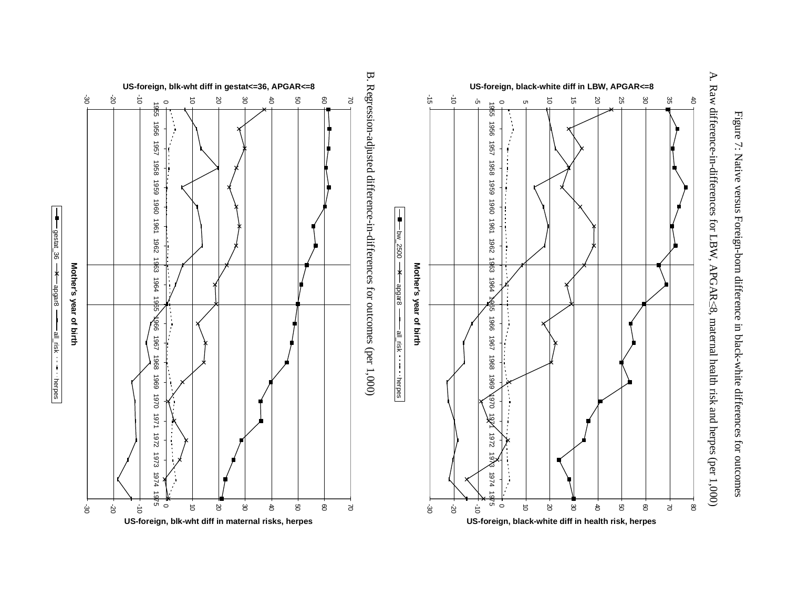



-30

**Mother's year of birth**

Mother's year of birth

gestat\_36

 $\frac{1}{1}$ 

apgar8

all\_risk

herpes

-30

A. Raw difference-in-differences for LBW, APGAR<8, maternal health risk and herpes (per 1,000) A. Raw difference-in-differences for LBW, APGAR $\leq$ 8, maternal health risk and herpes (per 1,000)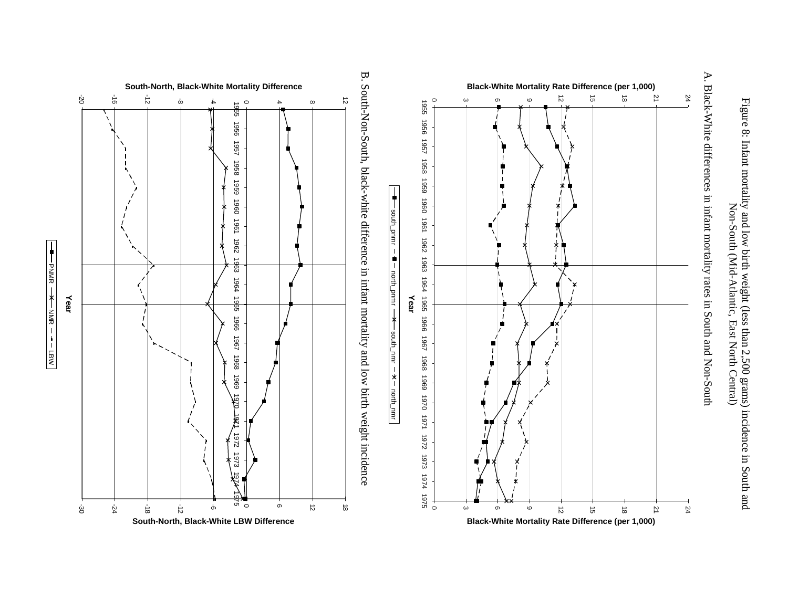



-20

**Year**

PNMR

NM<br>NM

LBW

-30

-24

 $\frac{1}{9}$ 

A. Black-White differences in infant mortality rates in South and Non-South A. Black-White differences in infant mortality rates in South and Non-South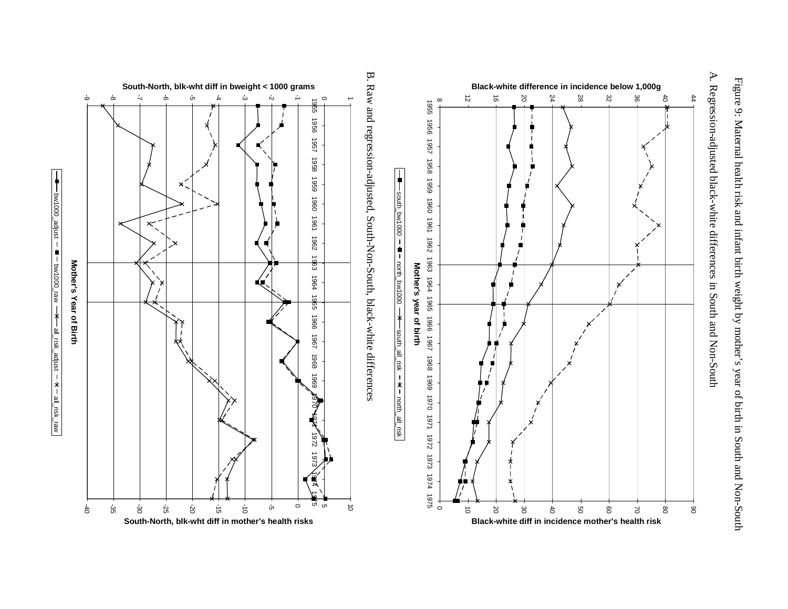Figure 9: Maternal health risk and infant birth weight by mother's year of birth in South and Non-South Figure 9: Maternal health risk and infant birth weight by mother's year of birth in South and Non-South



A. Regression-adjusted black-white differences in South and Non-South A. Regression-adjusted black-white differences in South and Non-South

B. Raw and regression-adjusted, South-Non-South, black-white differences B. Raw and regression-adjusted, South-Non-South, black-white differences

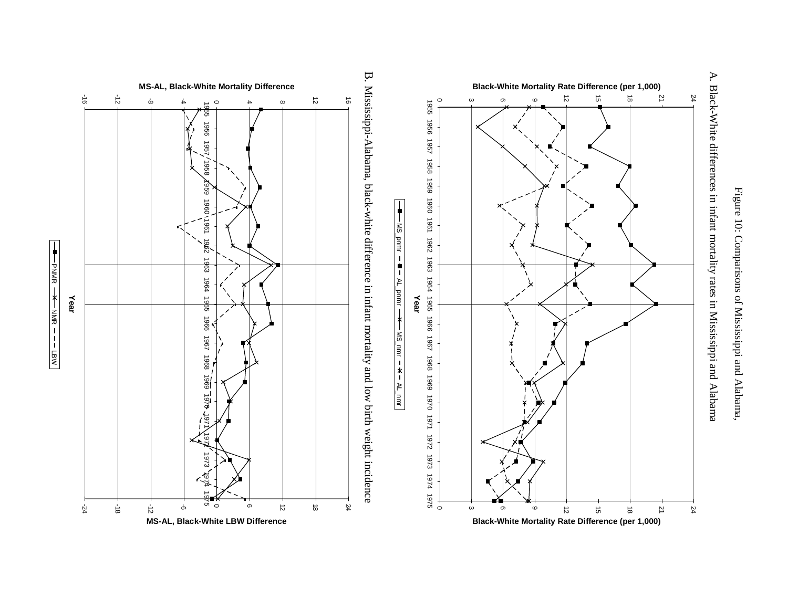



A. Black-White differences in infant mortality rates in Mississippi and Alabama A. Black-White differences in infant mortality rates in Mississippi and Alabama

╋ PNMR NM<br>동 LBW

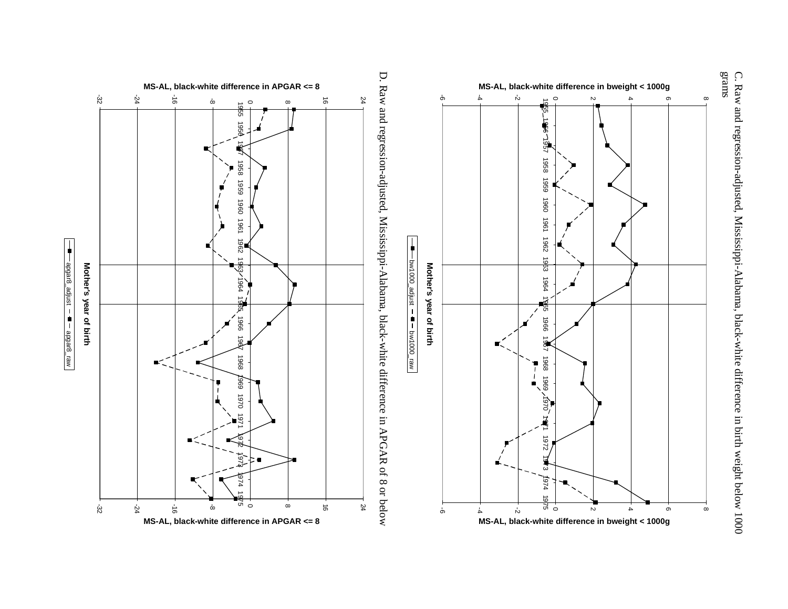





 $\frac{1}{1}$  =  $\frac{1}{2}$  =  $\frac{1}{2}$  =  $\frac{1}{2}$  =  $\frac{1}{2}$  =  $\frac{1}{2}$  =  $\frac{1}{2}$  =  $\frac{1}{2}$  =  $\frac{1}{2}$ apgar8\_adjust apgar8\_raw

C. Raw and regression-adjusted, Mississippi-Alabama, black-white difference in birth weight below 1000<br>grams C. Raw and regression-adjusted, Mississippi-Alabama, black-white difference in birth weight below 1000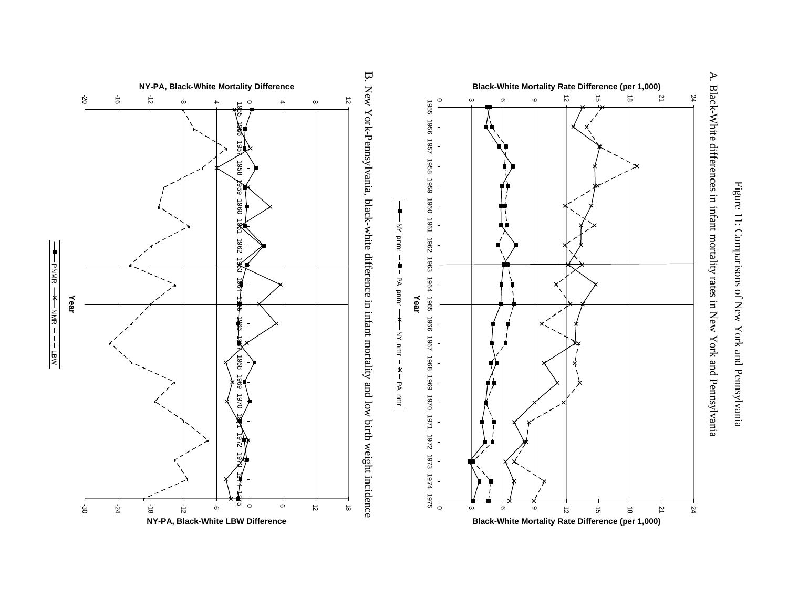



A. Black-White differences in infant mortality rates in New York and Pennsylvania A. Black-White differences in infant mortality rates in New York and Pennsylvania



NY\_pnmr

PA\_pnmr

 $\blacksquare$  $\overline{1}$ 

NY\_nmr

PA\_nmr

 $\pmb{\times}$ 



PNMR

╋

NM<br>동

LBW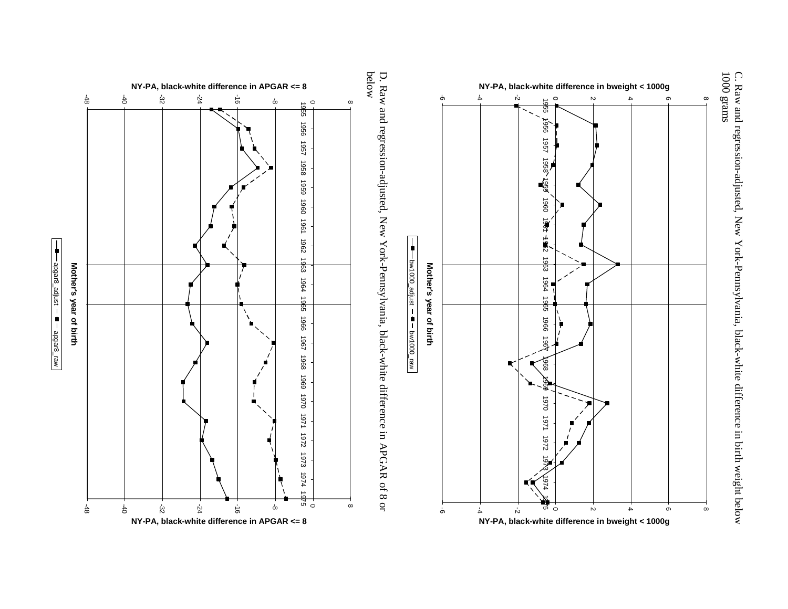



D. Raw and regression-adjusted, New York-Pennsylvania, black-white difference in APGAR of 8 or<br>below D. Raw and regression-adjusted, New York-Pennsylvania, black-white difference in APGAR of 8 or



apgar8\_adjust

apgar8\_adjust – ■ – apgar8\_raw

╋

apgar8\_raw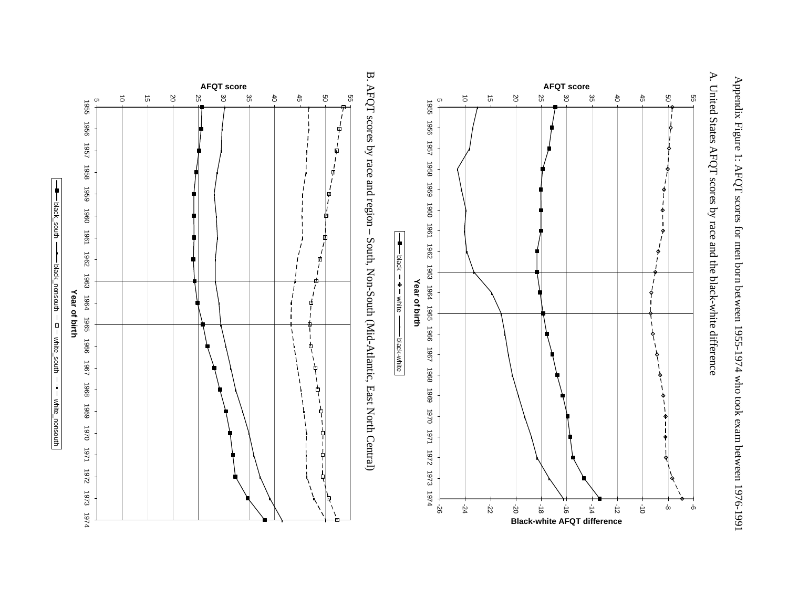Appendix Figure 1: AFQT scores for men born between 1955-1974 who took exam between 1976-1991 Appendix Figure 1: AFQT scores for men born between 1955-1974 who took exam between 1976-1991



A. United States AFQT scores by race and the black-white difference A. United States AFQT scores by race and the black-white difference

B. AFQT scores by race and region - South, Non-South (Mid-Atlantic, East North Central) B. AFQT scores by race and region – South, Non-South (Mid-Atlantic, East North Central)

black

 $-\phi$   $\phi$ 

black-white

black-white